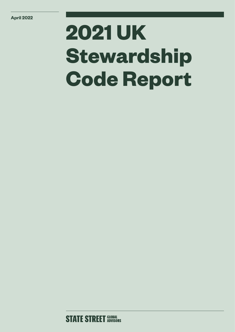# **2021 UK Stewardship Code Report**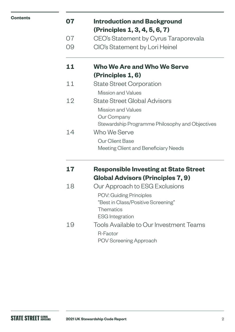| <b>Contents</b> |
|-----------------|
|-----------------|

| 07 | <b>Introduction and Background</b><br>(Principles 1, 3, 4, 5, 6, 7) |
|----|---------------------------------------------------------------------|
| 07 | CEO's Statement by Cyrus Taraporevala                               |
| 09 | CIO's Statement by Lori Heinel                                      |
| 11 | <b>Who We Are and Who We Serve</b>                                  |
|    | (Principles 1, 6)                                                   |
| 11 | <b>State Street Corporation</b>                                     |
|    | Mission and Values                                                  |
| 12 | <b>State Street Global Advisors</b>                                 |
|    | <b>Mission and Values</b>                                           |
|    | Our Company                                                         |
|    | Stewardship Programme Philosophy and Objectives                     |
| 14 | Who We Serve                                                        |
|    | <b>Our Client Base</b>                                              |
|    | Meeting Client and Beneficiary Needs                                |
| 17 | <b>Responsible Investing at State Street</b>                        |
|    | <b>Global Advisors (Principles 7, 9)</b>                            |
| 18 | Our Approach to ESG Exclusions                                      |
|    | POV: Guiding Principles                                             |
|    | "Best in Class/Positive Screening"                                  |
|    | <b>Thematics</b>                                                    |
|    | <b>ESG</b> Integration                                              |
| 19 | Tools Available to Our Investment Teams                             |
|    | R-Factor                                                            |
|    | <b>POV Screening Approach</b>                                       |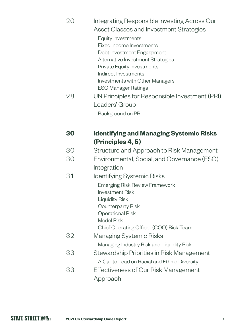| 20 | Integrating Responsible Investing Across Our<br>Asset Classes and Investment Strategies<br>Equity Investments<br><b>Fixed Income Investments</b><br>Debt Investment Engagement<br>Alternative Investment Strategies<br><b>Private Equity Investments</b><br>Indirect Investments<br><b>Investments with Other Managers</b><br><b>ESG Manager Ratings</b> |
|----|----------------------------------------------------------------------------------------------------------------------------------------------------------------------------------------------------------------------------------------------------------------------------------------------------------------------------------------------------------|
| 28 | UN Principles for Responsible Investment (PRI)<br>Leaders' Group<br>Background on PRI                                                                                                                                                                                                                                                                    |
|    |                                                                                                                                                                                                                                                                                                                                                          |
| 30 | <b>Identifying and Managing Systemic Risks</b><br>(Principles 4, 5)                                                                                                                                                                                                                                                                                      |
| 30 | Structure and Approach to Risk Management                                                                                                                                                                                                                                                                                                                |
| 30 | Environmental, Social, and Governance (ESG)                                                                                                                                                                                                                                                                                                              |
|    | Integration                                                                                                                                                                                                                                                                                                                                              |
| 31 | Identifying Systemic Risks                                                                                                                                                                                                                                                                                                                               |
|    | <b>Emerging Risk Review Framework</b>                                                                                                                                                                                                                                                                                                                    |
|    | <b>Investment Risk</b>                                                                                                                                                                                                                                                                                                                                   |
|    | <b>Liquidity Risk</b>                                                                                                                                                                                                                                                                                                                                    |
|    | Counterparty Risk<br><b>Operational Risk</b>                                                                                                                                                                                                                                                                                                             |
|    | <b>Model Risk</b>                                                                                                                                                                                                                                                                                                                                        |
|    | Chief Operating Officer (COO) Risk Team                                                                                                                                                                                                                                                                                                                  |
| 32 | Managing Systemic Risks                                                                                                                                                                                                                                                                                                                                  |
|    | Managing Industry Risk and Liquidity Risk                                                                                                                                                                                                                                                                                                                |
| 33 | Stewardship Priorities in Risk Management                                                                                                                                                                                                                                                                                                                |
|    | A Call to Lead on Racial and Ethnic Diversity                                                                                                                                                                                                                                                                                                            |
| 33 | Effectiveness of Our Risk Management                                                                                                                                                                                                                                                                                                                     |
|    | Approach                                                                                                                                                                                                                                                                                                                                                 |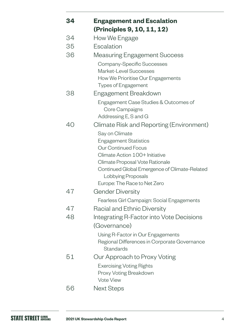| 34 | <b>Engagement and Escalation</b>                             |
|----|--------------------------------------------------------------|
|    | (Principles 9, 10, 11, 12)                                   |
| 34 | How We Engage                                                |
| 35 | Escalation                                                   |
| 36 | <b>Measuring Engagement Success</b>                          |
|    | Company-Specific Successes                                   |
|    | Market-Level Successes                                       |
|    | How We Prioritise Our Engagements                            |
|    | <b>Types of Engagement</b>                                   |
| 38 | Engagement Breakdown                                         |
|    | Engagement Case Studies & Outcomes of                        |
|    | Core Campaigns                                               |
|    | Addressing E, S and G                                        |
| 40 | Climate Risk and Reporting (Environment)                     |
|    | Say on Climate                                               |
|    | <b>Engagement Statistics</b>                                 |
|    | <b>Our Continued Focus</b><br>Climate Action 100+ Initiative |
|    | Climate Proposal Vote Rationale                              |
|    | Continued Global Emergence of Climate-Related                |
|    | Lobbying Proposals                                           |
|    | Europe: The Race to Net Zero                                 |
| 47 | <b>Gender Diversity</b>                                      |
|    | Fearless Girl Campaign: Social Engagements                   |
| 47 | Racial and Ethnic Diversity                                  |
| 48 | Integrating R-Factor into Vote Decisions                     |
|    | (Governance)                                                 |
|    | Using R-Factor in Our Engagements                            |
|    | Regional Differences in Corporate Governance                 |
|    | Standards                                                    |
| 51 | Our Approach to Proxy Voting                                 |
|    | <b>Exercising Voting Rights</b>                              |
|    | Proxy Voting Breakdown                                       |
|    | <b>Vote View</b>                                             |
| 56 | <b>Next Steps</b>                                            |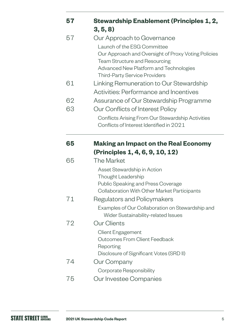| 57 | <b>Stewardship Enablement (Principles 1, 2,</b>                                         |
|----|-----------------------------------------------------------------------------------------|
|    | 3, 5, 8)                                                                                |
| 57 | Our Approach to Governance                                                              |
|    | Launch of the ESG Committee                                                             |
|    | Our Approach and Oversight of Proxy Voting Policies                                     |
|    | <b>Team Structure and Resourcing</b>                                                    |
|    | Advanced New Platform and Technologies<br><b>Third-Party Service Providers</b>          |
| 61 | Linking Remuneration to Our Stewardship                                                 |
|    | Activities: Performance and Incentives                                                  |
| 62 | Assurance of Our Stewardship Programme                                                  |
| 63 | Our Conflicts of Interest Policy                                                        |
|    | Conflicts Arising From Our Stewardship Activities                                       |
|    | Conflicts of Interest Identified in 2021                                                |
| 65 | <b>Making an Impact on the Real Economy</b>                                             |
|    | (Principles 1, 4, 6, 9, 10, 12)                                                         |
| 65 | The Market                                                                              |
|    | Asset Stewardship in Action                                                             |
|    | Thought Leadership                                                                      |
|    | <b>Public Speaking and Press Coverage</b>                                               |
|    | Collaboration With Other Market Participants                                            |
| 71 | Regulators and Policymakers                                                             |
|    | Examples of Our Collaboration on Stewardship and<br>Wider Sustainability-related Issues |
| 72 | <b>Our Clients</b>                                                                      |
|    | <b>Client Engagement</b>                                                                |
|    | <b>Outcomes From Client Feedback</b>                                                    |
|    | Reporting                                                                               |
| 74 | Disclosure of Significant Votes (SRD II)                                                |
|    | Our Company                                                                             |
| フに | Corporate Responsibility<br>Qur Invootoo Componico                                      |

75 Our Investee Companies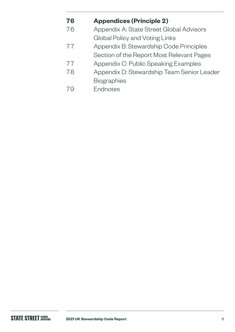### **76 [Appendices \(Principle 2\)](#page-75-0)**

[76](#page-75-0) Appendix A: State Street Global Advisors Global Policy and Voting Links

### [77](#page-76-0) Appendix B: Stewardship Code Principles

- Section of the Report Most Relevant Pages
- 77 [Appendix C: Public Speaking Examples](#page-76-0)
- [78 Appendix D: Stewardship Team Senior Leader](#page-77-0)  [Biographies](#page-77-0)
- 79Endnotes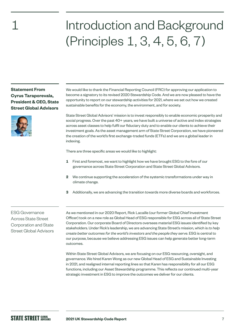## Introduction and Background (Principles 1, 3, 4, 5, 6, 7)

**Statement From Cyrus Taraporevala, President & CEO, State Street Global Advisors**

<span id="page-6-0"></span>1

We would like to thank the Financial Reporting Council (FRC) for approving our application to become a signatory to its revised 2020 Stewardship Code. And we are now pleased to have the opportunity to report on our stewardship activities for 2021, where we set out how we created sustainable benefits for the economy, the environment, and for society.

State Street Global Advisors' mission is to invest responsibly to enable economic prosperity and social progress. Over the past 40+ years, we have built a universe of active and index strategies across asset classes to help fulfil our fiduciary duty and to enable our clients to achieve their investment goals. As the asset management arm of State Street Corporation, we have pioneered the creation of the world's first exchange-traded funds (ETFs) and we are a global leader in indexing.

There are three specific areas we would like to highlight:

- **1** First and foremost, we want to highlight how we have brought ESG to the fore of our governance across State Street Corporation and State Street Global Advisors.
- **2** We continue supporting the acceleration of the systemic transformations under way in climate change.
- **3** Additionally, we are advancing the transition towards more diverse boards and workforces.

ESG Governance Across State Street Corporation and State Street Global Advisors As we mentioned in our 2020 Report, Rick Lacaille (our former Global Chief Investment Officer) took on a new role as Global Head of ESG responsible for ESG across all of State Street Corporation. Our corporate Board of Directors oversees material ESG issues identified by key stakeholders. Under Rick's leadership, we are advancing State Street's mission, which is *to help create better outcomes for the world's investors and the people they serve*. ESG is central to our purpose, because we believe addressing ESG issues can help generate better long-term outcomes.

Within State Street Global Advisors, we are focusing on our ESG resourcing, oversight, and governance. We hired Karen Wong as our new Global Head of ESG and Sustainable Investing in 2021, and realigned internal reporting lines so that Karen has responsibility for all our ESG functions, including our Asset Stewardship programme. This reflects our continued multi-year strategic investment in ESG to improve the outcomes we deliver for our clients.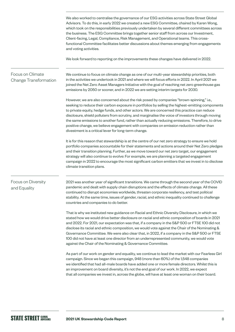We also worked to centralise the governance of our ESG activities across State Street Global Advisors. To do this, in early 2022 we created a new ESG Committee, chaired by Karen Wong, which took on the responsibilities previously undertaken by several different committees across the business. The ESG Committee brings together senior staff from across our Investment, Client-facing, Legal, Compliance, Risk Management, and Operational teams. This crossfunctional Committee facilitates better discussions about themes emerging from engagements and voting activities. We look forward to reporting on the improvements these changes have delivered in 2022. We continue to focus on climate change as one of our multi-year stewardship priorities, both in the activities we undertook in 2021 and where we will focus efforts in 2022. In April 2021 we joined the Net Zero Asset Managers Initiative with the goal of reaching net zero greenhouse gas emissions by 2050 or sooner, and in 2022 we are setting interim targets for 2030. However, we are also concerned about the risk posed by companies "brown-spinning," i.e., seeking to reduce their carbon exposure in portfolios by selling the highest-emitting components to private equity, hedge funds, and other actors. We are concerned this practice can reduce disclosure, shield polluters from scrutiny, and marginalise the voice of investors through moving the same emissions to another fund, rather than actually reducing emissions. Therefore, to drive positive change, we believe engagement with companies on emission reduction rather than divestment is a critical lever for long-term change. It is for this reason that stewardship is at the centre of our net zero strategy to ensure we hold portfolio companies accountable for their statements and actions around their Net Zero pledges and their transition planning. Further, as we move toward our net zero target, our engagement strategy will also continue to evolve: For example, we are planning a targeted engagement campaign in 2022 to encourage the most significant carbon emitters that we invest in to disclose climate transition plans. 2021 was another year of significant transitions. We came through the second year of the COVID pandemic and dealt with supply chain disruptions and the effects of climate change. All these continued to disrupt economies worldwide, threaten corporate resiliency, and test political stability. At the same time, issues of gender, racial, and ethnic inequality continued to challenge countries and companies to do better. That is why we instituted new guidance on Racial and Ethnic Diversity Disclosure, in which we stated how we would drive better disclosure on racial and ethnic composition of boards in 2021 and 2022. For 2021, our expectation was that, if a company in the S&P 500 or FTSE 100 did not disclose its racial and ethnic composition, we would vote against the Chair of the Nominating & Governance Committee. We were also clear that, in 2022, if a company in the S&P 500 or FTSE 100 did not have at least one director from an underrepresented community, we would vote against the Chair of the Nominating & Governance Committee. As part of our work on gender and equality, we continue to lead the market with our Fearless Girl campaign. Since we began this campaign, 948 (more than 60%) of the 1,548 companies we identified that had all-male boards have added one or more female directors. Whilst this is an improvement on board diversity, it's not the end goal of our work. In 2022, we expect that all companies we invest in, across the globe, will have at least one woman on their board. Focus on Climate Change Transformation Focus on Diversity and Equality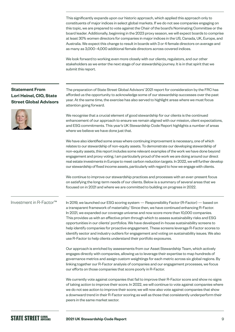This significantly expands upon our historic approach, which applied this approach only to constituents of major indices in select global markets. If we do not see companies engaging on this topic, we are prepared to vote against the Chair of the board's Nominating Committee or the board leader. Additionally, beginning in the 2023 proxy season, we will expect boards to comprise at least 30% women directors for companies in major indices in the US, Canada, UK, Europe, and Australia. We expect this change to result in boards with 3 or 4 female directors on average and as many as 3,000–4,000 additional female directors across covered indices.

We look forward to working even more closely with our clients, regulators, and our other stakeholders as we enter the next stage of our stewardship journey. It is in that spirit that we submit this report.

#### **Statement From Lori Heinel, CIO, State Street Global Advisors**



The preparation of State Street Global Advisors' 2021 report for consideration by the FRC has afforded us the opportunity to acknowledge some of our stewardship successes over the past year. At the same time, the exercise has also served to highlight areas where we must focus attention going forward.

We recognise that a crucial element of good stewardship for our clients is the continued enhancement of our approach to ensure we remain aligned with our mission, client expectations, and ESG commitments. This year's UK Stewardship Code Report highlights a number of areas where we believe we have done just that.

We have also identified some areas where continuing improvement is necessary, one of which relates to our stewardship of non-equity assets. To demonstrate our developing stewardship of non-equity assets, this report includes some relevant examples of the work we have done beyond engagement and proxy voting. I am particularly proud of the work we are doing around our direct real estate investments in Europe to meet carbon reduction targets. In 2022, we will further develop our stewardship of fixed income assets, particularly with regard to how we engage with clients.

We continue to improve our stewardship practices and processes with an ever-present focus on satisfying the long-term needs of our clients. Below is a summary of several areas that we focused on in 2021 and where we are committed to building on progress in 2022.

#### Investment in R-Factor™

In 2019, we launched our ESG scoring system — Responsibility Factor (R-Factor) — based on a transparent framework of materiality.<sup>1</sup> Since then, we have continued enhancing R-Factor. In 2021, we expanded our coverage universe and now score more than 10,000 companies. This provides us with an effective prism through which to assess sustainability risks and ESG opportunities in our clients' portfolios. We have developed in-house sustainability screens to help identify companies for proactive engagement. These screens leverage R-Factor scores to identify sector and industry outliers for engagement and voting on sustainability issues. We also use R-Factor to help clients understand their portfolio exposures.

Our approach is enriched by assessments from our Asset Stewardship Team, which actively engages directly with companies, allowing us to leverage their expertise to map hundreds of governance metrics and assign custom weightings for each metric across six global regions. By linking together our R-Factor analysis of companies and our engagement processes, we focus our efforts on those companies that score poorly in R-Factor.

We currently vote against companies that fail to improve their R-Factor score and show no signs of taking action to improve their score. In 2022, we will continue to vote against companies where we do not see action to improve their score; we will now also vote against companies that show a downward trend in their R-Factor scoring as well as those that consistently underperform their peers in the same market sector.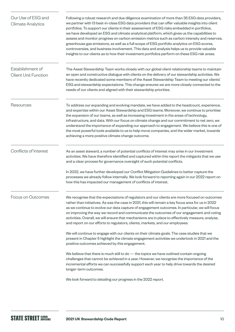<span id="page-9-0"></span>

| Our Use of ESG and<br><b>Climate Analytics</b>  | Following a robust research and due diligence examination of more than 35 ESG data providers,<br>we partner with 13 best-in-class ESG data providers that can offer valuable insights into client<br>portfolios. To support our clients in their assessment of ESG risks embedded in portfolios,<br>we have developed an ESG and climate analytical platform, which gives us the capabilities to<br>assess and monitor progress on carbon emission metrics such as carbon intensity and reserves,<br>greenhouse gas emissions, as well as a full scope of ESG portfolio analytics on ESG scores,<br>controversies, and business involvement. This data and analysis helps us to provide valuable<br>insights to our clients as to how their investment portfolios perform on these ESG risk areas. |
|-------------------------------------------------|----------------------------------------------------------------------------------------------------------------------------------------------------------------------------------------------------------------------------------------------------------------------------------------------------------------------------------------------------------------------------------------------------------------------------------------------------------------------------------------------------------------------------------------------------------------------------------------------------------------------------------------------------------------------------------------------------------------------------------------------------------------------------------------------------|
| Establishment of<br><b>Client Unit Function</b> | The Asset Stewardship Team works closely with our global client relationship teams to maintain<br>an open and constructive dialogue with clients on the delivery of our stewardship activities. We<br>have recently dedicated some members of the Asset Stewardship Team to meeting our clients'<br>ESG and stewardship expectations. This change ensures we are more closely connected to the<br>needs of our clients and aligned with their stewardship priorities.                                                                                                                                                                                                                                                                                                                              |
| Resources                                       | To address our expanding and evolving mandate, we have added to the headcount, experience,<br>and expertise within our Asset Stewardship and ESG teams. Moreover, we continue to prioritise<br>the expansion of our teams, as well as increasing investment in the areas of technology,<br>infrastructure, and data. With our focus on climate change and our commitment to net zero, we<br>understand the importance of expanding our approach to engagement. We believe this is one of<br>the most powerful tools available to us to help move companies, and the wider market, towards<br>achieving a more positive climate change outcome.                                                                                                                                                     |
| Conflicts of Interest                           | As an asset steward, a number of potential conflicts of interest may arise in our investment<br>activities. We have therefore identified and captured within this report the mitigants that we use<br>and a clear process for governance oversight of such potential conflicts.<br>In 2022, we have further developed our Conflict Mitigation Guidelines to better capture the<br>processes we already follow internally. We look forward to reporting again in our 2022 report on<br>how this has impacted our management of conflicts of interest.                                                                                                                                                                                                                                               |
| Focus on Outcomes                               | We recognise that the expectations of regulators and our clients are more focused on outcomes<br>rather than initiatives. As was the case in 2021, this will remain a key focus area for us in 2022<br>as we continue to evolve our data capture of engagement outcomes. In particular, we will focus<br>on improving the way we record and communicate the outcomes of our engagement and voting<br>activities. Overall, we will ensure that mechanisms are in place to effectively measure, analyse,<br>and report on our efforts to regulators, clients, markets, and our employees.                                                                                                                                                                                                            |
|                                                 | We will continue to engage with our clients on their climate goals. The case studies that we<br>present in Chapter 5 highlight the climate engagement activities we undertook in 2021 and the<br>positive outcomes achieved by this engagement.                                                                                                                                                                                                                                                                                                                                                                                                                                                                                                                                                    |
|                                                 | We believe that there is much still to $do$ — the topics we have outlined contain ongoing<br>challenges that cannot be achieved in a year. However, we recognise the importance of the<br>incremental efforts we can successfully support each year to help drive towards the desired<br>longer-term outcomes.                                                                                                                                                                                                                                                                                                                                                                                                                                                                                     |
|                                                 | We look forward to detailing our progress in the 2022 report.                                                                                                                                                                                                                                                                                                                                                                                                                                                                                                                                                                                                                                                                                                                                      |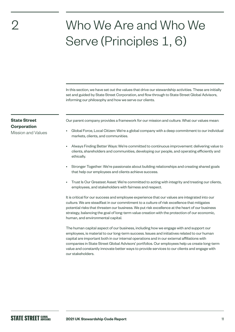### Who We Are and Who We Serve (Principles 1, 6)

In this section, we have set out the values that drive our stewardship activities. These are initially set and guided by State Street Corporation, and flow through to State Street Global Advisors, informing our philosophy and how we serve our clients.

#### **State Street Corporation**

<span id="page-10-0"></span>2

Mission and Values

Our parent company provides a framework for our mission and culture. What our values mean:

- Global Force, Local Citizen: We're a global company with a deep commitment to our individual markets, clients, and communities.
- Always Finding Better Ways: We're committed to continuous improvement: delivering value to clients, shareholders and communities, developing our people, and operating efficiently and ethically.
- Stronger Together: We're passionate about building relationships and creating shared goals that help our employees and clients achieve success.
- Trust Is Our Greatest Asset: We're committed to acting with integrity and treating our clients, employees, and stakeholders with fairness and respect.

It is critical for our success and employee experience that our values are integrated into our culture. We are steadfast in our commitment to a culture of risk excellence that mitigates potential risks that threaten our business. We put risk excellence at the heart of our business strategy, balancing the goal of long-term value creation with the protection of our economic, human, and environmental capital.

The human capital aspect of our business, including how we engage with and support our employees, is material to our long-term success. Issues and initiatives related to our human capital are important both in our internal operations and in our external affiliations with companies in State Street Global Advisors' portfolios. Our employees help us create long-term value and constantly innovate better ways to provide services to our clients and engage with our stakeholders.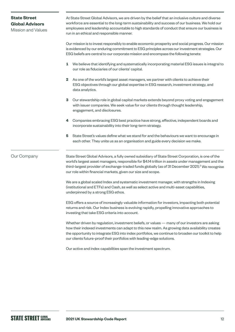#### At State Street Global Advisors, we are driven by the belief that an inclusive culture and diverse workforce are essential to the long-term sustainability and success of our business. We hold our employees and leadership accountable to high standards of conduct that ensure our business is run in an ethical and responsible manner. Our mission is to invest responsibly to enable economic prosperity and social progress. Our mission is evidenced by our enduring commitment to ESG principles across our investment strategies. Our ESG beliefs are central to our corporate mission and encompass the following tenets: **1** We believe that identifying and systematically incorporating material ESG issues is integral to our role as fiduciaries of our clients' capital. **2** As one of the world's largest asset managers, we partner with clients to achieve their ESG objectives through our global expertise in ESG research, investment strategy, and data analytics. **3** Our stewardship role in global capital markets extends beyond proxy voting and engagement with issuer companies. We seek value for our clients through thought leadership, engagement, and disclosures. **4** Companies embracing ESG best practice have strong, effective, independent boards and incorporate sustainability into their long-term strategy. **5** State Street's values define what we stand for and the behaviours we want to encourage in each other. They unite us as an organisation and guide every decision we make. State Street Global Advisors, a fully owned subsidiary of State Street Corporation, is one of the world's largest asset managers, responsible for \$4.14 trillion in assets under management and the third-largest provider of exchange-traded funds globally (as of 31 December 2021).<sup>2</sup> We recognise our role within financial markets, given our size and scope. We are a global scaled Index and systematic investment manager, with strengths in Indexing (institutional and ETFs) and Cash, as well as select active and multi-asset capabilities, underpinned by a strong ESG ethos. ESG offers a source of increasingly valuable information for investors, impacting both potential returns and risk. Our Index business is evolving rapidly, propelling innovative approaches to investing that take ESG criteria into account. Whether driven by regulation, investment beliefs, or values — many of our investors are asking how their indexed investments can adapt to this new realm. As growing data availability creates the opportunity to integrate ESG into index portfolios, we continue to broaden our toolkit to help our clients future-proof their portfolios with leading-edge solutions. Our active and index capabilities span the investment spectrum. Our Company **State Street Global Advisors**  Mission and Values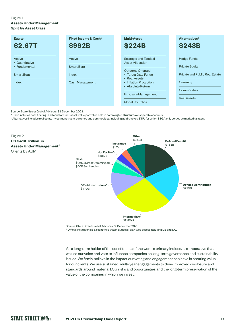#### Figure 1

**Assets Under Management Split by Asset Class**

| <b>Equity</b>                                                           | Fixed Income & Cash*                             | <b>Multi-Asset</b>                                                                                                                                                                                                           | Alternatives <sup>+</sup>                                                                                                      |
|-------------------------------------------------------------------------|--------------------------------------------------|------------------------------------------------------------------------------------------------------------------------------------------------------------------------------------------------------------------------------|--------------------------------------------------------------------------------------------------------------------------------|
| <b>\$2.67T</b>                                                          | <b>\$992B</b>                                    | <b>\$224B</b>                                                                                                                                                                                                                | <b>\$248B</b>                                                                                                                  |
| Active<br>• Quantitative<br>• Fundamental<br><b>Smart Beta</b><br>Index | Active<br>Smart Beta<br>Index<br>Cash Management | <b>Strategic and Tactical</b><br><b>Asset Allocation</b><br>Outcome Oriented<br>• Target Date Funds<br>• Real Assets<br>• Inflation Protection<br>• Absolute Return<br><b>Exposure Management</b><br><b>Model Portfolios</b> | <b>Hedge Funds</b><br><b>Private Equity</b><br>Private and Public Real Estate<br>Currency<br>Commodities<br><b>Real Assets</b> |

Source: State Street Global Advisors, 31 December 2021.

\* Cash includes both floating- and constant-net-asset-value portfolios held in commingled structures or separate accounts.

† Alternatives Includes real estate investment trusts, currency and commodities, including gold-backed ETFs for which SSGA only serves as marketing agent.



Source: State Street Global Advisors, 31 December 2021.

\* Official Institutions is a client type that includes all plan type assets including DB and DC.

As a long-term holder of the constituents of the world's primary indices, it is imperative that we use our voice and vote to influence companies on long-term governance and sustainability issues. We firmly believe in the impact our voting and engagement can have in creating value for our clients. We use sustained, multi-year engagements to drive improved disclosure and standards around material ESG risks and opportunities and the long-term preservation of the value of the companies in which we invest.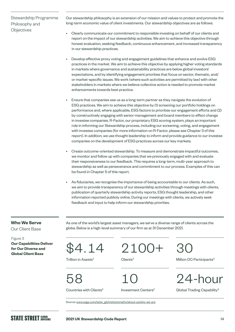#### Stewardship Programme Philosophy and **Objectives**

Our stewardship philosophy is an extension of our mission and values to protect and promote the long-term economic value of client investments. Our stewardship objectives are as follows:

- Clearly communicate our commitment to responsible investing on behalf of our clients and report on the impact of our stewardship activities. We aim to achieve this objective through honest evaluation, seeking feedback, continuous enhancement, and increased transparency in our stewardship practices.
- Develop effective proxy voting and engagement guidelines that enhance and evolve ESG practices in the market. We aim to achieve this objective by applying higher voting standards in markets where governance and sustainability practices are below global investors' expectations, and by identifying engagement priorities that focus on sector, thematic, and/ or market-specific issues. We work (where such activities are permitted by law) with other stakeholders in markets where we believe collective action is needed to promote market enhancements towards best practice.
- Ensure that companies see us as a long-term partner as they navigate the evolution of ESG practices. We aim to achieve this objective by (1) screening our portfolio holdings on performance and, where applicable, ESG factors to prioritise our engagement efforts and (2) by constructively engaging with senior management and board members to effect change in investee companies. R-Factor, our proprietary ESG scoring system, plays an important role in informing our Stewardship process, including our screening, voting, and engagement with investee companies (for more information on R-Factor, please see Chapter 3 of this report). In addition, we use thought leadership to inform and provide guidance to our investee companies on the development of ESG practices across our key markets.
- Create outcome-oriented stewardship. To measure and demonstrate impactful outcomes, we monitor and follow up with companies that we previously engaged with and evaluate their responsiveness to our feedback. This requires a long-term, multi-year approach to stewardship as well as perseverance and commitment to our process. Examples of this can be found in Chapter 5 of this report.
- As fiduciaries, we recognise the importance of being accountable to our clients. As such, we aim to provide transparency of our stewardship activities through meetings with clients, publication of quarterly stewardship activity reports, ESG thought leadership, and other information reported publicly online. During our meetings with clients, we actively seek feedback and input to help inform our stewardship priorities.

#### **Who We Serve**

Our Client Base

Figure 3 **Our Capabilities Deliver for Our Diverse and**  For Our Diverse and<br>Global Client Base<br>Global Client Base

As one of the world's largest asset managers, we serve a diverse range of clients across the globe. Below is a high-level summary of our firm as at 31 December 2021.

Trillion in Assets<sup>2</sup>

2100+ Clients<sup>3</sup>

58

Countries with Clients<sup>3</sup>

10

Investment Centers<sup>3</sup>

30

Million DC Participants<sup>4</sup>



Global Trading Capability<sup>5</sup>

Source: [www.ssga.com/ie/en\\_gb/institutional/ic/about-us/who-we-are](https://www.ssga.com/ie/en_gb/institutional/ic/about-us/who-we-are)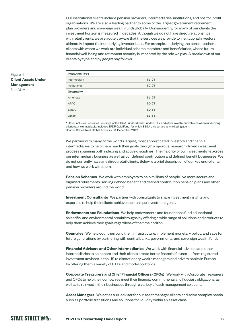Our institutional clients include pension providers, intermediaries, institutions, and not-for-profit organisations. We are also a leading partner to some of the largest government retirement plan providers and sovereign wealth funds globally. Consequently, for many of our clients the investment horizon is measured in decades. Although we do not have direct relationships with retail clients, we are acutely aware that the services we provide to institutional investors ultimately impact their underlying investor base. For example, underlying the pension scheme clients with whom we work are individual scheme members and beneficiaries, whose future financial well-being and retirement security is impacted by the role we play. A breakdown of our clients by type and by geography follows.

| <b>Institution Type</b> |        |
|-------------------------|--------|
| Intermediary            | \$1.2T |
| Institutional           | \$2.9T |
| Geography               |        |
| Americas                | \$1.5T |
| <b>APAC</b>             | \$0.6T |
| <b>EMEA</b>             | \$0.5T |
| Other*                  | \$1.5T |

\* Other includes Securities Lending Pools, SSGA Funds, Mutual Funds, ETFs, and other investment vehicles where underlying client data is unavailable. Includes SPDR Gold Fund, for which SSGA only serves as marketing agent. Source: State Street Global Advisors, 31 December 2021.

We partner with many of the world's largest, most sophisticated investors and financial intermediaries to help them reach their goals through a rigorous, research-driven investment process spanning both indexing and active disciplines. The majority of our investments lie across our intermediary business as well as our defined contribution and defined benefit businesses. We do not currently have any direct retail clients. Below is a brief description of our key end-clients and how we work with them.

**Pension Schemes** We work with employers to help millions of people live more secure and dignified retirements, serving defined benefit and defined contribution pension plans and other pension providers around the world.

**Investment Consultants** We partner with consultants to share investment insights and expertise to help their clients achieve their unique investment goals.

**Endowments and Foundations** We help endowments and foundations fund educational, scientific, and environmental breakthroughs by offering a wide range of solutions and products to help them achieve their goals regardless of the time horizon.

**Countries** We help countries build their infrastructure, implement monetary policy, and save for future generations by partnering with central banks, governments, and sovereign wealth funds.

**Financial Advisors and Other Intermediaries** We work with financial advisors and other intermediaries to help them and their clients create better financial futures — from registered investment advisors in the US to discretionary wealth managers and private banks in Europe by offering them a variety of ETFs and model portfolios.

**Corporate Treasurers and Chief Financial Officers (CFOs)** We work with Corporate Treasurers and CFOs to help their companies meet their financial commitments and fiduciary obligations, as well as to reinvest in their businesses through a variety of cash management solutions.

**Asset Managers** We act as sub-adviser for our asset manager clients and solve complex needs such as portfolio transitions and solutions for liquidity within an asset class.

#### Figure 4 **Client Assets Under Management** Net AUM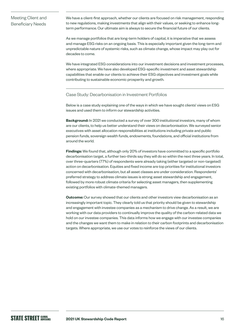#### Meeting Client and Beneficiary Needs

We have a client-first approach, whether our clients are focused on risk management, responding to new regulations, making investments that align with their values, or seeking to enhance longterm performance. Our ultimate aim is always to secure the financial future of our clients.

As we manage portfolios that are long-term holders of capital, it is imperative that we assess and manage ESG risks on an ongoing basis. This is especially important given the long-term and unpredictable nature of systemic risks, such as climate change, whose impact may play out for decades to come.

We have integrated ESG considerations into our investment decisions and investment processes, where appropriate. We have also developed ESG-specific investment and asset stewardship capabilities that enable our clients to achieve their ESG objectives and investment goals while contributing to sustainable economic prosperity and growth.

#### Case Study: Decarbonisation in Investment Portfolios

Below is a case study explaining one of the ways in which we have sought clients' views on ESG issues and used them to inform our stewardship activities.

**Background:** In 2021 we conducted a survey of over 300 institutional investors, many of whom are our clients, to help us better understand their views on decarbonisation. We surveyed senior executives with asset allocation responsibilities at institutions including private and public pension funds, sovereign wealth funds, endowments, foundations, and official institutions from around the world.

**Findings:** We found that, although only 20% of investors have committed to a specific portfolio decarbonisation target, a further two-thirds say they will do so within the next three years. In total, over three-quarters (77%) of respondents were already taking (either targeted or non-targeted) action on decarbonisation. Equities and fixed income are top priorities for institutional investors concerned with decarbonisation, but all asset classes are under consideration. Respondents' preferred strategy to address climate issues is strong asset stewardship and engagement, followed by more robust climate criteria for selecting asset managers, then supplementing existing portfolios with climate-themed managers.

**Outcome:** Our survey showed that our clients and other investors view decarbonisation as an increasingly important topic. They clearly told us that priority should be given to stewardship and engagement with investee companies as a mechanism to drive change. As a result, we are working with our data providers to continually improve the quality of the carbon-related data we hold on our investee companies. This data informs how we engage with our investee companies and the changes we want them to make in relation to their carbon footprints and decarbonisation targets. Where appropriate, we use our votes to reinforce the views of our clients.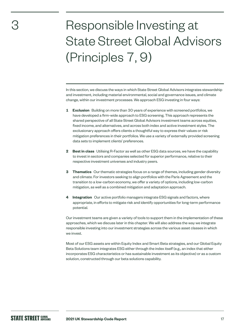## <span id="page-16-0"></span>Responsible Investing at State Street Global Advisors (Principles 7, 9)

In this section, we discuss the ways in which State Street Global Advisors integrates stewardship and investment, including material environmental, social and governance issues, and climate change, within our investment processes. We approach ESG investing in four ways:

- **1 Exclusion** Building on more than 30 years of experience with screened portfolios, we have developed a firm-wide approach to ESG screening. This approach represents the shared perspective of all State Street Global Advisors investment teams across equities, fixed income, and alternatives, and across both index and active investment styles. The exclusionary approach offers clients a thoughtful way to express their values or risk mitigation preferences in their portfolios. We use a variety of externally provided screening data sets to implement clients' preferences.
- **2 Best in class** Utilising R-Factor as well as other ESG data sources, we have the capability to invest in sectors and companies selected for superior performance, relative to their respective investment universes and industry peers.
- **3 Thematics** Our thematic strategies focus on a range of themes, including gender diversity and climate. For investors seeking to align portfolios with the Paris Agreement and the transition to a low-carbon economy, we offer a variety of options, including low-carbon mitigation, as well as a combined mitigation and adaptation approach.
- **4 Integration** Our active portfolio managers integrate ESG signals and factors, where appropriate, in efforts to mitigate risk and identify opportunities for long-term performance potential.

Our investment teams are given a variety of tools to support them in the implementation of these approaches, which we discuss later in this chapter. We will also address the way we integrate responsible investing into our investment strategies across the various asset classes in which we invest.

Most of our ESG assets are within Equity Index and Smart Beta strategies, and our Global Equity Beta Solutions team integrates ESG either through the index itself (e.g., an index that either incorporates ESG characteristics or has sustainable investment as its objective) or as a custom solution, constructed through our beta solutions capability.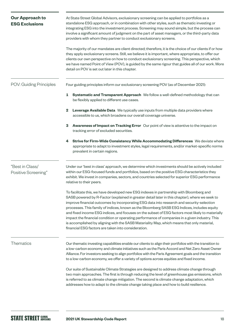| <b>Our Approach to</b><br><b>ESG Exclusions</b> | At State Street Global Advisors, exclusionary screening can be applied to portfolios as a<br>standalone ESG approach, or in combination with other styles, such as thematic investing or<br>integrating ESG into the investment process. Screening may sound simple, but the process can<br>involve a significant amount of judgment on the part of asset managers, or the third-party data<br>providers with whom they partner to conduct exclusionary screens.<br>The majority of our mandates are client directed; therefore, it is the choice of our clients if or how<br>they apply exclusionary screens. Still, we believe it is important, where appropriate, to offer our<br>clients our own perspective on how to conduct exclusionary screening. This perspective, which<br>we have named Point of View (POV), is guided by the same rigour that guides all of our work. More<br>detail on POV is set out later in this chapter. |
|-------------------------------------------------|--------------------------------------------------------------------------------------------------------------------------------------------------------------------------------------------------------------------------------------------------------------------------------------------------------------------------------------------------------------------------------------------------------------------------------------------------------------------------------------------------------------------------------------------------------------------------------------------------------------------------------------------------------------------------------------------------------------------------------------------------------------------------------------------------------------------------------------------------------------------------------------------------------------------------------------------|
| POV: Guiding Principles                         | Four guiding principles inform our exclusionary screening POV (as of December 2021):                                                                                                                                                                                                                                                                                                                                                                                                                                                                                                                                                                                                                                                                                                                                                                                                                                                       |
|                                                 | 1<br>Systematic and Transparent Approach We follow a well-defined methodology that can<br>be flexibly applied to different use cases.                                                                                                                                                                                                                                                                                                                                                                                                                                                                                                                                                                                                                                                                                                                                                                                                      |
|                                                 | 2<br>Leverage Available Data We typically use inputs from multiple data providers where<br>accessible to us, which broadens our overall coverage universe.                                                                                                                                                                                                                                                                                                                                                                                                                                                                                                                                                                                                                                                                                                                                                                                 |
|                                                 | Awareness of Impact on Tracking Error Our point of view is attentive to the impact on<br>З<br>tracking error of excluded securities.                                                                                                                                                                                                                                                                                                                                                                                                                                                                                                                                                                                                                                                                                                                                                                                                       |
|                                                 | Strive for Firm-Wide Consistency While Accommodating Differences We deviate where<br>4<br>appropriate to adapt to investment styles, legal requirements, and/or market-specific norms<br>prevalent in certain regions.                                                                                                                                                                                                                                                                                                                                                                                                                                                                                                                                                                                                                                                                                                                     |
| "Best in Class/<br>Positive Screening"          | Under our 'best in class' approach, we determine which investments should be actively included<br>within our ESG-focused funds and portfolios, based on the positive ESG characteristics they<br>exhibit. We invest in companies, sectors, and countries selected for superior ESG performance<br>relative to their peers.                                                                                                                                                                                                                                                                                                                                                                                                                                                                                                                                                                                                                 |
|                                                 | To facilitate this, we have developed new ESG indexes in partnership with Bloomberg and<br>SASB powered by R-Factor (explained in greater detail later in this chapter), where we seek to<br>improve financial outcomes by incorporating ESG data into research and security-selection<br>processes. This family of indices, known as the Bloomberg SASB ESG Indices, includes equity<br>and fixed income ESG indices, and focuses on the subset of ESG factors most likely to materially<br>impact the financial condition or operating performance of companies in a given industry. This<br>is accomplished by aligning with the SASB Materiality Map, which means that only material,<br>financial ESG factors are taken into consideration.                                                                                                                                                                                           |
| Thematics                                       | Our thematic investing capabilities enable our clients to align their portfolios with the transition to<br>a low-carbon economy and climate initiatives such as the Paris Accord and Net Zero Asset Owner<br>Alliance. For investors seeking to align portfolios with the Paris Agreement goals and the transition<br>to a low-carbon economy, we offer a variety of options across equities and fixed income.                                                                                                                                                                                                                                                                                                                                                                                                                                                                                                                             |
|                                                 | Our suite of Sustainable Climate Strategies are designed to address climate change through<br>two main approaches. The first is through reducing the level of greenhouse gas emissions, which<br>is referred to as climate change mitigation. The second is climate change adaptation, which<br>addresses how to adapt to the climate change taking place and how to build resilience.                                                                                                                                                                                                                                                                                                                                                                                                                                                                                                                                                     |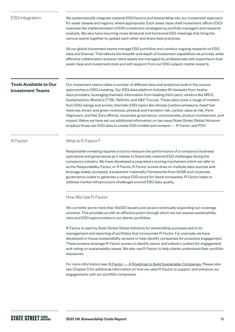<span id="page-18-0"></span>

| <b>ESG</b> Integration                                   | We systematically integrate material ESG factors and stewardship into our investment approach<br>for asset classes and regions, where appropriate. Each asset class chief investment officer (CIO)<br>oversees the implementation of ESG investment strategies by portfolio managers and research<br>analysts. We also have recurring cross divisional and functional ESG meetings that bring the<br>various teams together to update each other and share best practices.<br>All our global investment teams manage ESG portfolios and conduct ongoing research on ESG<br>data and themes. This reflects the breadth and depth of investment capabilities we provide, while<br>effective collaboration ensures client assets are managed by professionals with expertise in their<br>asset class and investment style and with support from our ESG subject-matter experts.                                                                                                                                                       |
|----------------------------------------------------------|------------------------------------------------------------------------------------------------------------------------------------------------------------------------------------------------------------------------------------------------------------------------------------------------------------------------------------------------------------------------------------------------------------------------------------------------------------------------------------------------------------------------------------------------------------------------------------------------------------------------------------------------------------------------------------------------------------------------------------------------------------------------------------------------------------------------------------------------------------------------------------------------------------------------------------------------------------------------------------------------------------------------------------|
| <b>Tools Available to Our</b><br><b>Investment Teams</b> | Our investment teams utilise a number of different data and analytical tools in the various<br>approaches to ESG investing. Our ESG data platform includes 40 datasets from twelve<br>data providers, leveraging thematic information from leading third-party vendors like MSCI,<br>Sustainalytics, Moody's, FTSE, Refinitiv, and S&P Trucost. These data cover a range of matters<br>from ESG ratings and scores, thematic ESG topics like climate (carbon emissions, fossil fuel<br>reserves, brown and green revenues, physical and transition risk, carbon value at risk, Paris<br>Alignment, and Net Zero efforts), corporate governance, controversies, product involvement, and<br>impact. Below we have set out additional information on two ways State Street Global Advisors<br>employs those raw ESG data to create ESG models and screens - R-Factor and POV.                                                                                                                                                        |
| R-Factor                                                 | What Is R-Factor?<br>Responsible investing requires a tool to measure the performance of a company's business<br>operations and governance as it relates to financially material ESG challenges facing the<br>company's industry. We have developed a proprietary scoring mechanism which we refer to<br>as the Responsibility Factor, or R-Factor. R-Factor scores draw on multiple data sources and<br>leverage widely accepted, transparent materiality frameworks from SASB and corporate<br>governance codes to generate a unique ESG score for listed companies. R-Factor helps to<br>address market infrastructure challenges around ESG data quality.                                                                                                                                                                                                                                                                                                                                                                      |
|                                                          | How We Use R-Factor<br>We currently score more than 10,000 issuers and we are continually expanding our coverage<br>universe. This provides us with an effective prism through which we can assess sustainability<br>risks and ESG opportunities in our clients' portfolios.<br>R-Factor is used by State Street Global Advisors for stewardship purposes and in its<br>management and reporting of portfolios that incorporate R-Factor. For example, we have<br>developed in-house sustainability screens to help identify companies for proactive engagement.<br>These screens leverage R-Factor scores to identify sector and industry outliers for engagement<br>and voting on sustainability issues. We also use R-Factor to help clients understand their portfolio<br>exposures.<br>For more information see: R-Factor - A Roadmap to Build Sustainable Companies. Please also<br>see Chapter 5 for additional information on how we used R-Factor to support and enhance our<br>engagements with our portfolio companies. |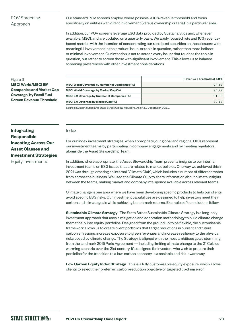#### POV Screening Approach

Our standard POV screens employ, where possible, a 10% revenue threshold and focus specifically on entities with direct involvement (versus ownership criteria) in a particular area.

In addition, our POV screens leverage ESG data provided by Sustainalytics and, whenever available, MSCI, and are updated on a quarterly basis. We apply focused lists and 10% revenuebased metrics with the intention of concentrating our restricted securities on those issuers with meaningful involvement in the product, issue, or topic in question, rather than more indirect or minimal involvement. Our intention is not to screen every issuer that touches the topic in question, but rather to screen those with significant involvement. This allows us to balance screening preferences with other investment considerations.

#### Figure 6

**MSCI World/MSCI EM Companies and Market Cap Coverage, by Fossil Fuel Screen Revenue Threshold**

|                                                       | <b>Revenue Threshold of 10%</b> |
|-------------------------------------------------------|---------------------------------|
| <b>MSCI World Coverage by Number of Companies (%)</b> | 94.63                           |
| <b>MSCI World Coverage by Market Cap (%)</b>          | 95.29                           |
| <b>MSCI EM Coverage by Number of Companies (%)</b>    | 91.55                           |
| <b>MSCI EM Coverage by Market Cap (%)</b>             | 89.18                           |

Source: Sustainalytics and State Street Global Advisors. As of 31 December 2021.

#### **Integrating Responsible Investing Across Our Asset Classes and Investment Strategies**  Equity Investments

#### Index

For our index investment strategies, when appropriate, our global and regional CIOs represent our investment teams by participating in company engagements and by meeting regulators, alongside the Asset Stewardship Team.

In addition, where appropriate, the Asset Stewardship Team presents insights to our internal investment teams on ESG issues that are related to market policies. One way we achieved this in 2021 was through creating an internal "Climate Club", which includes a number of different teams from across the business. We used the Climate Club to share information about climate insights between the teams, making market and company intelligence available across relevant teams.

Climate change is one area where we have been developing specific products to help our clients avoid specific ESG risks. Our investment capabilities are designed to help investors meet their carbon and climate goals while achieving benchmark returns. Examples of our solutions follow.

**Sustainable Climate Strategy** The State Street Sustainable Climate Strategy is a long-only investment approach that uses a mitigation and adaptation methodology to build climate change thematically into equity portfolios. Designed from the ground up to be flexible, the customisable framework allows us to create client portfolios that target reductions in current and future carbon emissions, increase exposure to green revenues and increase resiliency to the physical risks posed by climate change. The Strategy is aligned with the most ambitious goals stemming from the landmark 2015 Paris Agreement — including limiting climate change to the 2° Celsius warming scenario over the 21st century. It's designed for investors who wish to prepare their portfolios for the transition to a low-carbon economy in a scalable and risk-aware way.

**Low Carbon Equity Index Strategy** This is a fully customisable equity exposure, which allows clients to select their preferred carbon-reduction objective or targeted tracking error.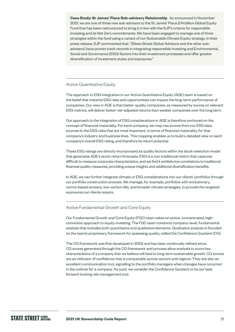**Case Study: St James' Place Sub-advisory Relationship** As announced in November 2021, we are one of three new sub-advisors to the St James' Place £14 billion Global Equity Fund that has been restructured to bring it in line with the SJP's criteria for responsible investing and its Net Zero commitments. We have been engaged to manage one of three strategies within the fund using a variant of our Sustainable Climate Equity strategy. In their press release, SJP commented that: "[State Street Global Advisors and the other subadvisers] have proven track records in integrating responsible investing and Environmental, Social and Governance (ESG) factors into their investment processes and offer greater diversification of investment styles and exposures."

#### Active Quantitative Equity

The approach to ESG integration in our Active Quantitative Equity (AQE) team is based on the belief that material ESG risks and opportunities can impact the long-term performance of companies. Our view in AQE is that better-quality companies, as measured by scores on relevant ESG metrics, will deliver better risk-adjusted returns than weaker companies over the long term.

Our approach to the integration of ESG considerations in AQE is therefore anchored on the concept of financial materiality. For each company, we map raw scores from our ESG data sources to the ESG risks that are most important, in terms of financial materiality, for that company's industry and business lines. This mapping enables us to build a detailed view on each company's overall ESG rating, and therefore its return potential.

These ESG ratings are directly incorporated as quality factors within the stock-selection model that generates AQE's stock-return forecasts. ESG is a non-traditional metric that captures difficult to measure corporate characteristics, and we find it exhibits low correlations to traditional financial quality measures, providing unique insights and additional diversification benefits.

In AQE, we can further integrate climate or ESG considerations into our clients' portfolios through our portfolio construction process. We manage, for example, portfolios with exclusionary, norms-based screens, low-carbon tilts, and broader climate strategies, to provide the targeted exposures our clients require.

#### Active Fundamental Growth and Core Equity

Our Fundamental Growth and Core Equity (FGC) team takes an active, concentrated, highconviction approach to equity investing. The FGC team conducts company-level, fundamental analysis that includes both quantitative and qualitative elements. Qualitative analysis is founded on the team's proprietary framework for assessing quality, called the Confidence Quotient (CQ).

The CQ framework was first developed in 2002 and has been continually refined since. CQ scores generated through the CQ framework and process allow analysts to score key characteristics of a company that we believe will lead to long-term sustainable growth. CQ scores are an indicator of confidence that is comparable across sectors and regions. They are also an excellent communication tool, signalling to the portfolio managers when changes have occurred in the outlook for a company. As such, we consider the Confidence Quotient to be our best forward-looking risk management tool.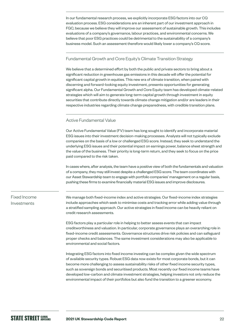In our fundamental research process, we explicitly incorporate ESG factors into our CQ evaluation process. ESG considerations are an inherent part of our investment approach in FGC, because we believe they will improve our assessment of sustainable growth. This includes evaluations of a company's governance, labour practices, and environmental concerns. We believe that poor ESG practices could be detrimental to the sustainability of a company's business model. Such an assessment therefore would likely lower a company's CQ score.

#### Fundamental Growth and Core Equity's Climate Transition Strategy

We believe that a determined effort by both the public and private sectors to bring about a significant reduction in greenhouse gas emissions in this decade will offer the potential for significant capital growth in equities. This new era of climate transition, when paired with discerning and forward-looking equity investment, presents opportunities for generating significant alpha. Our Fundamental Growth and Core Equity team has developed climate-related strategies which will aim to generate long-term capital growth through investment in equity securities that contribute directly towards climate change mitigation and/or are leaders in their respective industries regarding climate change preparedness, with credible transition plans.

#### Active Fundamental Value

Our Active Fundamental Value (FV) team has long sought to identify and incorporate material ESG issues into their investment decision-making processes. Analysts will not typically exclude companies on the basis of a low or challenged ESG score. Instead, they seek to understand the underlying ESG issues and their potential impact on earnings power, balance sheet strength and the value of the business. Their priority is long-term return, and they seek to focus on the price paid compared to the risk taken.

In cases where, after analysis, the team have a positive view of both the fundamentals and valuation of a company, they may still invest despite a challenged ESG score. The team coordinates with our Asset Stewardship team to engage with portfolio companies' management on a regular basis, pushing these firms to examine financially material ESG issues and improve disclosures.

#### Fixed Income Investments

We manage both fixed-income index and active strategies. Our fixed-income index strategies include approaches which seek to minimise costs and tracking error while adding value through a stratified sampling approach. Our active strategies in fixed income can be heavily reliant on credit research assessments.

ESG factors play a particular role in helping to better assess events that can impact creditworthiness and valuation. In particular, corporate governance plays an overarching role in fixed-income credit assessments. Governance structures drive risk policies and can safeguard proper checks and balances. The same investment considerations may also be applicable to environmental and social factors.

Integrating ESG factors into fixed income investing can be complex given the wide spectrum of available security types. Robust ESG data now exists for most corporate bonds, but it can become more challenging to assess sustainability risks of other fixed income security types, such as sovereign bonds and securitised products. Most recently our fixed income teams have developed low-carbon and climate investment strategies, helping investors not only reduce the environmental impact of their portfolios but also fund the transition to a greener economy.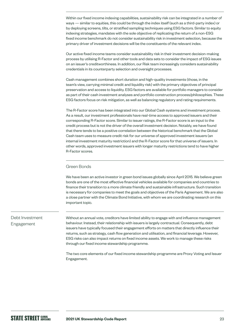Within our fixed income indexing capabilities, sustainability risk can be integrated in a number of ways — similar to equities, this could be through the index itself (such as a third-party index) or by deploying screens, tilts, or stratified sampling techniques using ESG factors. Similar to equity indexing strategies, mandates with the sole objective of replicating the return of a non-ESG fixed income benchmark do not consider sustainability risk in investment selection, because the primary driver of investment decisions will be the constituents of the relevant index.

Our active fixed income teams consider sustainability risk in their investment decision-making process by utilising R-Factor and other tools and data sets to consider the impact of ESG issues on an issuer's creditworthiness. In addition, our Risk team increasingly considers sustainability credentials in its counterparty selection and oversight processes.

Cash management combines short duration and high-quality investments (those, in the team's view, carrying minimal credit and liquidity risk) with the primary objectives of principal preservation and access to liquidity. ESG factors are available for portfolio managers to consider as part of their cash investment analyses and portfolio construction process/philosophies. These ESG factors focus on risk mitigation, as well as balancing regulatory and rating requirements.

The R-Factor score has been integrated into our Global Cash systems and investment process. As a result, our investment professionals have real-time access to approved issuers and their corresponding R-Factor score. Similar to issuer ratings, the R-Factor score is an input to the credit process but is not the driver of the overall investment decision. Notably, we have found that there tends to be a positive correlation between the historical benchmark that the Global Cash team uses to measure credit risk for our universe of approved investment issuers (an internal investment maturity restriction) and the R-Factor score for that universe of issuers. In other words, approved investment issuers with longer maturity restrictions tend to have higher R-Factor scores.

#### Green Bonds

We have been an active investor in green bond issues globally since April 2015. We believe green bonds are one of the most effective financial vehicles available for companies and countries to finance their transition to a more climate friendly and sustainable infrastructure. Such transition is necessary for companies to meet the goals and objectives of the Paris Agreement. We are also a close partner with the Climate Bond Initiative, with whom we are coordinating research on this important topic.

#### Debt Investment Engagement

Without an annual vote, creditors have limited ability to engage with and influence management behaviour. Instead, their relationship with issuers is largely contractual. Consequently, debt issuers have typically focused their engagement efforts on matters that directly influence their returns, such as strategy, cash flow generation and utilisation, and financial leverage. However, ESG risks can also impact returns on fixed income assets. We work to manage these risks through our fixed income stewardship programme.

The two core elements of our fixed income stewardship programme are Proxy Voting and Issuer Engagement.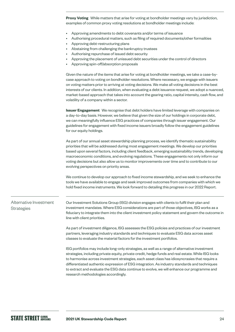**Proxy Voting** While matters that arise for voting at bondholder meetings vary by jurisdiction, examples of common proxy voting resolutions at bondholder meetings include:

- Approving amendments to debt covenants and/or terms of issuance
- Authorising procedural matters, such as filing of required documents/other formalities
- Approving debt-restructuring plans
- Abstaining from challenging the bankruptcy trustees
- Authorising repurchase of issued debt security
- Approving the placement of unissued debt securities under the control of directors
- Approving spin-off/absorption proposals

Given the nature of the items that arise for voting at bondholder meetings, we take a case-bycase approach to voting on bondholder resolutions. Where necessary, we engage with issuers on voting matters prior to arriving at voting decisions. We make all voting decisions in the best interests of our clients. In addition, when evaluating a debt issuance request, we adopt a nuanced, market-based approach that takes into account the gearing ratio, capital intensity, cash flow, and volatility of a company within a sector.

**Issuer Engagement** We recognise that debt holders have limited leverage with companies on a day-to-day basis. However, we believe that given the size of our holdings in corporate debt, we can meaningfully influence ESG practices of companies through issuer engagement. Our guidelines for engagement with fixed income issuers broadly follow the engagement guidelines for our equity holdings.

As part of our annual asset stewardship planning process, we identify thematic sustainability priorities that will be addressed during most engagement meetings. We develop our priorities based upon several factors, including client feedback, emerging sustainability trends, developing macroeconomic conditions, and evolving regulations. These engagements not only inform our voting decisions but also allow us to monitor improvements over time and to contribute to our evolving perspectives on priority areas.

We continue to develop our approach to fixed income stewardship, and we seek to enhance the tools we have available to engage and seek improved outcomes from companies with which we hold fixed income instruments. We look forward to detailing this progress in our 2022 Report.

Alternative Investment **Strategies** 

Our Investment Solutions Group (ISG) division engages with clients to fulfil their plan and investment mandates. Where ESG considerations are part of those objectives, ISG works as a fiduciary to integrate them into the client investment policy statement and govern the outcome in line with client priorities.

As part of investment diligence, ISG assesses the ESG policies and practices of our investment partners, leveraging industry standards and techniques to evaluate ESG data across asset classes to evaluate the material factors for the investment portfolios.

ISG portfolios may include long-only strategies, as well as a range of alternative investment strategies, including private equity, private credit, hedge funds and real estate. While ISG looks to harmonise across investment strategies, each asset class has idiosyncrasies that require a differentiated authentic expression of ESG integration. As industry standards and techniques to extract and evaluate the ESG data continue to evolve, we will enhance our programme and research methodologies accordingly.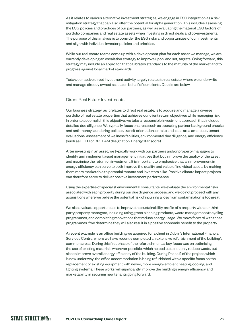As it relates to various alternative investment strategies, we engage in ESG integration as a risk mitigation strategy that can also offer the potential for alpha generation. This includes assessing the ESG policies and practices of our partners, as well as evaluating the material ESG factors of portfolio companies and real estate assets when investing in direct deals and co-investments. The purpose of this analysis is to consider the ESG risks and opportunities of our investments and align with individual investor policies and priorities.

While our real estate teams come up with a development plan for each asset we manage, we are currently developing an escalation strategy to improve upon, and set, targets. Going forward, this strategy may include an approach that calibrates standards to the maturity of the market and to progress against local market standards.

Today, our active direct investment activity largely relates to real estate, where we underwrite and manage directly owned assets on behalf of our clients. Details are below.

#### Direct Real Estate Investments

Our business strategy, as it relates to direct real estate, is to acquire and manage a diverse portfolio of real estate properties that achieves our client return objectives while managing risk. In order to accomplish this objective, we take a responsible investment approach that includes detailed due diligence. We typically focus on areas such as operating partner background checks and anti-money laundering policies, transit orientation, on-site and local area amenities, tenant evaluations, assessment of wellness facilities, environmental due diligence, and energy efficiency (such as LEED or BREEAM designation, EnergyStar score).

After investing in an asset, we typically work with our partners and/or property managers to identify and implement asset management initiatives that both improve the quality of the asset and maximise the return on investment. It is important to emphasise that an improvement in energy efficiency can serve to both improve the quality and value of individual assets by making them more marketable to potential tenants and investors alike. Positive climate impact projects can therefore serve to deliver positive investment performance.

Using the expertise of specialist environmental consultants, we evaluate the environmental risks associated with each property during our due diligence process, and we do not proceed with any acquisitions where we believe the potential risk of incurring a loss from contamination is too great.

We also evaluate opportunities to improve the sustainability profile of a property with our thirdparty property managers, including using green cleaning products, waste management/recycling programmes, and completing renovations that reduce energy usage. We move forward with those programmes if we determine they will also result in a positive economic benefit to the property.

A recent example is an office building we acquired for a client in Dublin's International Financial Services Centre, where we have recently completed an extensive refurbishment of the building's common areas. During this first phase of the refurbishment, a key focus was on optimising the use of existing materials wherever possible, which helped us to not only reduce waste, but also to improve overall energy efficiency of the building. During Phase 2 of the project, which is now under way, the office accommodation is being refurbished with a specific focus on the replacement of existing equipment with newer, more energy-efficient heating, cooling, and lighting systems. These works will significantly improve the building's energy efficiency and marketability in securing new tenants going forward.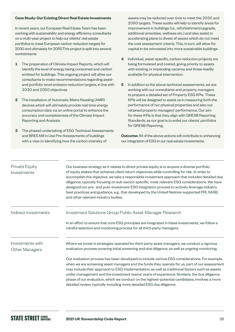#### **Case Study: Our Existing Direct Real Estate Investments**

In recent years, our European Real Estate Team has been working with sustainability and energy efficiency consultants on a multi-year project to help our clients' real estate portfolios to meet European carbon reduction targets for 2030 and ultimately for 2050.This project is split into several workstreams:

- **1** The preparation of Climate Impact Reports, which will identify the level of energy being consumed and carbon emitted for buildings. This ongoing project will allow our consultants to make recommendations regarding assetand portfolio-level emission reduction targets, in line with 2030 and 2050 objectives
- **2** The installation of Automatic Metre Reading (AMR) devices which will ultimately provide real time energy consumption data via an online portal to enhance the accuracy and completeness of the Climate Impact Reporting and Analysis.
- **3** The phased undertaking of ESG Technical Assessments and BREEAM In Use Pre-Assessments of buildings with a view to identifying how the carbon intensity of

assets may be reduced over time to meet the 2030 and 2050 targets. These audits will help to identify areas for improvement in buildings (i.e., refurbishment/upgrade, additional amenities, wellness etc.) and also assist in accelerating plans to divest of assets which do not meet the cost assessment criteria. This, in turn, will allow for capital to be reinvested into more sustainable buildings.

- **4** Individual, asset-specific, carbon reduction projects are being formulated and costed, giving priority to assets with existing or impending vacancy and those readily available for physical intervention.
- **5** In addition to the above technical assessments, we are working with our consultants and property managers to prepare a detailed set of Property ESG KPIs. These KPIs will be designed to assist us in measuring both the performance of our physical properties and also our retained property managers' performance. Our aim for these KPIs is that they align with GRESB Reporting Standards, as our goal is to enlist our clients' portfolios for GRESB Reporting.

**Outcome:** All of the above actions will contribute to enhancing our integration of ESG in our real estate investments.

| Private Equity<br>Investments             | Our business strategy as it relates to direct private equity is to acquire a diverse portfolio<br>of equity stakes that achieves client return objectives while controlling for risk. In order to<br>accomplish this objective, we take a responsible investment approach that includes detailed due<br>diligence, typically focusing on sub-sector-specific, most-relevant ESG considerations. We have<br>designed our pre- and post-investment ESG integration process to actively leverage industry<br>best practices and guidance, e.g., that developed by the United Nations-supported PRI, SASB,<br>and other relevant industry bodies.                                                                                                                                   |
|-------------------------------------------|---------------------------------------------------------------------------------------------------------------------------------------------------------------------------------------------------------------------------------------------------------------------------------------------------------------------------------------------------------------------------------------------------------------------------------------------------------------------------------------------------------------------------------------------------------------------------------------------------------------------------------------------------------------------------------------------------------------------------------------------------------------------------------|
| Indirect Investments                      | Investment Solutions Group Public Asset-Manager Research<br>In an effort to ensure that core ESG principles are integrated in these investments, we follow a<br>careful selection and monitoring process for all third-party managers.                                                                                                                                                                                                                                                                                                                                                                                                                                                                                                                                          |
| Investments with<br><b>Other Managers</b> | Where we invest in strategies operated by third-party asset managers, we conduct a rigorous<br>evaluation process covering initial screening and due diligence, as well as ongoing monitoring.<br>Our evaluation process has been developed to include various ESG considerations. For example,<br>when we are screening asset managers and the funds they operate for us, part of our assessment<br>may include their approach to ESG implementation, as well as traditional factors such as assets<br>under management and the investment teams' years of experience. Similarly, the due diligence<br>phase of our evaluation, which we conduct on the highest-potential candidates, involves a more<br>detailed review, typically including more detailed ESG due diligence. |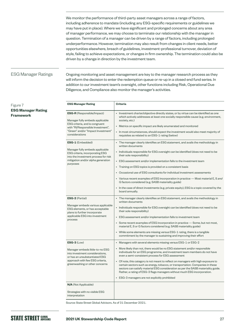We monitor the performance of third-party asset managers across a range of factors, including adherence to mandate (including any ESG-specific requirements or guidelines we may have put in place). Where we have significant and prolonged concerns about any area of manager performance, we may choose to terminate our relationship with the manager in question. Termination of a manager can be driven by a range of factors, including prolonged underperformance. However, termination may also result from changes in client needs, better opportunities elsewhere, breach of guidelines, investment-professional turnover, deviation of style, failing to achieve expectations, or changes in firm ownership. The termination could also be driven by a change in direction by the investment team.

#### ESG Manager Ratings

Ongoing monitoring and asset management are key to the manager research process as they will inform the decision to enter the redemption queue or re-up in a closed end fund series. In addition to our investment team's oversight, other functions including Risk, Operational Due Diligence, and Compliance also monitor the manager's activities.

| <b>ESG Manager Rating</b>                                                                                                                                                                           | <b>Criteria</b>                                                                                                                                                                                                                                                                                                                                                                                                                                                                                                                                                                                                                                                                                         |
|-----------------------------------------------------------------------------------------------------------------------------------------------------------------------------------------------------|---------------------------------------------------------------------------------------------------------------------------------------------------------------------------------------------------------------------------------------------------------------------------------------------------------------------------------------------------------------------------------------------------------------------------------------------------------------------------------------------------------------------------------------------------------------------------------------------------------------------------------------------------------------------------------------------------------|
| <b>ESG-R</b> (Responsible/Impact)<br>Manager fully embeds applicable<br>ESG criteria, and is congruent<br>with "RI/Responsible Investment",<br>"Green" and/or "Impact Investment"<br>considerations | • Investment charter/objective directly states, or by virtue can be identified as one<br>which actively addresses at least one socially responsible cause (e.g. environment,<br>society, etc.)<br>• Metrics on specific impact are likely enumerated and monitored<br>• In most circumstances, should expect the investment would also meet majority of<br>requisites as related to an ESG-1 rating (below)                                                                                                                                                                                                                                                                                             |
| <b>ESG-1</b> (Embedded)<br>Manager fully embeds applicable<br>ESG criteria, incorporating ESG<br>into the investment process for risk<br>mitigation and/or alpha generation<br>purposes             | • The manager clearly identifies an ESG statement, and avails the methodology in<br>written documents<br>• Individuals responsible for ESG oversight can be identified (does not need to be<br>their sole responsibility)<br>• ESG assessment and/or implementation falls to the investment team<br>• Training on ESG topics is provided on a consistent basis<br>• Occasional use of ESG consultants for individual investment assessments<br>• Various recent examples of ESG incorporation in practice — Most material E, S and<br>G factors considered (e.g. SASB materiality guide)<br>• In the case of direct investments (e.g. private equity), ESG is a topic covered by the<br>board annually. |
| <b>ESG-2 (Partial)</b><br>Manager embeds various applicable<br>ESG elements, or has acceptable<br>plans to further incorporate<br>applicable ESG into investment<br>process                         | • The manager clearly identifies an ESG statement, and avails the methodology in<br>written documents<br>• Individuals responsible for ESG oversight can be identified (does not need to be<br>their sole responsibility)<br>• ESG assessment and/or implementation falls to investment team<br>• Some recent examples of ESG incorporation in practice - Some, but not most,<br>material E, S or G factors considered (e.g. SASB materiality guide)<br>• While some elements are missing versus ESG-1 rating, there is a tangible<br>commitment by the manager to sustaining and improving their effort                                                                                                |
| $ESG-3$ (Low)<br>Manager embeds little-to-no ESG<br>into investment considerations.<br>or has an unsubstantiated ESG<br>approach with few ESG criteria,<br>greenwashing or other concerns           | • Managers with several elements missing versus ESG-1 or ESG-2<br>• More likely than not, there would be no ESG statement and/or responsible<br>individuals for an ESG programme, and investment team members do not have<br>even a semi-consistent process for ESG assessment<br>• Of note, this category is not meant to reflect on managers with high exposure to<br>certain sectors such as energy, tobacco, or transportation. Companies in these<br>sectors can satisfy material ESG consideration as per the SASB materiality guide.<br>Rather, a rating of ESG-3 flags managers without much ESG incorporation.<br>• ESG-3 managers are not explicitly prohibited                               |
| <b>N/A</b> (Not Applicable)<br>Strategies with no visible ESG<br>interpretation                                                                                                                     |                                                                                                                                                                                                                                                                                                                                                                                                                                                                                                                                                                                                                                                                                                         |

Source: State Street Global Advisors. As of 31 December 2021.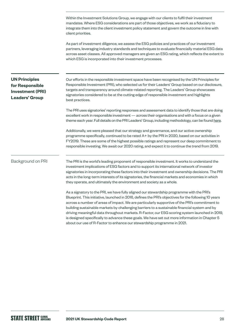Within the Investment Solutions Group, we engage with our clients to fulfil their investment mandates. Where ESG considerations are part of those objectives, we work as a fiduciary to integrate them into the client investment policy statement and govern the outcome in line with client priorities. As part of investment diligence, we assess the ESG policies and practices of our investment partners, leveraging industry standards and techniques to evaluate financially material ESG data across asset classes. All approved managers are given an ESG rating, which reflects the extent to which ESG is incorporated into their investment processes. Our efforts in the responsible investment space have been recognised by the UN Principles for Responsible Investment (PRI), who selected us for their Leaders' Group based on our disclosure, targets and transparency around climate-related reporting. The Leaders' Group showcases signatories considered to be at the cutting edge of responsible investment and highlights best practices. The PRI uses signatories' reporting responses and assessment data to identify those that are doing excellent work in responsible investment — across their organisations and with a focus on a given theme each year. Full details on the PRI Leaders' Group, including methodology, can be found [here.](https://www.unpri.org/showcasing-leadership/the-pri-leaders-group/4771.article) Additionally, we were pleased that our strategy and governance, and our active ownership programme specifically, continued to be rated A+ by the PRI in 2020, based on our activities in FY2019. These are some of the highest possible ratings and represent our deep commitment to responsible investing. We await our 2020 rating, and expect it to continue the trend from 2019. The PRI is the world's leading proponent of responsible investment. It works to understand the investment implications of ESG factors and to support its international network of investor signatories in incorporating these factors into their investment and ownership decisions. The PRI acts in the long-term interests of its signatories, the financial markets and economies in which they operate, and ultimately the environment and society as a whole. As a signatory to the PRI, we have fully aligned our stewardship programme with the PRI's Blueprint. This initiative, launched in 2016, defines the PRI's objectives for the following 10 years across a number of areas of impact. We are particularly supportive of the PRI's commitment to building sustainable markets by challenging barriers to a sustainable financial system and by driving meaningful data throughout markets. R-Factor, our ESG scoring system launched in 2019, is designed specifically to advance these goals. We have set out more information in Chapter 5 about our use of R-Factor to enhance our stewardship programme in 2021. **UN Principles for Responsible Investment (PRI) Leaders' Group** Background on PRI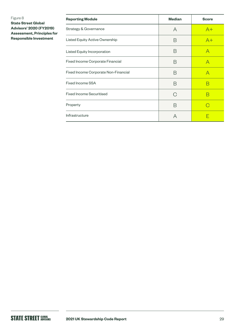#### Figure 8

**State Street Global Advisors' 2020 (FY2019) Assessment, Principles for Responsible Investment**

| <b>Reporting Module</b>              | <b>Median</b> | <b>Score</b> |
|--------------------------------------|---------------|--------------|
| <b>Strategy &amp; Governance</b>     | A             | $A+$         |
| Listed Equity Active Ownership       | Β             | $A+$         |
| Listed Equity Incorporation          | B             | Α            |
| Fixed Income Corporate Financial     | R             | A            |
| Fixed Income Corporate Non-Financial | B             | А            |
| Fixed Income SSA                     | B             | R            |
| <b>Fixed Income Securitised</b>      | C             | В            |
| Property                             | R             |              |
| Infrastructure                       | А             |              |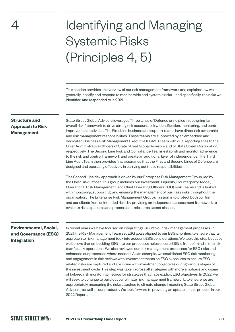<span id="page-29-0"></span>4

# Identifying and Managing Systemic Risks (Principles 4, 5)

This section provides an overview of our risk management framework and explains how we generally identify and respond to market-wide and systemic risks – and specifically, the risks we identified and responded to in 2021.

#### **Structure and Approach to Risk Management**

State Street Global Advisors leverages Three Lines of Defence principles in designing its overall risk framework to drive strong risk accountability, identification, monitoring, and control improvement activities. The First Line business and support teams have direct risk ownership and risk management responsibilities. These teams are supported by an embedded and dedicated Business Risk Management Executive (BRME) Team with dual reporting lines to the Chief Administrative Officers of State Street Global Advisors and of State Street Corporation, respectively. The Second Line Risk and Compliance Teams establish and monitor adherence to the risk and control framework and create an additional layer of independence. The Third Line Audit Team then provides final assurance that the First and Second Lines of Defence are designed and operating effectively in carrying out these responsibilities.

The Second Line risk approach is driven by our Enterprise Risk Management Group, led by the Chief Risk Officer. This group includes our Investment, Liquidity, Counterparty, Model, Operational Risk Management, and Chief Operating Officer (COO) Risk Teams and is tasked with monitoring, supporting, and ensuring the management of business risks throughout the organisation. The Enterprise Risk Management Group's mission is to protect both our firm and our clients from unintended risks by providing an independent assessment framework to evaluate risk exposures and process controls across asset classes.

#### **Environmental, Social, and Governance (ESG) Integration**

In recent years we have focused on integrating ESG into our risk management processes. In 2021, the Risk Management Team set ESG goals aligned to our ESG priorities, to ensure that its approach to risk management took into account ESG considerations. We took this step because we believe that embedding ESG into our processes helps ensure ESG is front of mind in the risk team's daily operations. We also reviewed our risk management processes for ESG risks and enhanced our processes where needed. As an example, we established ESG risk monitoring and engagement in risk reviews with investment teams on ESG exposures to ensure ESGrelated risks are captured and are in line with investment objectives during various stages of the investment cycle. This step was taken across all strategies with more emphasis and usage of tailored risk monitoring metrics for strategies that have explicit ESG objectives. In 2022, we will seek to continue to build out our climate risk management framework, to ensure we are appropriately measuring the risks attached to climate change impacting State Street Global Advisors, as well as our products. We look forward to providing an update on this process in our 2022 Report.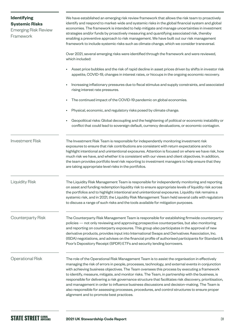<span id="page-30-0"></span>

| <b>Identifying</b><br><b>Systemic Risks</b><br><b>Emerging Risk Review</b><br>Framework | We have established an emerging risk review framework that allows the risk team to proactively<br>identify and respond to market-wide and systemic risks in the global financial system and global<br>economies. The framework is intended to help mitigate and manage uncertainties in investment<br>strategies and/or funds by proactively measuring and quantifying associated risk, thereby<br>enabling a preventive approach to risk management. We have built out our risk management<br>framework to include systemic risks such as climate change, which we consider transversal.                                                                                                                                                                   |
|-----------------------------------------------------------------------------------------|-------------------------------------------------------------------------------------------------------------------------------------------------------------------------------------------------------------------------------------------------------------------------------------------------------------------------------------------------------------------------------------------------------------------------------------------------------------------------------------------------------------------------------------------------------------------------------------------------------------------------------------------------------------------------------------------------------------------------------------------------------------|
|                                                                                         | Over 2021, several emerging risks were identified through the framework and were reviewed,<br>which included:                                                                                                                                                                                                                                                                                                                                                                                                                                                                                                                                                                                                                                               |
|                                                                                         | Asset price bubbles and the risk of rapid decline in asset prices driven by shifts in investor risk<br>appetite, COVID-19, changes in interest rates, or hiccups in the ongoing economic recovery.                                                                                                                                                                                                                                                                                                                                                                                                                                                                                                                                                          |
|                                                                                         | Increasing inflationary pressures due to fiscal stimulus and supply constraints, and associated<br>rising interest rate pressures.                                                                                                                                                                                                                                                                                                                                                                                                                                                                                                                                                                                                                          |
|                                                                                         | The continued impact of the COVID-19 pandemic on global economies.                                                                                                                                                                                                                                                                                                                                                                                                                                                                                                                                                                                                                                                                                          |
|                                                                                         | Physical, economic, and regulatory risks posed by climate change.                                                                                                                                                                                                                                                                                                                                                                                                                                                                                                                                                                                                                                                                                           |
|                                                                                         | Geopolitical risks: Global decoupling and the heightening of political or economic instability or<br>conflict that could lead to sovereign default, currency devaluations, or economic contagion.                                                                                                                                                                                                                                                                                                                                                                                                                                                                                                                                                           |
| <b>Investment Risk</b>                                                                  | The Investment Risk Team is responsible for independently monitoring investment risk<br>exposures to ensure that risk contributions are consistent with return expectations and to<br>highlight intentional and unintentional exposures. Attention is focused on where we have risk, how<br>much risk we have, and whether it is consistent with our views and client objectives. In addition,<br>the team provides portfolio level risk reporting to investment managers to help ensure that they<br>are taking appropriate level risks in the portfolios.                                                                                                                                                                                                 |
| <b>Liquidity Risk</b>                                                                   | The Liquidity Risk Management Team is responsible for independently monitoring and reporting<br>on asset and funding redemption liquidity risk to ensure appropriate levels of liquidity risk across<br>the portfolios and to highlight intentional and unintentional exposures. Liquidity risk remains a<br>systemic risk, and in 2021, the Liquidity Risk Management Team held several calls with regulators<br>to discuss a range of such risks and the tools available for mitigation purposes.                                                                                                                                                                                                                                                         |
| Counterparty Risk                                                                       | The Counterparty Risk Management Team is responsible for establishing firmwide counterparty<br>policies - not only reviewing and approving prospective counterparties, but also monitoring<br>and reporting on counterparty exposures. This group also participates in the approval of new<br>derivative products, provides input into International Swaps and Derivatives Association, Inc.<br>(ISDA) negotiations, and advises on the financial profile of authorised participants for Standard &<br>Poor's Depository Receipt (SPDR) ETFs and security lending borrowers.                                                                                                                                                                                |
| <b>Operational Risk</b>                                                                 | The role of the Operational Risk Management Team is to assist the organisation in effectively<br>managing the risk of errors in people, processes, technology, and external events in conjunction<br>with achieving business objectives. The Team oversees this process by executing a framework<br>to identify, measure, mitigate, and monitor risks. The Team, in partnership with the business, is<br>responsible for delivering a risk governance structure that facilitates risk discovery, prioritisation,<br>and management in order to influence business discussions and decision-making. The Team is<br>also responsible for assessing processes, procedures, and control structures to ensure proper<br>alignment and to promote best practices. |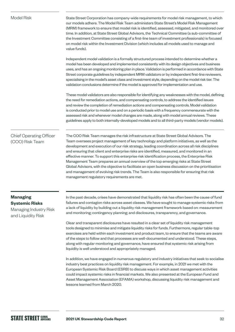| <b>Model Risk</b>                                                                        | State Street Corporation has company-wide requirements for model risk management, to which<br>our models adhere. The Model Risk Team administers State Street's Model Risk Management<br>(MRM) framework to ensure that model risk is identified, assessed, mitigated, and monitored over<br>time. In addition, at State Street Global Advisors, the Technical Committee (a sub-committee of<br>the Investment Committee consisting of a first-line team of investment professionals) is focused<br>on model risk within the Investment Division (which includes all models used to manage and<br>value funds).                                                                                                                                                                                                                         |
|------------------------------------------------------------------------------------------|-----------------------------------------------------------------------------------------------------------------------------------------------------------------------------------------------------------------------------------------------------------------------------------------------------------------------------------------------------------------------------------------------------------------------------------------------------------------------------------------------------------------------------------------------------------------------------------------------------------------------------------------------------------------------------------------------------------------------------------------------------------------------------------------------------------------------------------------|
|                                                                                          | Independent model validation is a formally structured process intended to determine whether a<br>model has been developed and implemented consistently with its design objectives and business<br>uses, and has an ongoing monitoring plan in place. Validation is performed in accordance with State<br>Street corporate guidelines by independent MRM validators or by independent first-line reviewers,<br>specialising in the model's asset class and investment style, depending on the model risk tier. The<br>validation conclusions determine if the model is approved for implementation and use.                                                                                                                                                                                                                              |
|                                                                                          | These model validators are also responsible for identifying any weaknesses with the model, defining<br>the need for remediation actions, and compensating controls, to address the identified issues<br>and review the completion of remediation actions and compensating controls. Model validation<br>is conducted prior to model use and on a periodic basis with a frequency commensurate with the<br>assessed risk and whenever model changes are made, along with model annual reviews. These<br>guidelines apply to both internally-developed models and to all third-party models (vendor models).                                                                                                                                                                                                                              |
| <b>Chief Operating Officer</b><br>(COO) Risk Team                                        | The COO Risk Team manages the risk infrastructure at State Street Global Advisors. The<br>Team oversees project management of key technology and platform initiatives, as well as the<br>development and execution of our risk strategy, leading coordination across all risk disciplines<br>and ensuring that client and enterprise risks are identified, measured, and monitored in an<br>effective manner. To support this enterprise risk identification process, the Enterprise Risk<br>Management Team prepares an annual overview of the top emerging risks at State Street<br>Global Advisors, with the objective to facilitate an open business discussion on the prioritisation<br>and management of evolving risk trends. The Team is also responsible for ensuring that risk<br>management regulatory requirements are met. |
| <b>Managing</b><br><b>Systemic Risks</b><br>Managing Industry Risk<br>and Liquidity Risk | In the past decade, crises have demonstrated that liquidity risk has often been the cause of fund<br>failures and contagion risks across asset classes. We have sought to manage systemic risks from<br>a lack of liquidity by building out a liquidity risk management framework based on: measurement<br>and monitoring; contingency planning; and disclosures, transparency, and governance.                                                                                                                                                                                                                                                                                                                                                                                                                                         |
|                                                                                          | Clear and transparent disclosures have resulted in a clear set of liquidity risk management<br>tools designed to minimise and mitigate liquidity risks for funds. Furthermore, regular table-top<br>exercises are held within each investment and product team, to ensure that the teams are aware<br>of the steps to follow and that processes are well-documented and understood. These steps,<br>along with regular monitoring and governance, have ensured that systemic risk arising from<br>liquidity is well understood and appropriately managed.                                                                                                                                                                                                                                                                               |
|                                                                                          | In addition, we have engaged in numerous regulatory and industry initiatives that seek to socialise<br>industry best practices on liquidity risk management. For example, in 2021 we met with the                                                                                                                                                                                                                                                                                                                                                                                                                                                                                                                                                                                                                                       |

European Systemic Risk Board (ESRB) to discuss ways in which asset management activities could impact systemic risks in financial markets. We also presented at the European Fund and Asset Management Association (EFAMA) workshop, discussing liquidity risk management and lessons learned from March 2020.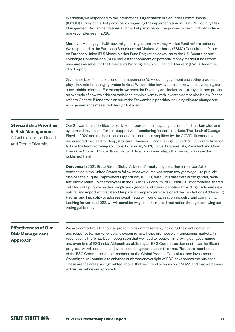In addition, we responded to the International Organisation of Securities Commissions' (IOSCO) survey of market participants regarding the implementation of IOSCO's Liquidity Risk Management Recommendations and market participants´ responses to the COVID-19 induced market challenges in 2020.

Moreover, we engaged with several global regulators on Money Market Fund reform options. We responded to the European Securities and Markets Authority (ESMA) Consultation Paper on European Union (EU) Money Market Fund Regulation as well as to the U.S. Securities and Exchange Commission's (SEC) request for comment on potential money market fund reform measures as set out in the President's Working Group on Financial Markets' (PWG) December 2020 report.

Given the size of our assets under management (AUM), our engagement and voting practices play a key role in managing systemic risks. We consider key systemic risks when developing our stewardship priorities. For example, we consider Diversity and Inclusion as a key risk, and provide an example of how we address racial and ethnic diversity with investee companies below. Please refer to Chapter 5 for details on our wider Stewardship priorities including climate change and good governance measured through R-Factor.

#### **Stewardship Priorities in Risk Management**

A Call to Lead on Racial and Ethnic Diversity

Our Stewardship priorities help drive our approach to mitigating the identified market-wide and systemic risks, in our efforts to support well-functioning financial markets. The death of George Floyd in 2020 and the health and economic inequities amplified by the COVID-19 pandemic underscored the need for deep, structural changes — and the urgent need for Corporate America to take the lead in offering solutions. In February 2021, Cyrus Taraporevala, President and Chief Executive Officer of State Street Global Advisors, outlined steps that we would take in this published **[Insight](https://www.ssga.com/us/en/institutional/etfs/insights/a-call-to-lead-on-racial-and-ethnic-diversity)**.

**Outcome:** In 2021, State Street Global Advisors formally began calling on our portfolio companies in the United States to follow what we ourselves began two years ago – to publicly disclose their Equal Employment Opportunity (EEO-1) data. This data details the gender, racial, and ethnic make-up of employees in the US. In 2021, only 6% of Russell 1000® companies shared detailed data publicly on their employees' gender and ethnic identities. Providing disclosures is a natural and important first step. Our parent company also developed the [Ten Actions Addressing](https://www.statestreet.com/content/dam/statestreet/documents/values/state-street-10-actions-against-racism-inequality-July-2021.pdf)  [Racism and Inequality](https://www.statestreet.com/content/dam/statestreet/documents/values/state-street-10-actions-against-racism-inequality-July-2021.pdf) to address racial inequity in our organisation, industry, and community. Looking forward to 2022, we will consider ways to take more direct action through reviewing our voting guidelines.

#### **Effectiveness of Our Risk Management Approach**

We are comfortable that our approach to risk management, including the identification of, and response to, market-wide and systemic risks helps promote well-functioning markets. In recent years there has been recognition that we need to focus on improving our governance and oversight of ESG risks. Although establishing an ESG Committee demonstrates significant progress, we will continue to develop our risk governance in this area. Risk team membership of the ESG Committee, and attendance at the Global Product Committee and Investment Committee, will continue to enhance our broader oversight of ESG risks across the business. These are the areas, as highlighted above, that we intend to focus on in 2022, and that we believe will further refine our approach.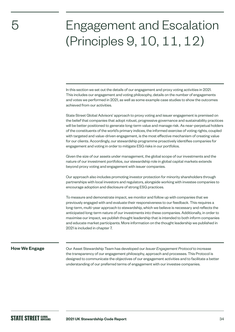### Engagement and Escalation (Principles 9, 10, 11, 12)

In this section we set out the details of our engagement and proxy voting activities in 2021. This includes our engagement and voting philosophy, details on the number of engagements and votes we performed in 2021, as well as some example case studies to show the outcomes achieved from our activities.

State Street Global Advisors' approach to proxy voting and issuer engagement is premised on the belief that companies that adopt robust, progressive governance and sustainability practices will be better positioned to generate long-term value and manage risk. As near-perpetual holders of the constituents of the world's primary indices, the informed exercise of voting rights, coupled with targeted and value-driven engagement, is the most effective mechanism of creating value for our clients. Accordingly, our stewardship programme proactively identifies companies for engagement and voting in order to mitigate ESG risks in our portfolios.

Given the size of our assets under management, the global scope of our investments and the nature of our investment portfolios, our stewardship role in global capital markets extends beyond proxy voting and engagement with issuer companies.

Our approach also includes promoting investor protection for minority shareholders through partnerships with local investors and regulators, alongside working with investee companies to encourage adoption and disclosure of strong ESG practices.

To measure and demonstrate impact, we monitor and follow up with companies that we previously engaged with and evaluate their responsiveness to our feedback. This requires a long-term, multi-year approach to stewardship, which we believe is necessary and reflects the anticipated long-term nature of our investments into these companies. Additionally, in order to maximise our impact, we publish thought leadership that is intended to both inform companies and educate market participants. More information on the thought leadership we published in 2021 is included in chapter 7.

#### **How We Engage**

<span id="page-33-0"></span>5

Our Asset Stewardship Team has developed our *Issuer Engagement Protocol* to increase the transparency of our engagement philosophy, approach and processes. This Protocol is designed to communicate the objectives of our engagement activities and to facilitate a better understanding of our preferred terms of engagement with our investee companies.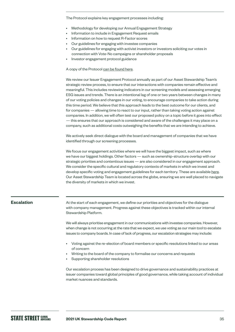<span id="page-34-0"></span>The Protocol explains key engagement processes including:

- Methodology for developing our Annual Engagement Strategy
- Information to include in Engagement Request emails
- Information on how to request R-Factor scores
- Our guidelines for engaging with investee companies
- Our guidelines for engaging with activist investors or investors soliciting our votes in connection with Vote-No campaigns or shareholder proposals
- Investor engagement protocol guidance

#### A copy of the Protocol [can be found here.](https://www.ssga.com/library-content/pdfs/ic/state-street-global-advisors-issuer-engagement-protocol.pdf)

We review our Issuer Engagement Protocol annually as part of our Asset Stewardship Team's strategic review process, to ensure that our interactions with companies remain effective and meaningful. This includes reviewing indicators in our screening models and assessing emerging ESG issues and trends. There is an intentional lag of one or two years between changes in many of our voting policies and changes in our voting, to encourage companies to take action during this time period. We believe that this approach leads to the best outcome for our clients, and for companies — allowing time to react to our input, rather than taking voting action against companies. In addition, we will often test our proposed policy on a topic before it goes into effect — this ensures that our approach is considered and aware of the challenges it may place on a company, such as additional costs outweighing the benefits that we are intending to achieve.

We actively seek direct dialogue with the board and management of companies that we have identified through our screening processes.

We focus our engagement activities where we will have the biggest impact, such as where we have our biggest holdings. Other factors — such as ownership-structure overlap with our strategic priorities and contentious issues — are also considered in our engagement approach. We consider the specific cultural and regulatory contexts of markets in which we invest and develop specific voting and engagement guidelines for each territory. These are available [here](https://www.ssga.com/uk/en_gb/institutional/ic/capabilities/esg/asset-stewardship/asset-stewardship-report-library). Our Asset Stewardship Team is located across the globe, ensuring we are well placed to navigate the diversity of markets in which we invest.

#### **Escalation**

At the start of each engagement, we define our priorities and objectives for the dialogue with company management. Progress against these objectives is tracked within our internal Stewardship Platform.

We will always prioritise engagement in our communications with investee companies. However, when change is not occurring at the rate that we expect, we use voting as our main tool to escalate issues to company boards. In case of lack of progress, our escalation strategies may include:

- Voting against the re-election of board members or specific resolutions linked to our areas of concern
- Writing to the board of the company to formalise our concerns and requests
- Supporting shareholder resolutions

Our escalation process has been designed to drive governance and sustainability practices at issuer companies toward global principles of good governance, while taking account of individual market nuances and standards.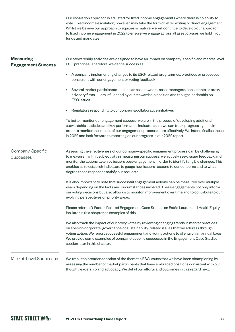Our escalation approach is adjusted for fixed income engagements where there is no ability to vote. Fixed income escalation, however, may take the form of letter writing or direct engagement. Whilst we believe our approach to equities is mature, we will continue to develop our approach to fixed income engagement in 2022 to ensure we engage across all asset classes we hold in our funds and mandates.

| <b>Measuring</b><br><b>Engagement Success</b> | Our stewardship activities are designed to have an impact on company-specific and market-level<br>ESG practices. Therefore, we define success as:                                                                                                                                                                                                                                                                                                |
|-----------------------------------------------|--------------------------------------------------------------------------------------------------------------------------------------------------------------------------------------------------------------------------------------------------------------------------------------------------------------------------------------------------------------------------------------------------------------------------------------------------|
|                                               | A company implementing changes to its ESG-related programmes, practices or processes<br>٠<br>consistent with our engagement or voting feedback                                                                                                                                                                                                                                                                                                   |
|                                               | Several market participants - such as asset owners, asset managers, consultants or proxy<br>٠<br>advisory firms - are influenced by our stewardship position and thought leadership on<br><b>ESG</b> issues                                                                                                                                                                                                                                      |
|                                               | Regulators responding to our concerns/collaborative initiatives                                                                                                                                                                                                                                                                                                                                                                                  |
|                                               | To better monitor our engagement success, we are in the process of developing additional<br>stewardship statistics and key performance indicators that we can track progress against in<br>order to monitor the impact of our engagement process more effectively. We intend finalise these<br>in 2022 and look forward to reporting on our progress in our 2022 report.                                                                         |
| Company-Specific<br><b>Successes</b>          | Assessing the effectiveness of our company-specific engagement process can be challenging<br>to measure. To limit subjectivity in measuring our success, we actively seek issuer feedback and<br>monitor the actions taken by issuers post-engagement in order to identify tangible changes. This<br>enables us to establish indicators to gauge how issuers respond to our concerns and to what<br>degree these responses satisfy our requests. |
|                                               | It is also important to note that successful engagement activity can be measured over multiple<br>years depending on the facts and circumstances involved. These engagements not only inform<br>our voting decisions but also allow us to monitor improvement over time and to contribute to our<br>evolving perspectives on priority areas.                                                                                                     |
|                                               | Please refer to R-Factor-Related Engagement Case Studies on Estée Lauder and HealthEquity,<br>Inc. later in this chapter as examples of this.                                                                                                                                                                                                                                                                                                    |
|                                               | We also track the impact of our proxy votes by reviewing changing trends in market practices<br>on specific corporate-governance or sustainability-related issues that we address through<br>voting action. We report successful engagement and voting actions to clients on an annual basis.<br>We provide some examples of company-specific successes in the Engagement Case Studies<br>section later in this chapter.                         |
| Market-Level Successes                        | We track the broader adoption of the thematic ESG issues that we have been championing by<br>assessing the number of market participants that have embraced positions consistent with our<br>thought leadership and advocacy. We detail our efforts and outcomes in this regard next.                                                                                                                                                            |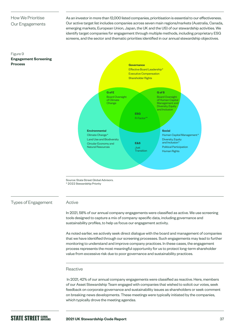## How We Prioritise Our Engagements

**Engagement Screening** 

Figure 9

As an investor in more than 12,000 listed companies, prioritisation is essential to our effectiveness. Our active target list includes companies across seven main regions/markets (Australia, Canada, emerging markets, European Union, Japan, the UK and the US) of our stewardship activities. We identify target companies for engagement through multiple methods, including proprietary ESG screens, and the sector and thematic priorities identified in our annual stewardship objectives.



Source: State Street Global Advisors. \* 2022 Stewardship Priority

Types of Engagement

### Active

In 2021, 58% of our annual company engagements were classified as active. We use screening tools designed to capture a mix of company-specific data, including governance and sustainability profiles, to help us focus our engagement activity.

As noted earlier, we actively seek direct dialogue with the board and management of companies that we have identified through our screening processes. Such engagements may lead to further monitoring to understand and improve company practices. In these cases, the engagement process represents the most meaningful opportunity for us to protect long-term shareholder value from excessive risk due to poor governance and sustainability practices.

### Reactive

 In 2021, 42% of our annual company engagements were classified as reactive. Here, members of our Asset Stewardship Team engaged with companies that wished to solicit our votes, seek feedback on corporate governance and sustainability issues as shareholders or seek comment on breaking-news developments. These meetings were typically initiated by the companies, which typically drove the meeting agendas.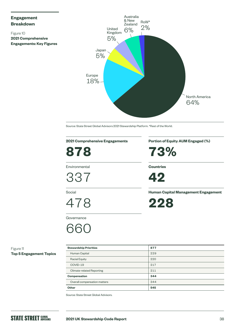## **Engagement Breakdown**

Figure 10 **2021 Comprehensive Engagements: Key Figures**



Source: State Street Global Advisors 2021 Stewardship Platform. \*Rest of the World.

## **2021 Comprehensive Engagements**

**878**

Environmental

337

Social

478

**Governance** 

## 661

**Portion of Equity AUM Engaged (%)**

**73%**

**Countries**



**Human Capital Management Engagement**

**228**

Figure 11 **Top 5 Engagement Topics**

| <b>Stewardship Priorities</b> | 877 |
|-------------------------------|-----|
| Human Capital                 | 229 |
| <b>Racial Equity</b>          | 220 |
| COVID-19                      | 217 |
| Climate-related Reporting     | 211 |
| Compensation                  | 344 |
| Overall compensation matters  | 344 |
| Other                         | 545 |

Source: State Street Global Advisors.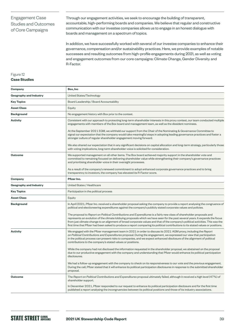## Engagement Case Studies and Outcomes of Core Campaigns

Through our engagement activities, we seek to encourage the building of transparent, accountable, high-performing boards and companies. We believe that regular and constructive communication with our investee companies allows us to engage in an honest dialogue with boards and management on a spectrum of topics.

In addition, we have successfully worked with several of our investee companies to enhance their governance, compensation and/or sustainability practices. Here, we provide examples of notable successes and resulting outcomes from high-profile engagements during 2021, as well as voting and engagement outcomes from our core campaigns: Climate Change, Gender Diversity and R-Factor.

## Figure 12

## **Case Studies**

| Company                       | Box, Inc                                                                                                                                                                                                                                                                                                                                                                                                                                                                                                                        |  |  |
|-------------------------------|---------------------------------------------------------------------------------------------------------------------------------------------------------------------------------------------------------------------------------------------------------------------------------------------------------------------------------------------------------------------------------------------------------------------------------------------------------------------------------------------------------------------------------|--|--|
| <b>Geography and Industry</b> | United States/Technology                                                                                                                                                                                                                                                                                                                                                                                                                                                                                                        |  |  |
| <b>Key Topics</b>             | Board Leadership / Board Accountability                                                                                                                                                                                                                                                                                                                                                                                                                                                                                         |  |  |
| <b>Asset Class</b>            | Equity                                                                                                                                                                                                                                                                                                                                                                                                                                                                                                                          |  |  |
| <b>Background</b>             | No engagement history with Box prior to the contest.                                                                                                                                                                                                                                                                                                                                                                                                                                                                            |  |  |
| <b>Activity</b>               | Consistent with our approach to protecting long-term shareholder interests in this proxy contest, our team conducted multiple<br>engagements with members of the Box board and management team, as well as the dissident nominees.                                                                                                                                                                                                                                                                                              |  |  |
|                               | At the September 2021 EGM, we withheld our support from the Chair of the Nominating & Governance Committee to<br>signal our expectation that the company would take meaningful steps in adopting leading governance practices and foster a<br>stronger culture of regular shareholder engagement moving forward.                                                                                                                                                                                                                |  |  |
|                               | We also shared our expectation that in any significant decisions on capital allocation and long-term strategy, particularly those<br>with voting implications, long-term shareholder voice is solicited for consideration.                                                                                                                                                                                                                                                                                                      |  |  |
| <b>Outcome</b>                | We supported management on all other items. The Box board achieved majority support in the shareholder vote and<br>committed to remaining focused on delivering shareholder value while strengthening their company's governance practices<br>and prioritising shareholder voice in their oversight processes.                                                                                                                                                                                                                  |  |  |
|                               | As a result of the company's renewed commitment to adopt enhanced corporate governance practices and to bring<br>transparency to investors, the company has elevated its R-Factor score.                                                                                                                                                                                                                                                                                                                                        |  |  |
| Company                       | Pfizer Inc.                                                                                                                                                                                                                                                                                                                                                                                                                                                                                                                     |  |  |
| <b>Geography and Industry</b> | United States / Healthcare                                                                                                                                                                                                                                                                                                                                                                                                                                                                                                      |  |  |
| <b>Key Topics</b>             | Participation in the political process                                                                                                                                                                                                                                                                                                                                                                                                                                                                                          |  |  |
| <b>Asset Class</b>            | Equity                                                                                                                                                                                                                                                                                                                                                                                                                                                                                                                          |  |  |
| <b>Background</b>             | In April 2021, Pfizer Inc. received a shareholder proposal asking the company to provide a report analysing the congruence of<br>political and electioneering expenditures against the company's publicly stated corporate values and policies.                                                                                                                                                                                                                                                                                 |  |  |
|                               | The proposal to Report on Political Contributions and Expenditures is a fairly new class of shareholder proposals and<br>represents an evolution of the climate lobbying proposals which we have seen for the past several years. It expands the focus<br>from just climate change to an alignment of broad corporate values and that of the company's political activities. This was the<br>first time that Pfizer had been asked to produce a report comparing its political contributions to its stated values or positions. |  |  |
| <b>Activity</b>               | We engaged with the Pfizer management team in 2021 in order to discuss its 2021 AGM proxy, including the Report<br>on Political Contributions and Expenditures proposal. During the engagement, we expressed our view that participation<br>in the political process can present risks to companies, and we expect enhanced disclosure of the alignment of political<br>contributions to the company's stated values or positions.                                                                                              |  |  |
|                               | While the company had not disclosed the information requested in the shareholder proposal, we abstained on the proposal<br>due to our productive engagement with the company and understanding that Pfizer would enhance its political participation<br>disclosures.                                                                                                                                                                                                                                                            |  |  |
|                               | We had a follow-up engagement with the company to check on its responsiveness to our vote and the previous engagement.<br>During the call, Pfizer stated that it will enhance its political participation disclosures in response to the submitted shareholder<br>proposal.                                                                                                                                                                                                                                                     |  |  |
| <b>Outcome</b>                | The Report on Political Contributions and Expenditures proposal ultimately failed, although it received a high level (47%) of<br>shareholder support.                                                                                                                                                                                                                                                                                                                                                                           |  |  |
|                               | In December 2021, Pfizer responded to our request to enhance its political participation disclosure and for the first time<br>published a report analysing the incongruencies between its political positions and those of its industry associations.                                                                                                                                                                                                                                                                           |  |  |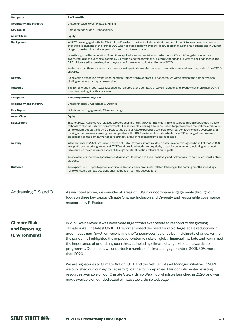| Company                       | <b>Rio Tinto Plc</b>                                                                                                                                                                                                                                                                                                                                                                                                                                                                                                                                                                             |  |  |
|-------------------------------|--------------------------------------------------------------------------------------------------------------------------------------------------------------------------------------------------------------------------------------------------------------------------------------------------------------------------------------------------------------------------------------------------------------------------------------------------------------------------------------------------------------------------------------------------------------------------------------------------|--|--|
| <b>Geography and Industry</b> | United Kingdom (Plc) / Metals & Mining                                                                                                                                                                                                                                                                                                                                                                                                                                                                                                                                                           |  |  |
| <b>Key Topics</b>             | Remuneration / Social Responsibility                                                                                                                                                                                                                                                                                                                                                                                                                                                                                                                                                             |  |  |
| <b>Asset Class</b>            | Equity                                                                                                                                                                                                                                                                                                                                                                                                                                                                                                                                                                                           |  |  |
| <b>Background</b>             | In 2021, we engaged with the Chair of the Board and the Senior Independent Director of Rio Tinto to express our concerns<br>over the exit package of the former CEO who had stepped down over the destruction of an aboriginal heritage site in Juukan<br>Gorge in Western Australia as part of an iron ore mine expansion.                                                                                                                                                                                                                                                                      |  |  |
|                               | Even though the Remuneration Committee applied a malus provision to the former CEO's 2020 long-term incentive<br>award, reducing the vesting outcome by £1 million, and the forfeiting of his 2020 bonus, in our view the exit package (circa<br>£27 million) is still excessive given the gravity of the events at Juukan Gorge in 2020.                                                                                                                                                                                                                                                        |  |  |
|                               | We believe that there is a case for a more robust application of the malus provisions for unvested awards granted from 2018<br>onwards.                                                                                                                                                                                                                                                                                                                                                                                                                                                          |  |  |
| <b>Activity</b>               | As no action was taken by the Remuneration Committee to address our concerns, we voted against the company's non-<br>binding remuneration report resolution                                                                                                                                                                                                                                                                                                                                                                                                                                      |  |  |
| <b>Outcome</b>                | The remuneration report was subsequently rejected at the company's AGMs in London and Sydney with more than 60% of<br>the votes cast against this proposal.                                                                                                                                                                                                                                                                                                                                                                                                                                      |  |  |
| Company                       | <b>Rolls-Royce Holdings Plc</b>                                                                                                                                                                                                                                                                                                                                                                                                                                                                                                                                                                  |  |  |
| <b>Geography and Industry</b> | United Kingdom / Aerospace & Defence                                                                                                                                                                                                                                                                                                                                                                                                                                                                                                                                                             |  |  |
| <b>Key Topics</b>             | Collaborative Engagement / Climate Change                                                                                                                                                                                                                                                                                                                                                                                                                                                                                                                                                        |  |  |
| <b>Asset Class</b>            | Equity                                                                                                                                                                                                                                                                                                                                                                                                                                                                                                                                                                                           |  |  |
| <b>Background</b>             | In June 2021, Rolls-Royce released a report outlining its strategy for transitioning to net zero and held a dedicated investor<br>webcast to discuss its latest commitments. These include: defining a science-based target to reduce the lifetime emissions<br>of new sold products 35% by 2030, pivoting 75% of R&D expenditure towards lower-carbon technologies by 2025, and<br>making all commercial aero engines compatible with 100% sustainable aviation fuels by 2023, among others. We were<br>pleased to see the company's net zero strategy evolve in response to investor feedback. |  |  |
| <b>Activity</b>               | In the summer of 2021, we led an analysis of Rolls-Royce's climate-related disclosure and strategy on behalf of the CA100+<br>group. We evaluated alignment with TCFD and provided feedback on priority areas for engagement, including enhanced<br>disclosure on the company's approach to align capital allocation with its climate goals.                                                                                                                                                                                                                                                     |  |  |
|                               | We view the company's responsiveness to investor feedback this year positively and look forward to continued constructive<br>dialogue.                                                                                                                                                                                                                                                                                                                                                                                                                                                           |  |  |
| <b>Outcome</b>                | We expect Rolls-Royce to provide additional transparency on climate-related lobbying in the coming months, including a<br>review of stated climate positions against those of its trade associations.                                                                                                                                                                                                                                                                                                                                                                                            |  |  |
|                               |                                                                                                                                                                                                                                                                                                                                                                                                                                                                                                                                                                                                  |  |  |
| Addressing E, S and G         | As we noted above, we consider all areas of ESG in our company engagements through our<br>focus on three key topics: Climate Change, Inclusion and Diversity and responsible governance                                                                                                                                                                                                                                                                                                                                                                                                          |  |  |
|                               | measured by R-Factor.                                                                                                                                                                                                                                                                                                                                                                                                                                                                                                                                                                            |  |  |
| <b>Climate Risk</b>           | In 2021, we believed it was even more urgent than ever before to respond to the growing                                                                                                                                                                                                                                                                                                                                                                                                                                                                                                          |  |  |
| and Reporting                 | climate risks. The latest UN IPCC report stressed the need for rapid, large-scale reductions in                                                                                                                                                                                                                                                                                                                                                                                                                                                                                                  |  |  |
| (Environment)                 | greenhouse gas (GHG) emissions and the "unequivocal" science behind climate change. Further,<br>the pandemic highlighted the impact of systemic risks on global financial markets and reaffirmed<br>the importance of prioritising such threats, including climate change, via our stewardship<br>programme. Due to this, we undertook a number of climate engagements in 2021, 89% more<br>than 2020.                                                                                                                                                                                           |  |  |
|                               | We are signatories to Climate Action 100+ and the Net Zero Asset Manager initiative. In 2021                                                                                                                                                                                                                                                                                                                                                                                                                                                                                                     |  |  |

we published ou[r journey to net zero](https://www.ssga.com/library-content/pdfs/global/journey-to-net-zero-june-2021.pdf) guidance for companies. This complemented existing resources available on our Climate Stewardship Web Hub which we launched in 2020, and was made available on our dedicated [climate stewardship webpage](https://www.ssga.com/uk/en_gb/institutional/ic/insights/climate-stewardship).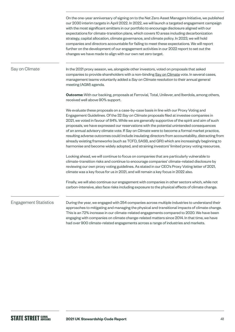|                              | On the one-year anniversary of signing on to the Net Zero Asset Managers Initiative, we published<br>our 2030 interim targets in April 2022. In 2022, we will launch a targeted engagement campaign<br>with the most significant emitters in our portfolio to encourage disclosure aligned with our<br>expectations for climate-transition plans, which covers 10 areas including decarbonization<br>strategy, capital allocation, climate governance, and climate policy. In 2023, we will hold<br>companies and directors accountable for failing to meet these expectations. We will report<br>further on the development of our engagement activities in our 2022 report to set out the<br>changes we have made to align with our own net zero target.                                   |
|------------------------------|----------------------------------------------------------------------------------------------------------------------------------------------------------------------------------------------------------------------------------------------------------------------------------------------------------------------------------------------------------------------------------------------------------------------------------------------------------------------------------------------------------------------------------------------------------------------------------------------------------------------------------------------------------------------------------------------------------------------------------------------------------------------------------------------|
| Say on Climate               | In the 2021 proxy season, we, alongside other investors, voted on proposals that asked<br>companies to provide shareholders with a non-binding Say on Climate vote. In several cases,<br>management teams voluntarily added a Say on Climate resolution to their annual general<br>meeting (AGM) agenda.                                                                                                                                                                                                                                                                                                                                                                                                                                                                                     |
|                              | <b>Outcome:</b> With our backing, proposals at Ferrovial, Total, Unilever, and Iberdola, among others,<br>received well above 90% support.                                                                                                                                                                                                                                                                                                                                                                                                                                                                                                                                                                                                                                                   |
|                              | We evaluate these proposals on a case-by-case basis in line with our Proxy Voting and<br>Engagement Guidelines. Of the 32 Say on Climate proposals filed at investee companies in<br>2021, we voted in favour of 84%. While we are generally supportive of the spirit and aim of such<br>proposals, we have expressed our reservations with the potential unintended consequences<br>of an annual advisory climate vote. If Say on Climate were to become a formal market practice,<br>resulting adverse outcomes could include insulating directors from accountability, distracting from<br>already existing frameworks (such as TCFD, SASB, and GRI) which are increasingly beginning to<br>harmonise and become widely adopted, and straining investors' limited proxy voting resources. |
|                              | Looking ahead, we will continue to focus on companies that are particularly vulnerable to<br>climate-transition risks and continue to encourage companies' climate-related disclosure by<br>reviewing our own proxy voting guidelines. As stated in our CEO's Proxy Voting letter of 2021,<br>climate was a key focus for us in 2021, and will remain a key focus in 2022 also.                                                                                                                                                                                                                                                                                                                                                                                                              |
|                              | Finally, we will also continue our engagement with companies in other sectors which, while not<br>carbon-intensive, also face risks including exposure to the physical effects of climate change.                                                                                                                                                                                                                                                                                                                                                                                                                                                                                                                                                                                            |
| <b>Engagement Statistics</b> | During the year, we engaged with 254 companies across multiple industries to understand their<br>approaches to mitigating and managing the physical and transitional impacts of climate change.<br>This is an 72% increase in our climate-related engagements compared to 2020. We have been<br>engaging with companies on climate change-related matters since 2014. In that time, we have<br>had over 900 climate-related engagements across a range of industries and markets.                                                                                                                                                                                                                                                                                                            |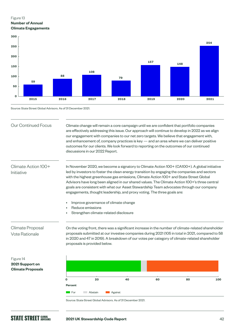### Figure 13 **Number of Annual Climate Engagements**



Source: State Street Global Advisors. As of 31 December 2021.

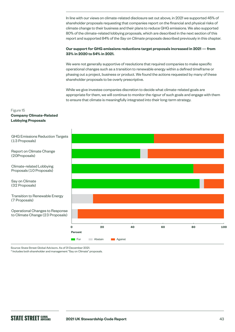In line with our views on climate-related disclosure set out above, in 2021 we supported 45% of shareholder proposals requesting that companies report on the financial and physical risks of climate change to their business and their plans to reduce GHG emissions. We also supported 80% of the climate-related lobbying proposals, which are described in the next section of this report and supported 84% of the *Say on Climate* proposals described previously in this chapter.

### **Our support for GHG emissions reductions target proposals increased in 2021 — from 33% in 2020 to 54% in 2021.**

We were not generally supportive of resolutions that required companies to make specific operational changes such as a transition to renewable energy within a defined timeframe or phasing out a project, business or product. We found the actions requested by many of these shareholder proposals to be overly prescriptive.

While we give investee companies discretion to decide what climate-related goals are appropriate for them, we will continue to monitor the rigour of such goals and engage with them to ensure that climate is meaningfully integrated into their long-term strategy.

### Figure 15

### **Company Climate-Related Lobbying Proposals**



Source: State Street Global Advisors. As of 31 December 2021.

\* Includes both shareholder and management "Say on Climate" proposals.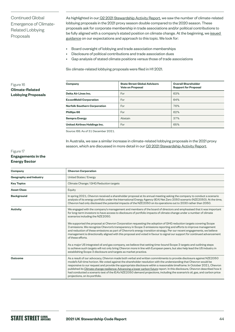Continued Global Emergence of Climate-Related Lobbying Proposals

As highlighted in our [Q2 2021 Stewardship Activity Report](https://www.ssga.com/library-content/products/esg/asset-stewardship-activity-q2-2021.pdf), we saw the number of climate-related lobbying proposals in the 2021 proxy season double compared to the 2020 season. These proposals ask for corporate membership in trade associations and/or political contributions to be fully aligned with a company's stated position on climate change. At the beginning, we [issued](https://www.ssga.com/library-content/pdfs/asset-stewardship/guidance-on-climate-related-disclosures.pdf)  [guidance](https://www.ssga.com/library-content/pdfs/asset-stewardship/guidance-on-climate-related-disclosures.pdf) on our expectations and approach to this topic. We look for:

- Board oversight of lobbying and trade association memberships
- Disclosure of political contributions and trade association dues
- Gap analysis of stated climate positions versus those of trade associations

Six climate-related lobbying proposals were filed in H1 2021.

### Figure 16 **Climate-Related Lobbying Proposals**

| Company                             | <b>State Street Global Advisors</b><br><b>Vote on Proposal</b> | <b>Overall Shareholder</b><br><b>Support for Proposal</b> |
|-------------------------------------|----------------------------------------------------------------|-----------------------------------------------------------|
| Delta Air Lines Inc.                | For                                                            | 63%                                                       |
| <b>ExxonMobil Corporation</b>       | For                                                            | 64%                                                       |
| <b>Norfolk Southern Corporation</b> | For                                                            | 76%                                                       |
| Phillips 66                         | For                                                            | 62%                                                       |
| <b>Sempra Energy</b>                | Abstain                                                        | 37%                                                       |
| United Airlines Holdings Inc.       | For                                                            | 65%                                                       |

Source: ISS. As of 31 December 2021.

In Australia, we saw a similar increase in climate-related lobbying proposals in the 2021 proxy season, which are discussed in more detail in our [Q3 2021 Stewardship Activity Report.](https://www.ssga.com/library-content/products/esg/inst-firm-level-asset-stewardship-report-q3-2021.pdf)

### Figure 17 **Engagements in the Energy Sector**

| Company                       | <b>Chevron Corporation</b>                                                                                                                                                                                                                                                                                                                                                                                                                                                                                                                                                                                                                                              |  |  |
|-------------------------------|-------------------------------------------------------------------------------------------------------------------------------------------------------------------------------------------------------------------------------------------------------------------------------------------------------------------------------------------------------------------------------------------------------------------------------------------------------------------------------------------------------------------------------------------------------------------------------------------------------------------------------------------------------------------------|--|--|
| <b>Geography and Industry</b> | United States / Energy                                                                                                                                                                                                                                                                                                                                                                                                                                                                                                                                                                                                                                                  |  |  |
| <b>Key Topics</b>             | Climate Change / GHG Reduction targets                                                                                                                                                                                                                                                                                                                                                                                                                                                                                                                                                                                                                                  |  |  |
| <b>Asset Class</b>            | Equity                                                                                                                                                                                                                                                                                                                                                                                                                                                                                                                                                                                                                                                                  |  |  |
| <b>Background</b>             | In spring 2021, Chevron received a shareholder proposal at its annual meeting asking the company to conduct a scenario<br>analysis of its energy portfolio under the International Energy Agency (IEA) Net Zero 2050 scenario (NZE2050). At the time,<br>Chevron had only disclosed the potential impacts of the NZE2050 on its operations out to 2030 rather than 2050.                                                                                                                                                                                                                                                                                                |  |  |
| <b>Activity</b>               | We engaged with the company's management and members of the board of directors and emphasised that it was important<br>for long-term investors to have access to disclosure of portfolio impacts of climate change under a number of climate<br>scenarios including the NZE2050.                                                                                                                                                                                                                                                                                                                                                                                        |  |  |
|                               | We supported the proposal at Chevron Corporation requesting the adoption of GHG reduction targets covering Scope<br>3 emissions. We recognize Chevron's transparency in Scope 3 emissions reporting and efforts to improve management<br>and reduction of these emissions as part of Chevron's energy transition strategy. Per our recent engagements, we believe<br>management is directionally aligned with this proposal and voted in favour to signal our support for continued advancement<br>of these efforts.                                                                                                                                                    |  |  |
|                               | As a major US integrated oil and gas company, we believe that setting time-bound Scope 3 targets and outlining steps<br>to achieve such targets will not only bring Chevron more in line with European peers, but also help lead the US industry in<br>establishing Scope 3 disclosure and targets as market practice.                                                                                                                                                                                                                                                                                                                                                  |  |  |
| <b>Outcome</b>                | As a result of our advocacy, Chevron made both verbal and written commitments to provide disclosure against NZE2050<br>model's full-time horizon. We voted against the shareholder resolution with the understanding that Chevron would be<br>responsive to our request and provide the appropriate disclosure within a reasonable timeframe. In October 2021, Chevron<br>published its Climate change resilience: Advancing a lower carbon future report. In this disclosure, Chevron described how it<br>had conducted a scenario test of the IEA's NZE2050 demand projections, including the scenario's oil, gas, and carbon price<br>projections, on its portfolio. |  |  |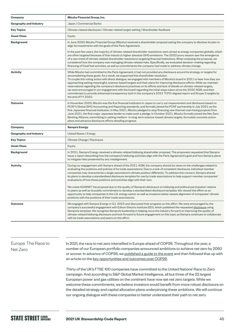| Company                       | Mizuho Financial Group, Inc.                                                                                                                                                                                                                                                                                                                                                                                                                                                                                                                                                                                                                                                                                                                                                                                                                                           |  |  |
|-------------------------------|------------------------------------------------------------------------------------------------------------------------------------------------------------------------------------------------------------------------------------------------------------------------------------------------------------------------------------------------------------------------------------------------------------------------------------------------------------------------------------------------------------------------------------------------------------------------------------------------------------------------------------------------------------------------------------------------------------------------------------------------------------------------------------------------------------------------------------------------------------------------|--|--|
| <b>Geography and Industry</b> | Japan / Commercial Banks                                                                                                                                                                                                                                                                                                                                                                                                                                                                                                                                                                                                                                                                                                                                                                                                                                               |  |  |
| <b>Key Topics</b>             | Climate-related disclosure / Climate-related target-setting / Shareholder feedback                                                                                                                                                                                                                                                                                                                                                                                                                                                                                                                                                                                                                                                                                                                                                                                     |  |  |
| <b>Asset Class</b>            | Equity                                                                                                                                                                                                                                                                                                                                                                                                                                                                                                                                                                                                                                                                                                                                                                                                                                                                 |  |  |
| <b>Background</b>             | In June 2020, Mizuho Financial Group (Mizuho) received a shareholder proposal asking the company to disclose its plan to<br>align its investments with the goals of the Paris Agreement.                                                                                                                                                                                                                                                                                                                                                                                                                                                                                                                                                                                                                                                                               |  |  |
|                               | In the past few years, the majority of climate-related shareholder resolutions were aimed at energy companies globally, which<br>are often targeted because of that industry's higher absolute GHG emissions. The 2020 proxy season saw the emergence<br>of a new trend of climate-related shareholder resolutions targeting financial institutions. When analysing the proposal, we<br>considered how the company was managing climate-related risks. Specifically, we evaluated decision-making regarding<br>financing of fossil fuel activities, as well as commitments the company had made to address climate change.                                                                                                                                                                                                                                             |  |  |
| <b>Activity</b>               | While Mizuho had committed to the Paris Agreement, it had not provided any disclosure around its strategy or targets for<br>accomplishing these goals. As a result, we supported this shareholder resolution.<br>To couple this voting action with direct dialogue, we engaged with members of Mizuho's board in 2021 to hear how they are<br>approaching setting meaningful, science-based targets and their plans for improving disclosure efforts. While we maintain<br>reservations regarding the company's disclosure practices on its efforts and lack of details on climate-related targets,<br>we were encouraged in our engagement with the board regarding the initial steps taken since the 2020 AGM, and their<br>commitment to provide enhanced transparency both in the company's 2022 TCFD-aligned report and Scope 3 targets by<br>the end of FY 2022. |  |  |
| <b>Outcome</b>                | In November 2020, Mizuho was the first financial institution in Japan to carry out measurement and disclosure based on<br>PCAF's Global GHG Accounting and Reporting standards, and formally joined the PCAF partnership in July 2021 as the<br>first Japanese financial institution. In May 2021, Mizuho pledged to stop financing new thermal coal mining projects from<br>June 2021, the first major Japanese lender to make such a pledge. In October 2021, Mizuho formally joined the Net-Zero<br>Banking Alliance, committing to setting medium- to long-term science-based climate targets, formulate concrete action<br>plans and advance disclosure efforts detailing progress.                                                                                                                                                                               |  |  |
| Company                       | <b>Sempra Energy</b>                                                                                                                                                                                                                                                                                                                                                                                                                                                                                                                                                                                                                                                                                                                                                                                                                                                   |  |  |
| Geography and Industry        | United States / Energy                                                                                                                                                                                                                                                                                                                                                                                                                                                                                                                                                                                                                                                                                                                                                                                                                                                 |  |  |
| <b>Key Topics</b>             | Climate Change / Disclosure                                                                                                                                                                                                                                                                                                                                                                                                                                                                                                                                                                                                                                                                                                                                                                                                                                            |  |  |
| <b>Asset Class</b>            | Equity                                                                                                                                                                                                                                                                                                                                                                                                                                                                                                                                                                                                                                                                                                                                                                                                                                                                 |  |  |
| <b>Background</b>             | In 2021, Sempra Energy received a climate-related lobbying shareholder proposal. The proponent requested that Sempra<br>issue a report describing how the company's lobbying activities align with the Paris Agreement's goal and how Sempra plans<br>to mitigate risks presented by any misalignment.                                                                                                                                                                                                                                                                                                                                                                                                                                                                                                                                                                 |  |  |
| <b>Activity</b>               | During our engagement with Sempra ahead of the 2021 AGM, the company shared its views on the challenges related to<br>evaluating the positions and policies of its trade associations. Due to a lack of consistent disclosure, individual member<br>companies may characterise a single association's climate position differently. To address this concern, Sempra shared<br>its plans to develop a standardised disclosure template for use by trade associations to help support member companies'<br>evaluations of how those positions and activities align with their own.<br>We voted AGAINST the proposal due to the quality of Sempra's disclosure on lobbying and political participation relative                                                                                                                                                           |  |  |
|                               | to peers as well as its public commitment to develop a standardised disclosure template. We viewed this effort as an<br>opportunity to help companies in the U.S. energy sector as well as investors better assess alignment of companies' climate<br>positions with the positions of their trade associations.                                                                                                                                                                                                                                                                                                                                                                                                                                                                                                                                                        |  |  |
| <b>Outcome</b>                | We engaged with Sempra Energy in Q1 2022 and discussed their progress on this effort. We were encouraged by the<br>company's successful engagement with Edison Electric Institute (EEI), which published the requested disclosure using<br>Sempra's template. We recognize Sempra's leadership in helping move the industry forward on improving the quality of<br>climate-related lobbying disclosure and look forward to future engagement on this topic as Sempra continues to collaborate<br>with its trade associations and peers on this effort.                                                                                                                                                                                                                                                                                                                 |  |  |

## Europe: The Race to Net Zero

In 2021, the race to net zero intensified in Europe ahead of COP26. Throughout the year, a number of our European portfolio companies announced ambitions to achieve net zero by 2050 or sooner. In advance of COP26, we [published a guide to the event](https://www.ssga.com/library-content/pdfs/global/understanding-cop26.pdf) and then followed that up with an article on the [key opportunities and outcomes post COP26.](https://www.ssga.com/uk/en_gb/institutional/ic/insights/post-cop26)

Thirty of the UK's FTSE 100 companies have committed to the United Nations' Race to Zero campaign. And according to S&P Global Market Intelligence, all but three of the 22 largest European power and gas utilities on the continent have now set net zero targets. While we welcome these commitments, we believe investors would benefit from more robust disclosure on the detailed strategy and capital allocation plans underpinning these ambitions. We will continue our ongoing dialogue with these companies to better understand their path to net zero.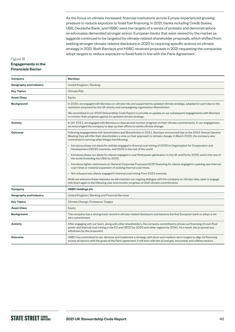As the focus on climate increased, financial institutions across Europe experienced growing pressure to reduce exposure to fossil fuel financing. In 2021, banks including Credit Suisse, UBS, Deutsche Bank, and HSBC were the targets of a series of protests and demonstrations as advocates demanded stronger action. European banks that were viewed by the market as laggards continued to be targeted by climate-related shareholder proposals, which shifted from seeking stronger climate-related disclosure in 2020 to requiring specific actions on climate strategy in 2021. Both Barclays and HSBC received proposals in 2021 requesting the companies adopt targets to reduce exposure to fossil fuels in line with the Paris Agreement.

### Figure 18 **Engagements in the Financials Sector**

| Company                       | <b>Barclays</b>                                                                                                                                                                                                                                                                                   |  |  |
|-------------------------------|---------------------------------------------------------------------------------------------------------------------------------------------------------------------------------------------------------------------------------------------------------------------------------------------------|--|--|
| <b>Geography and Industry</b> | United Kingdom / Banking                                                                                                                                                                                                                                                                          |  |  |
| <b>Key Topics</b>             | <b>Climate Risk</b>                                                                                                                                                                                                                                                                               |  |  |
| <b>Asset Class</b>            | Equity                                                                                                                                                                                                                                                                                            |  |  |
| <b>Background</b>             | In 2020, we engaged with Barclays on climate risk and supported its updated climate strategy, adopted (in part) due to the<br>resolution proposed by the UK charity and campaigning organisation ShareAction.                                                                                     |  |  |
|                               | We committed in our 2020 Stewardship Code Report to provide an update on our subsequent engagements with Barclays<br>to monitor their progress against its updated climate strategy.                                                                                                              |  |  |
| <b>Activity</b>               | In Q4 2021, we engaged with Barclays to discuss and monitor progress on their climate commitments. In our engagement,<br>we encouraged the company to step up their efforts to tackle climate change.                                                                                             |  |  |
| <b>Outcome</b>                | Following engagements with shareholders and ShareAction in 2021, Barclays announced that at the 2022 Annual General<br>Meeting they will offer their shareholders a vote on their approach to climate change. In March 2022, the company also<br>committed to (among other things) the following: |  |  |
|                               | • Introduce phase out dates for entities engaged in thermal coal mining of 2030 in Organisation for Cooperation and<br>Development (OECD) countries, and 2035 in the rest of the world.                                                                                                           |  |  |
|                               | • Introduce phase out dates for clients engaged in coal-fired power generation in the UK and EU by 2030, and in the rest of<br>the world (including the USA) by 2035.                                                                                                                             |  |  |
|                               | • Introduce tighter restrictions on General Corporate Purposes (GCP) financing for clients engaged in opening new thermal<br>coal mines or material expansion of existing thermal coal mines.                                                                                                     |  |  |
|                               | • Not onboard new clients engaged in thermal coal mining from 2023 onwards.                                                                                                                                                                                                                       |  |  |
|                               | While we welcome these requests we will maintain our ongoing dialogue with the company on climate risks, seek to engage<br>with them again in the following year and monitor progress on their climate commitments.                                                                               |  |  |
| Company                       | <b>HSBC Holdings plc</b>                                                                                                                                                                                                                                                                          |  |  |
| <b>Geography and Industry</b> | United Kingdom / Banking and Financial Services                                                                                                                                                                                                                                                   |  |  |
| <b>Key Topics</b>             | Climate Change / Emissions Targets                                                                                                                                                                                                                                                                |  |  |
| <b>Asset Class</b>            | Equity                                                                                                                                                                                                                                                                                            |  |  |
| <b>Background</b>             | The company has a strong track record in climate-related disclosure and became the first European bank to adopt a net<br>zero commitment.                                                                                                                                                         |  |  |
| <b>Activity</b>               | After engaging with our team, along with other shareholders, the company committed to phase out financing of coal-fired<br>power and thermal coal mining in the EU and OECD by 2030 and other regions by 2040. As a result, the proposal was<br>withdrawn by the proponent.                       |  |  |
| <b>Outcome</b>                | HSBC has committed to set, disclose and implement a strategy with short and medium-term targets to align its financing<br>across all sectors with the goals of the Paris agreement. It will start with the oil and gas, and power and utilities sectors.                                          |  |  |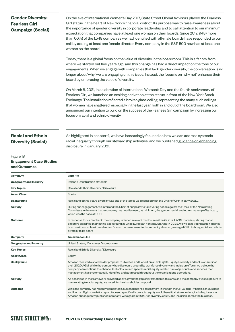## **Gender Diversity: Fearless Girl Campaign (Social)**

On the eve of International Women's Day 2017, State Street Global Advisors placed the Fearless Girl statue in the heart of New York's financial district. Its purpose was to raise awareness about the importance of gender diversity in corporate leadership and to call attention to our minimum expectation that companies have at least one woman on their boards. Since 2017, 948 (more than 60%) of the 1,548 companies we had identified with all-male boards have responded to our call by adding at least one female director. Every company in the S&P 500 now has at least one woman on the board.

Today, there is a global focus on the value of diversity in the boardroom. This is a far cry from where we started out five years ago, and this change has had a direct impact on the tone of our engagements. When we engage with companies that lack gender diversity, the conversation is no longer about 'why' we are engaging on this issue. Instead, the focus is on 'why not' enhance their board by embracing the value of diversity.

On March 8, 2021, in celebration of International Women's Day and the fourth anniversary of Fearless Girl, we launched an exciting activation at the statue in front of the New York Stock Exchange. The installation reflected a broken glass ceiling, representing the many such ceilings that women have shattered, especially in the last year, both in and out of the boardroom. We also announced our intention to build on the success of the Fearless Girl campaign by increasing our focus on racial and ethnic diversity.

## **Racial and Ethnic Diversity (Social)**

### Figure 19 **Engagement Case Studies and Outcomes**

As highlighted in chapter 4, we have increasingly focused on how we can address systemic racial inequality through our stewardship activities, and we published guidance on enhancing [disclosure in January 2021](https://www.ssga.com/library-content/pdfs/asset-stewardship/racial-diversity-guidance-article.pdf).

| Company                       | <b>CRH Plc</b>                                                                                                                                                                                                                                                                                                                                                                                                                                                                  |  |
|-------------------------------|---------------------------------------------------------------------------------------------------------------------------------------------------------------------------------------------------------------------------------------------------------------------------------------------------------------------------------------------------------------------------------------------------------------------------------------------------------------------------------|--|
| <b>Geography and Industry</b> | Ireland / Construction Materials                                                                                                                                                                                                                                                                                                                                                                                                                                                |  |
| <b>Key Topics</b>             | Racial and Ethnic Diversity / Disclosure                                                                                                                                                                                                                                                                                                                                                                                                                                        |  |
| <b>Asset Class</b>            | Equity                                                                                                                                                                                                                                                                                                                                                                                                                                                                          |  |
| <b>Background</b>             | Racial and ethnic board diversity was one of the topics we discussed with the Chair of CRH in early 2021.                                                                                                                                                                                                                                                                                                                                                                       |  |
| <b>Activity</b>               | During our engagement, we informed the Chair of our policy to take voting action against the Chair of the Nominating<br>Committee in the event that a company has not disclosed, at minimum, the gender, racial, and ethnic makeup of its board,<br>which was the case at CRH.                                                                                                                                                                                                  |  |
| <b>Outcome</b>                | In response to our feedback, the company included relevant disclosure within its 2021 AGM materials, stating that all<br>directors classified their ethnic background as white European heritage. Starting in 2022, we will take voting action against<br>boards without at least one director from an underrepresented community. As such, we urged CRH to bring racial and ethnic<br>diversity to its board                                                                   |  |
| Company                       | Amazon.com Inc.                                                                                                                                                                                                                                                                                                                                                                                                                                                                 |  |
| <b>Geography and Industry</b> | United States / Consumer Discretionary                                                                                                                                                                                                                                                                                                                                                                                                                                          |  |
| <b>Key Topics</b>             | Racial and Ethnic Diversity / Disclosure                                                                                                                                                                                                                                                                                                                                                                                                                                        |  |
| <b>Asset Class</b>            | Equity                                                                                                                                                                                                                                                                                                                                                                                                                                                                          |  |
| <b>Background</b>             | Amazon received a shareholder proposal to Oversee and Report on a Civil Rights, Equity, Diversity and Inclusion Audit at<br>their 2020 AGM. While the company has disclosure around its workforce diversity and inclusion efforts, we believe the<br>company can continue to enhance its disclosure into specific racial equity-related risks of products and services that<br>management has systematically identified and addressed throughout the organisation's operations. |  |
| <b>Activity</b>               | As described in the framework provided above, given the gap of information in this area and the company's vast exposure to<br>risks relating to racial equity, we voted for the shareholder proposal.                                                                                                                                                                                                                                                                           |  |
| <b>Outcome</b>                | While the company has recently completed a human rights risk assessment in line with the UN Guiding Principles on Business<br>and Human Rights, we felt a report focused specifically on racial equity would benefit all stakeholders, including investors.<br>Amazon subsequently published company-wide goals in 2021 for diversity, equity and inclusion across the business.                                                                                                |  |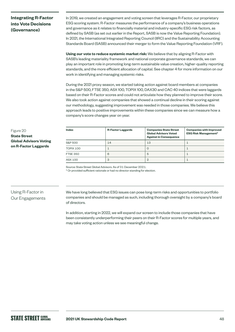## **Integrating R-Factor into Vote Decisions (Governance)**

In 2019, we created an engagement and voting screen that leverages R-Factor, our proprietary ESG scoring system. R-Factor measures the performance of a company's business operations and governance as it relates to financially material and industry-specific ESG risk factors, as defined by SASB (as set out earlier in the Report, SASB is now the Value Reporting Foundation). In 2021, the International Integrated Reporting Council (IIRC) and the Sustainability Accounting Standards Board (SASB) announced their merger to form the Value Reporting Foundation (VRF).

**Using our vote to reduce systemic market risk:** We believe that by aligning R-Factor with SASB's leading materiality framework and national corporate governance standards, we can play an important role in promoting long-term sustainable value creation, higher-quality reporting standards, and the more efficient allocation of capital. See chapter 4 for more information on our work in identifying and managing systemic risks.

During the 2021 proxy season, we started taking action against board members at companies in the S&P 500, FTSE 350, ASX 100, TOPIX 100, DAX30 and CAC 40 indices that were laggards based on their R-Factor scores and could not articulate how they planned to improve their score. We also took action against companies that showed a continual decline in their scoring against our methodology, suggesting improvement was needed in those companies. We believe this approach leads to positive improvements within these companies since we can measure how a company's score changes year on year.

### Figure 20 **State Street Global Advisors Voting on R-Factor Laggards**

| <b>Index</b>    | <b>R-Factor Laggards</b> | <b>Companies State Street</b><br><b>Global Advisors Voted</b><br><b>Against in Consequence</b> | <b>Companies with Improved</b><br><b>ESG Risk Management*</b> |
|-----------------|--------------------------|------------------------------------------------------------------------------------------------|---------------------------------------------------------------|
| S&P 500         | 14                       | 13                                                                                             |                                                               |
| TOPIX 100       |                          | Ü                                                                                              |                                                               |
| <b>FTSE 350</b> | 6                        | b                                                                                              |                                                               |
| ASX 100         | 3                        |                                                                                                |                                                               |

Source: State Street Global Advisors. As of 31 December 2021.

\* Or provided sufficient rationale or had no director standing for election.

## Using R-Factor in Our Engagements

We have long believed that ESG issues can pose long-term risks and opportunities to portfolio companies and should be managed as such, including thorough oversight by a company's board of directors.

In addition, starting in 2022, we will expand our screen to include those companies that have been consistently underperforming their peers on their R-Factor scores for multiple years, and may take voting action unless we see meaningful change.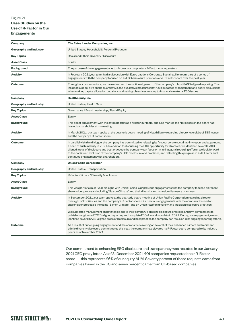### Figure 21 **Case Studies on the Use of R-Factor in Our Engagements**

| Company                       | The Estée Lauder Companies, Inc.                                                                                                                                                                                                                                                                                                                                                                                                                                                                                                                                                                                                                                                                                                                |  |  |
|-------------------------------|-------------------------------------------------------------------------------------------------------------------------------------------------------------------------------------------------------------------------------------------------------------------------------------------------------------------------------------------------------------------------------------------------------------------------------------------------------------------------------------------------------------------------------------------------------------------------------------------------------------------------------------------------------------------------------------------------------------------------------------------------|--|--|
| <b>Geography and Industry</b> | United States / Household & Personal Products                                                                                                                                                                                                                                                                                                                                                                                                                                                                                                                                                                                                                                                                                                   |  |  |
| <b>Key Topics</b>             | Racial and Ethnic Diversity / Disclosure                                                                                                                                                                                                                                                                                                                                                                                                                                                                                                                                                                                                                                                                                                        |  |  |
| <b>Asset Class</b>            | Equity                                                                                                                                                                                                                                                                                                                                                                                                                                                                                                                                                                                                                                                                                                                                          |  |  |
| <b>Background</b>             | The purpose of the engagement was to discuss our proprietary R-Factor scoring system.                                                                                                                                                                                                                                                                                                                                                                                                                                                                                                                                                                                                                                                           |  |  |
| <b>Activity</b>               | In February 2021, our team had a discussion with Estée Lauder's Corporate Sustainability team, part of a series of<br>engagements with the company focused on its ESG disclosure practices and R-Factor score over the past year.                                                                                                                                                                                                                                                                                                                                                                                                                                                                                                               |  |  |
| <b>Outcome</b>                | Through our conversations, we have observed the continued growth of the company's robust SASB-aligned reporting. This<br>included a deep-dive on the quantitative and qualitative measures that have impacted management and board discussions<br>when making capital allocation decisions and setting objectives relating to financially material ESG issues.                                                                                                                                                                                                                                                                                                                                                                                  |  |  |
| Company                       | HealthEquity, Inc.                                                                                                                                                                                                                                                                                                                                                                                                                                                                                                                                                                                                                                                                                                                              |  |  |
| <b>Geography and Industry</b> | United States / Health Care                                                                                                                                                                                                                                                                                                                                                                                                                                                                                                                                                                                                                                                                                                                     |  |  |
| <b>Key Topics</b>             | Governance / Board Leadership / Racial Equity                                                                                                                                                                                                                                                                                                                                                                                                                                                                                                                                                                                                                                                                                                   |  |  |
| <b>Asset Class</b>            | Equity                                                                                                                                                                                                                                                                                                                                                                                                                                                                                                                                                                                                                                                                                                                                          |  |  |
| <b>Background</b>             | This direct engagement with the entire board was a first for our team, and also marked the first occasion the board had<br>hosted a shareholder at its meeting.                                                                                                                                                                                                                                                                                                                                                                                                                                                                                                                                                                                 |  |  |
| <b>Activity</b>               | In March 2021, our team spoke at the quarterly board meeting of HealthEquity regarding director oversight of ESG issues<br>and the company's R-Factor score.                                                                                                                                                                                                                                                                                                                                                                                                                                                                                                                                                                                    |  |  |
| <b>Outcome</b>                | In parallel with this dialogue, the company has committed to releasing its first corporate sustainability report and appointing<br>a head of sustainability in 2021. In addition to discussing the ESG opportunity for directors, we identified several SASB-<br>aligned areas of disclosure and best practices the company can focus on in its inaugural reporting efforts. We look forward<br>to the continued evolution of the company's ESG disclosure and practices, and reflecting this progress in its R-Factor and<br>continued engagement with shareholders.                                                                                                                                                                           |  |  |
| Company                       | <b>Union Pacific Corporation</b>                                                                                                                                                                                                                                                                                                                                                                                                                                                                                                                                                                                                                                                                                                                |  |  |
| Geography and Industry        | United States / Transportation                                                                                                                                                                                                                                                                                                                                                                                                                                                                                                                                                                                                                                                                                                                  |  |  |
| <b>Key Topics</b>             | R-Factor Climate / Diversity & Inclusion                                                                                                                                                                                                                                                                                                                                                                                                                                                                                                                                                                                                                                                                                                        |  |  |
| <b>Asset Class</b>            | Equity                                                                                                                                                                                                                                                                                                                                                                                                                                                                                                                                                                                                                                                                                                                                          |  |  |
| <b>Background</b>             | This was part of a multi-year dialogue with Union Pacific. Our previous engagements with the company focused on recent<br>shareholder proposals including "Say on Climate" and their diversity and inclusion disclosure practices.                                                                                                                                                                                                                                                                                                                                                                                                                                                                                                              |  |  |
| <b>Activity</b>               | In September 2021, our team spoke at the quarterly board meeting of Union Pacific Corporation regarding director<br>oversight of ESG issues and the company's R-Factor score. Our previous engagements with the company focused on<br>shareholder proposals, including "Say on Climate," and on Union Pacific's diversity and inclusion disclosure practices.<br>We supported management on both topics due to their company's ongoing disclosure practices and firm commitment to<br>publish strengthened TCFD-aligned reporting and complete EEO-1 workforce data in 2021. During our engagement, we also<br>identified several SASB-aligned areas of disclosure and best practice the company can focus on in its ongoing reporting efforts. |  |  |
| <b>Outcome</b>                | As a result of our ongoing engagement and the company delivering on several of their enhanced climate and racial and<br>ethnic diversity disclosure commitments this year, the company has elevated its R-Factor score compared to its industry<br>peers as of November 2021.                                                                                                                                                                                                                                                                                                                                                                                                                                                                   |  |  |

Our commitment to enhancing ESG disclosure and transparency was restated in our January 2021 CEO proxy letter. As of 31 December 2021, 401 companies requested their R-Factor score — this represents 26% of our equity AUM. Seventy percent of these requests came from companies based in the US and seven percent came from UK-based companies.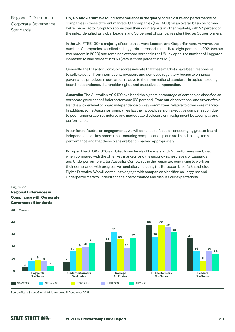Regional Differences in Corporate Governance **Standards** 

**US, UK and Japan:** We found some variance in the quality of disclosure and performance of companies in these different markets. US companies (S&P 500) on an overall basis performed better on R-Factor CorpGov scores than their counterparts in other markets, with 27 percent of the index identified as global Leaders and 38 percent of companies identified as Outperformers.

In the UK (FTSE 100), a majority of companies were Leaders and Outperformers. However, the number of companies classified as Laggards increased in the UK to eight percent in 2021 (versus two percent in 2020) and remained at three percent in the US. In Japan, the number of Laggards increased to nine percent in 2021 (versus three percent in 2020).

Generally, the R-Factor CorpGov scores indicate that these markets have been responsive to calls to action from international investors and domestic regulatory bodies to enhance governance practices in core areas relative to their own national standards in topics including board independence, shareholder rights, and executive compensation.

**Australia:** The Australian ASX 100 exhibited the highest percentage of companies classified as corporate governance Underperformers (23 percent). From our observations, one driver of this trend is a lower level of board independence on key committees relative to other core markets. In addition, some Australian companies lag their global peers on executive compensation due to poor remuneration structures and inadequate disclosure or misalignment between pay and performance.

In our future Australian engagements, we will continue to focus on encouraging greater board independence on key committees, ensuring compensation plans are linked to long-term performance and that these plans are benchmarked appropriately.

**Europe:** The STOXX 600 exhibited lower levels of Leaders and Outperformers combined, when compared with the other key markets, and the second-highest levels of Laggards and Underperformers after Australia. Companies in the region are continuing to work on their compliance with progressive regulation, including the European Union's Shareholder Rights Directive. We will continue to engage with companies classified as Laggards and Underperformers to understand their performance and discuss our expectations.

### Figure 22 **Regional Differences in Compliance with Corporate Governance Standards**



Source: State Street Global Advisors, as at 31 December 2021.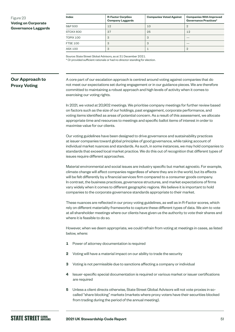### Figure 23 **Voting on Corporate Governance Laggards**

| Index           | <b>R-Factor CorpGov</b><br><b>Company Laggards</b> | <b>Companies Voted Against</b> | <b>Companies With Improved</b><br>Governance Practices* |
|-----------------|----------------------------------------------------|--------------------------------|---------------------------------------------------------|
| S&P 500         | 12                                                 | 10                             | $\overline{2}$                                          |
| STOXX 600       | 37                                                 | 25                             | 12                                                      |
| TOPIX 100       | 3                                                  | 3                              |                                                         |
| <b>FTSE 100</b> | 3                                                  | 3                              |                                                         |
| ASX 100         | 3                                                  |                                | ヮ                                                       |

Source: State Street Global Advisors, as at 31 December 2021.

\* Or provided sufficient rationale or had no director standing for election.

## **Our Approach to Proxy Voting**

A core part of our escalation approach is centred around voting against companies that do not meet our expectations set during engagement or in our guidance pieces. We are therefore committed to maintaining a robust approach and high levels of activity when it comes to exercising our voting rights.

In 2021, we voted at 20,902 meetings. We prioritise company meetings for further review based on factors such as the size of our holdings, past engagement, corporate performance, and voting items identified as areas of potential concern. As a result of this assessment, we allocate appropriate time and resources to meetings and specific ballot items of interest in order to maximise value for our clients.

Our voting guidelines have been designed to drive governance and sustainability practices at issuer companies toward global principles of good governance, while taking account of individual market nuances and standards. As such, in some instances, we may hold companies to standards that exceed local market practice. We do this out of recognition that different types of issues require different approaches.

Material environmental and social issues are industry specific but market agnostic. For example, climate change will affect companies regardless of where they are in the world, but its effects will be felt differently by a financial services firm compared to a consumer goods company. In contrast, the business practices, governance structures, and market expectations of firms vary widely when it comes to different geographic regions. We believe it is important to hold companies to the corporate governance standards appropriate to their market.

These nuances are reflected in our proxy voting guidelines, as well as in R-Factor scores, which rely on different materiality frameworks to capture these different types of data. We aim to vote at all shareholder meetings where our clients have given us the authority to vote their shares and where it is feasible to do so.

However, when we deem appropriate, we could refrain from voting at meetings in cases, as listed below, where:

- **1** Power of attorney documentation is required
- **2** Voting will have a material impact on our ability to trade the security
- **3** Voting is not permissible due to sanctions affecting a company or individual
- **4** Issuer-specific special documentation is required or various market or issuer certifications are required
- **5** Unless a client directs otherwise, State Street Global Advisors will not vote proxies in socalled "share blocking" markets (markets where proxy voters have their securities blocked from trading during the period of the annual meeting).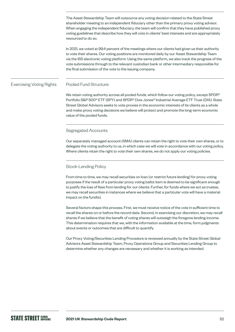The Asset Stewardship Team will outsource any voting decision related to the State Street shareholder meeting to an independent fiduciary other than the primary proxy voting advisor. When engaging the independent fiduciary, the team will confirm that they have published proxy voting guidelines that describe how they will vote in clients' best interests and are appropriately resourced to do so.

In 2021, we voted at 99.4 percent of the meetings where our clients had given us their authority to vote their shares. Our voting positions are monitored daily by our Asset Stewardship Team via the ISS electronic voting platform. Using the same platform, we also track the progress of the vote submissions through to the relevant custodian bank or other intermediary responsible for the final submission of the vote to the issuing company.

#### Pooled Fund Structure Exercising Voting Rights

We retain voting authority across all pooled funds, which follow our voting policy, except SPDR® Portfolio S&P 500® ETF (SPY) and SPDR® Dow Jones® Industrial Average ETF Trust (DIA). State Street Global Advisors seeks to vote proxies in the economic interests of its clients as a whole and make proxy voting decisions we believe will protect and promote the long-term economic value of the pooled funds.

### Segregated Accounts

Our separately managed account (SMA) clients can retain the right to vote their own shares, or to delegate the voting authority to us, in which case we will vote in accordance with our voting policy. Where clients retain the right to vote their own shares, we do not apply our voting policies.

### Stock-Lending Policy

From time to time, we may recall securities on loan (or restrict future lending) for proxy voting purposes if the result of a particular proxy voting ballot item is deemed to be significant enough to justify the loss of fees from lending for our clients. Further, for funds where we act as trustee, we may recall securities in instances where we believe that a particular vote will have a material impact on the fund(s).

Several factors shape this process. First, we must receive notice of the vote in sufficient time to recall the shares on or before the record date. Second, in exercising our discretion, we may recall shares if we believe that the benefit of voting shares will outweigh the foregone lending income. This determination requires that we, with the information available at the time, form judgments about events or outcomes that are difficult to quantify.

Our Proxy Voting/Securities Lending Procedure is reviewed annually by the State Street Global Advisors Asset Stewardship Team, Proxy Operations Group and Securities Lending Group to determine whether any changes are necessary and whether it is working as intended.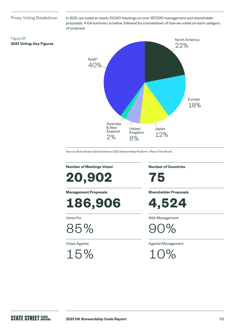### Proxy Voting Breakdown

**2021 Voting: Key Figures**

Figure 24

In 2021, we voted at nearly 21,000 meetings on over 187,000 management and shareholder proposals. A full summary is below, followed by a breakdown of how we voted on each category of proposal.



Source: State Street Global Advisors 2021 Stewardship Platform. \*Rest of the World.

**Number of Meetings Voted**

**20,902**

**Management Proposals**

**186,906**

Votes For

85%

Votes Against

15%

**Number of Countries**

**75**

**Shareholder Proposals**

**4,524**

With Management

 $7%$ 

Against Management

10%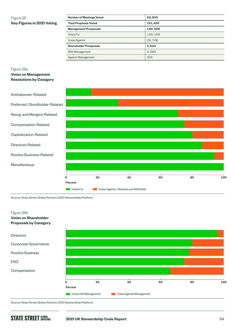### Figure 25 **Key Figures in 2021 Voting**

| <b>Number of Meetings Voted</b> | 20,902  |
|---------------------------------|---------|
| <b>Total Proposals Voted</b>    | 191,430 |
| <b>Management Prosposals</b>    | 186,906 |
| Votes For                       | 158.158 |
| <b>Votes Against</b>            | 28,748  |
| <b>Shareholder Prosposals</b>   | 4,524   |
| With Management                 | 4.090   |
| Against Management              | 434     |

### Figure 26a

**Votes on Management Resolutions by Category**



Source: State Street Global Advisors 2021 Stewardship Platform.



Source: State Street Global Advisors 2021 Stewardship Platform.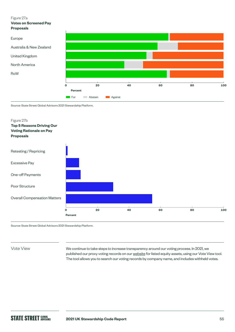#### Figure 27a

**Votes on Screened Pay Proposals**



Source: State Street Global Advisors 2021 Stewardship Platform.



Source: State Street Global Advisors 2021 Stewardship Platform.

Vote View

We continue to take steps to increase transparency around our voting process. In 2021, we published our proxy voting records on our [website](https://vds.issgovernance.com/vds/#/MTA1/) for listed equity assets, using our Vote View tool. The tool allows you to search our voting records by company name, and includes withheld votes.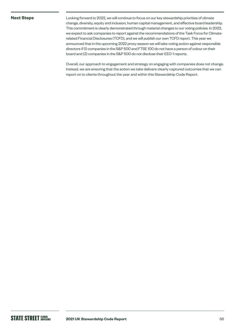### **Next Steps**

Looking forward to 2022, we will continue to focus on our key stewardship priorities of climate change, diversity, equity and inclusion, human capital management, and effective board leadership. This commitment is clearly demonstrated through material changes to our voting policies. In 2022, we expect to ask companies to report against the recommendations of the Task Force for Climaterelated Financial Disclosures (TCFD), and we will publish our own TCFD report. This year we announced that in the upcoming 2022 proxy season we will take voting action against responsible directors if (1) companies in the S&P 500 and FTSE 100 do not have a person of colour on their board and (2) companies in the S&P 500 do not disclose their EEO-1 reports.

Overall, our approach to engagement and strategy on engaging with companies does not change. Instead, we are ensuring that the action we take delivers clearly captured outcomes that we can report on to clients throughout the year and within this Stewardship Code Report.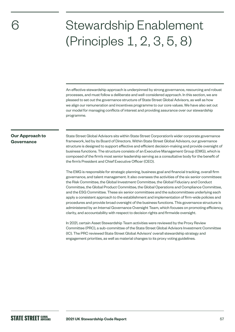## 6

# Stewardship Enablement (Principles 1, 2, 3, 5, 8)

An effective stewardship approach is underpinned by strong governance, resourcing and robust processes, and must follow a deliberate and well-considered approach. In this section, we are pleased to set out the governance structure of State Street Global Advisors, as well as how we align our remuneration and incentives programme to our core values. We have also set out our model for managing conflicts of interest and providing assurance over our stewardship programme.

## **Our Approach to Governance**

State Street Global Advisors sits within State Street Corporation's wider corporate governance framework, led by its Board of Directors. Within State Street Global Advisors, our governance structure is designed to support effective and efficient decision-making and provide oversight of business functions. The structure consists of an Executive Management Group (EMG), which is composed of the firm's most senior leadership serving as a consultative body for the benefit of the firm's President and Chief Executive Officer (CEO).

The EMG is responsible for strategic planning, business goal and financial tracking, overall firm governance, and talent management. It also oversees the activities of the six senior committees: the Risk Committee, the Global Investment Committee, the Global Fiduciary and Conduct Committee, the Global Product Committee, the Global Operations and Compliance Committee, and the ESG Committee. These six senior committees and the subcommittees underlying each apply a consistent approach to the establishment and implementation of firm-wide policies and procedures and provide broad oversight of the business functions. This governance structure is administered by an Internal Governance Oversight Team, which focuses on promoting efficiency, clarity, and accountability with respect to decision rights and firmwide oversight.

In 2021, certain Asset Stewardship Team activities were reviewed by the Proxy Review Committee (PRC), a sub-committee of the State Street Global Advisors Investment Committee (IC). The PRC reviewed State Street Global Advisors' overall stewardship strategy and engagement priorities, as well as material changes to its proxy voting guidelines.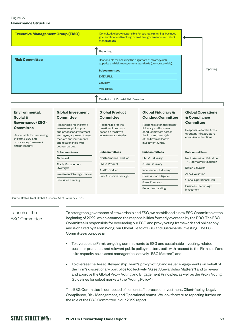### Figure 27 **Governance Structure**

| <b>Executive Management Group (EMG)</b> | Consultative body responsible for strategic planning, business<br>goal and financial tracking, overall firm governance and talent<br>management. |           |
|-----------------------------------------|--------------------------------------------------------------------------------------------------------------------------------------------------|-----------|
|                                         | Reporting                                                                                                                                        |           |
| <b>Risk Committee</b>                   | Responsible for ensuring the alignment of strategy, risk<br>appetite and risk management standards (corporate-wide).<br><b>Subcommittees</b>     | Reporting |
|                                         | <b>EMEA Risk</b>                                                                                                                                 |           |
|                                         | Liquidity                                                                                                                                        |           |
|                                         | <b>Model Risk</b>                                                                                                                                |           |
|                                         | <b>Escalation of Material Risk Breaches</b>                                                                                                      |           |

### **Environmental, Social & Governance (ESG) Committee**

Responsible for overseeing the firm's ESG and proxy voting framework and philosophy.

### **Global Investment Committee** Responsible for the firm's investment philosophy

and processes, investment strategies, approach to new markets and instruments and relationships with counterparties.

### **Subcommittees**

Technical Trade Management Oversight Investment Strategy Review

Securities Landing

### **Global Product Committee**

Responsible for the creation of products based on the firm's investment strategies.

### **Subcommittees**

| North America Product  |
|------------------------|
| <b>EMEA Product</b>    |
| <b>APAC Product</b>    |
| Sub-Advisory Oversight |

### **Global Fiduciary & Conduct Committee**

Responsible for addressing fiduciary and business conduct matters across the firm and oversight of the firm's collective investment funds.

## **Subcommittees** EMEA Fiduciary APAC Fiduciary Independent Fiduciary Class Action Litigation Sales Practices

Securities Landing

### **Global Operations & Compliance Committee**

Responsible for the firm's operating infrastructure compliance functions.

## **Subcommittees**

| North American Valuation |  |
|--------------------------|--|
| Alternatives Valuation   |  |

EMEA Valuation

APAC Valuation

Global Operational Risk

Business Technology Investment

Source: State Street Global Advisors. As of January 2022.

## Launch of the ESG Committee

To strengthen governance of stewardship and ESG, we established a new ESG Committee at the beginning of 2022, which assumed the responsibilities formerly overseen by the PRC. The ESG Committee is responsible for overseeing our ESG and proxy voting framework and philosophy and is chaired by Karen Wong, our Global Head of ESG and Sustainable Investing. The ESG Committee's purpose is:

- To oversee the Firm's on-going commitments to ESG and sustainable investing, related business practices, and relevant public policy matters, both with respect to the Firm itself and in its capacity as an asset manager (collectively "ESG Matters") and
- To oversee the Asset Stewardship Team's proxy voting and issuer engagements on behalf of the Firm's discretionary portfolios (collectively, "Asset Stewardship Matters") and to review and approve the Global Proxy Voting and Engagement Principles, as well as the Proxy Voting Guidelines for select markets (the "Voting Policy").

The ESG Committee is composed of senior staff across our Investment, Client-facing, Legal, Compliance, Risk Management, and Operational teams. We look forward to reporting further on the role of the ESG Committee in our 2022 report.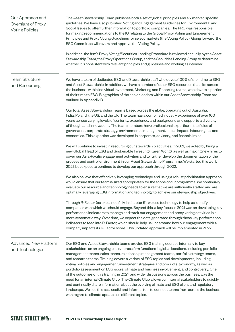| Our Approach and<br>Oversight of Proxy<br><b>Voting Policies</b> | The Asset Stewardship Team publishes both a set of global principles and six market-specific<br>guidelines. We have also published Voting and Engagement Guidelines for Environmental and<br>Social Issues to offer further information to portfolio companies. The PRC was responsible<br>for making recommendations to the IC relating to the Global Proxy Voting and Engagement<br>Principles and Proxy Voting Guidelines for select markets (the Voting Policy). Going forward, the<br>ESG Committee will review and approve the Voting Policy.                                                                                                                                                                                                                                                                                                                                                                                                                                                                             |
|------------------------------------------------------------------|---------------------------------------------------------------------------------------------------------------------------------------------------------------------------------------------------------------------------------------------------------------------------------------------------------------------------------------------------------------------------------------------------------------------------------------------------------------------------------------------------------------------------------------------------------------------------------------------------------------------------------------------------------------------------------------------------------------------------------------------------------------------------------------------------------------------------------------------------------------------------------------------------------------------------------------------------------------------------------------------------------------------------------|
|                                                                  | In addition, the firm's Proxy Voting/Securities Lending Procedure is reviewed annually by the Asset<br>Stewardship Team, the Proxy Operations Group, and the Securities Lending Group to determine<br>whether it is consistent with relevant principles and guidelines and working as intended.                                                                                                                                                                                                                                                                                                                                                                                                                                                                                                                                                                                                                                                                                                                                 |
| <b>Team Structure</b><br>and Resourcing                          | We have a team of dedicated ESG and Stewardship staff who devote 100% of their time to ESG<br>and Asset Stewardship. In addition, we have a number of other ESG resources that sits across<br>the business, within individual Investment, Marketing and Reporting teams, who devote a portion<br>of their time to ESG. Biographies of the senior leaders within our Asset Stewardship Team are<br>outlined in Appendix D.                                                                                                                                                                                                                                                                                                                                                                                                                                                                                                                                                                                                       |
|                                                                  | Our total Asset Stewardship Team is based across the globe, operating out of Australia,<br>India, Poland, the US, and the UK. The team has a combined industry experience of over 100<br>years across varying levels of seniority, experience, and background and supports a diversity<br>of thought and innovations. The team members have professional expertise in the fields of<br>governance, corporate strategy, environmental management, social impact, labour rights, and<br>economics. This expertise was developed in corporate, advisory, and financial roles.                                                                                                                                                                                                                                                                                                                                                                                                                                                      |
|                                                                  | We will continue to invest in resourcing our stewardship activities. In 2021, we acted by hiring a<br>new Global Head of ESG and Sustainable Investing (Karen Wong), as well as making new hires to<br>cover our Asia-Pacific engagement activities and to further develop the documentation of the<br>process and control environment in our Asset Stewardship Programme. We started this work in<br>2021, but expect to continue to develop our approach through 2022.                                                                                                                                                                                                                                                                                                                                                                                                                                                                                                                                                        |
|                                                                  | We also believe that effectively leveraging technology and using a robust prioritisation approach<br>would ensure that our team is sized appropriately for the scope of our programme. We continually<br>evaluate our resource and technology needs to ensure that we are sufficiently staffed and are<br>optimally leveraging ESG information and technology to achieve our stewardship objectives.                                                                                                                                                                                                                                                                                                                                                                                                                                                                                                                                                                                                                            |
|                                                                  | Through R-Factor (as explained fully in chapter 5), we use technology to help us identify<br>companies with which we should engage. Beyond this, a key focus in 2021 was on developing key<br>performance indicators to manage and track our engagement and proxy voting activities in a<br>more systematic way. Over time, we expect the data generated through these key performance<br>indicators to feed into R-Factor, which should help us understand how our engagement with a<br>company impacts its R-Factor score. This updated approach will be implemented in 2022.                                                                                                                                                                                                                                                                                                                                                                                                                                                 |
| <b>Advanced New Platform</b><br>and Technologies                 | Our ESG and Asset Stewardship teams provide ESG training courses internally to key<br>stakeholders on an ongoing basis, across firm functions in global locations, including portfolio<br>management teams, sales teams, relationship management teams, portfolio strategy teams,<br>and research teams. Training covers a variety of ESG topics and developments, including<br>voting policies and engagement, investment strategies and products, taxonomy, as well as<br>portfolio assessment on ESG score, climate and business involvement, and controversy. One<br>of the outcomes of this training in 2021, and wider discussions across the business, was the<br>need for an internal Climate Club. The Climate Club allows our internal stakeholders to quickly<br>and continually share information about the evolving climate and ESG client and regulatory<br>landscape. We see this as a useful and informal tool to connect teams from across the business<br>with regard to climate updates on different topics. |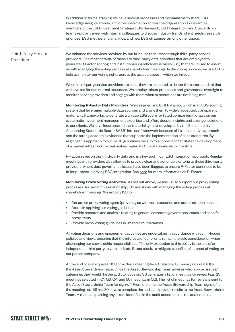In addition to formal training, we have several processes and mechanisms to share ESG knowledge, insights, trends, and other information across the organisation. For example, members of the ESG Investment Strategy, ESG Research, ESG Integration, and Stewardship teams regularly meet with internal colleagues to discuss industry trends, client needs, research priorities, ESG metrics and analytics, and new ESG strategies, among other topics.

### Third-Party Service Providers

We enhance the services provided by our in-house resources through third-party service providers. The most notable of these are third-party data providers that are employed to generate R-Factor scoring and Institutional Shareholder Services (ISS) that are utilised to assist us with managing the voting process at shareholder meetings. In the voting process, we use ISS to help us monitor our voting rights across the asset classes in which we invest.

Where third-party service providers are used, they are expected to deliver the same standard that we have set for our internal resources. We employ robust processes and governance oversight to monitor service providers and engage with them when expectations are not being met.

**Monitoring R-Factor Data Providers** We designed and built R-Factor, which is an ESG scoring system that leverages multiple data sources and aligns them to widely accepted, transparent materiality frameworks, to generate a unique ESG score for listed companies. It draws on our systematic investment management expertise and offers deeper insights and stronger solutions to our clients. We have incorporated the 'materiality map' developed by the Sustainability Accounting Standards Board (SASB) into our framework because of its consultative approach and the strong academic evidence that supports the implementation of such standards. By aligning this approach to our SASB guidelines, we aim to support and facilitate the development of a market infrastructure that makes material ESG data available to investors.

R-Factor relies on this third-party data and is a key tool in our ESG integration approach. Regular meetings with providers also allow us to provide clear and actionable criteria to those third-party providers, where data governance issues have been flagged, to ensure R-Factor continues to be fit for purpose in driving ESG integration. See [here](https://www.ssga.com/international/en/institutional/ic/capabilities/esg/data-scoring) for more information on R-Factor.

**Monitoring Proxy Voting Activities** As set out above, we use ISS to support our proxy voting processes. As part of this relationship, ISS assists us with managing the voting process at shareholder meetings. We employ ISS to:

- Act as our proxy voting agent (providing us with vote execution and administration services)
- Assist in applying our voting guidelines
- Provide research and analysis relating to general corporate governance issues and specific proxy items
- Provide proxy voting guidelines in limited circumstances

All voting decisions and engagement activities are undertaken in accordance with our in-house policies and views, ensuring that the interests of our clients remain the sole consideration when discharging our stewardship responsibilities. The only exception to this policy is the use of an independent third party to vote on State Street stock, to mitigate a conflict of interest of voting on our parent company.

At the end of every quarter, ISS provides a meeting-level Statistical Summary report (SIS) to the Asset Stewardship Team. Once the Asset Stewardship Team advises which broad issues/ categories they would like the audit to focus on, ISS generates a list of meetings for review (e.g., 25 meetings selected in Q1, Q3, Q4, and 50 meetings in Q2). The list of meetings for review is sent to the Asset Stewardship Team for sign-off. From the time the Asset Stewardship Team signs off on the meeting list, ISS has 30 days to complete the audit and provide results to the Asset Stewardship Team. A memo explaining any errors identified in the audit accompanies the audit results.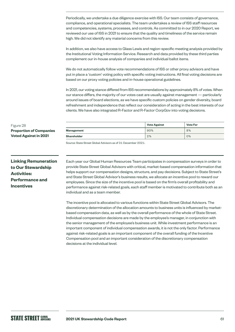Periodically, we undertake a due diligence exercise with ISS. Our team consists of governance, compliance, and operational specialists. The team undertakes a review of ISS staff resources and competencies, systems, processes, and controls. As committed to in our 2020 Report, we reviewed our use of ISS in 2021 to ensure that the quality and timeliness of the service remain high. We did not identify any material concerns from this review.

In addition, we also have access to Glass Lewis and region-specific meeting analysis provided by the Institutional Voting Information Service. Research and data provided by these third parties complement our in-house analysis of companies and individual ballot items.

We do not automatically follow vote recommendations of ISS or other proxy advisors and have put in place a 'custom' voting policy with specific voting instructions. All final voting decisions are based on our proxy voting policies and in-house operational guidelines.

In 2021, our voting stance differed from ISS recommendations by approximately 8% of votes. When our stance differs, the majority of our votes cast are usually against management — particularly around issues of board elections, as we have specific custom policies on gender diversity, board refreshment and independence that reflect our consideration of acting in the best interests of our clients. We have also integrated R-Factor and R-Factor CorpGov into voting decisions.

|             | <b>Vote Against</b> | <b>Vote For</b> |
|-------------|---------------------|-----------------|
| Management  | 90%                 | 8%              |
| Shareholder | 2%                  | 0%              |

Source: State Street Global Advisors as of 31 December 2021.

**Linking Remuneration to Our Stewardship Activities: Performance and Incentives**

**Proportion of Companies Voted Against in 2021**

Figure 28

Each year our Global Human Resources Team participates in compensation surveys in order to provide State Street Global Advisors with critical, market-based compensation information that helps support our compensation designs, structure, and pay decisions. Subject to State Street's and State Street Global Advisor's business results, we allocate an incentive pool to reward our employees. Since the size of the incentive pool is based on the firm's overall profitability and performance against risk-related goals, each staff member is motivated to contribute both as an individual and as a team member.

The incentive pool is allocated to various functions within State Street Global Advisors. The discretionary determination of the allocation amounts to business units is influenced by marketbased compensation data, as well as by the overall performance of the whole of State Street. Individual compensation decisions are made by the employee's manager, in conjunction with the senior management of the employee's business unit. While investment performance is an important component of individual compensation awards, it is not the only factor. Performance against risk-related goals is an important component of the overall funding of the Incentive Compensation pool and an important consideration of the discretionary compensation decisions at the individual level.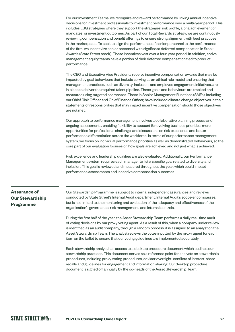For our Investment Teams, we recognize and reward performance by linking annual incentive decisions for investment professionals to investment performance over a multi-year period. This includes ESG strategies where they support the strategies' risk profile, alpha achievement of mandates, or investment outcomes. As part of our Total Rewards strategy, we are continuously reviewing compensation and benefit offerings to ensure strong alignment with best practices in the marketplace. To seek to align the performance of senior personnel to the performance of the firm, we incentivize senior personnel with significant deferred compensation in Stock Awards (State Street stock). These incentives vest over a four-year period. In addition, active management equity teams have a portion of their deferred compensation tied to product performance.

The CEO and Executive Vice Presidents receive incentive compensation awards that may be impacted by goal behaviours that include serving as an ethical role model and ensuring that management practices, such as diversity, inclusion, and employee engagement initiatives, are in place to deliver the required talent pipeline. These goals and behaviours are tracked and measured using targeted scorecards. Those in Senior Management Functions (SMFs), including our Chief Risk Officer and Chief Finance Officer, have included climate change objectives in their statements of responsibilities that may impact incentive compensation should those objectives are not met.

Our approach to performance management involves a collaborative planning process and ongoing assessments, enabling flexibility to account for evolving business priorities, more opportunities for professional challenge, and discussions on risk excellence and better performance differentiation across the workforce. In terms of our performance management system, we focus on individual performance priorities as well as demonstrated behaviours, so the core part of our evaluation focuses on how goals are achieved and not just what is achieved.

Risk excellence and leadership qualities are also evaluated. Additionally, our Performance Management system requires each manager to list a specific goal related to diversity and inclusion. This goal is reviewed and measured throughout the year, which could impact performance assessments and incentive compensation outcomes.

## **Assurance of Our Stewardship Programme**

Our Stewardship Programme is subject to internal independent assurances and reviews conducted by State Street's Internal Audit department. Internal Audit's scope encompasses, but is not limited to, the monitoring and evaluation of the adequacy and effectiveness of the organisation's governance, risk management, and internal controls.

During the first half of the year, the Asset Stewardship Team performs a daily real-time audit of voting decisions by our proxy voting agent. As a result of this, when a company under review is identified as an audit company, through a random process, it is assigned to an analyst on the Asset Stewardship Team. The analyst reviews the votes inputted by the proxy agent for each item on the ballot to ensure that our voting guidelines are implemented accurately.

Each stewardship analyst has access to a desktop procedure document which outlines our stewardship practices. This document serves as a reference point for analysts on stewardship procedures, including proxy voting procedures, advisor oversight, conflicts of interest, share recalls and guidelines for engagement and information sharing. Our desktop procedure document is signed off annually by the co-heads of the Asset Stewardship Team.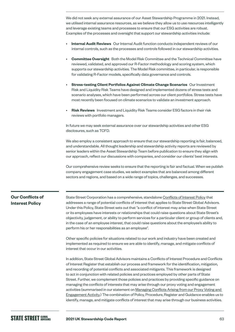We did not seek any external assurance of our Asset Stewardship Programme in 2021. Instead, we utilised internal assurance resources, as we believe they allow us to use resources intelligently and leverage existing teams and processes to ensure that our ESG activities are robust. Examples of the processes and oversight that support our stewardship activities include:

- **Internal Audit Reviews** Our Internal Audit function conducts independent reviews of our internal controls, such as the processes and controls followed in our stewardship activities.
- **Committee Oversight** Both the Model Risk Committee and the Technical Committee have reviewed, validated, and approved our R-Factor methodology and scoring system, which supports our stewardship activities. The Model Risk committee, in particular, is responsible for validating R-Factor models, specifically data governance and controls.
- **Stress-testing Client Portfolios Against Climate Change Scenarios** Our Investment Risk and Liquidity Risk Teams have designed and implemented dozens of stress tests and scenario analyses, which have been performed across our client portfolios. Stress tests have most recently been focused on climate scenarios to validate an investment approach.
- **Risk Reviews** Investment and Liquidity Risk Teams consider ESG factors in their risk reviews with portfolio managers.

In future we may seek external assurance over our stewardship activities and other ESG disclosures, such as TCFD.

We also employ a consistent approach to ensure that our stewardship reporting is fair, balanced, and understandable. All thought leadership and stewardship activity reports are reviewed by senior leaders within the Asset Stewardship Team before publication to ensure they align with our approach, reflect our discussions with companies, and consider our clients' best interests.

Our comprehensive review seeks to ensure that the reporting is fair and factual. When we publish company engagement case studies, we select examples that are balanced among different sectors and regions, and based on a wide range of topics, challenges, and successes.

## **Our Conflicts of Interest Policy**

State Street Corporation has a comprehensive, standalone [Conflicts of Interest Policy](https://www.ssga.com/library-content/pdfs/ic/ssga-conflict-mitigation-guidelines.pdf) that addresses a range of potential conflicts of interest that applies to State Street Global Advisors. Under this Policy, State Street sets out that "a conflict of interest may arise when State Street or its employees have interests or relationships that could raise questions about State Street's objectivity, judgement, or ability to perform services for a particular client or group of clients and, in the case of an employee interest, that could raise questions about the employee's ability to perform his or her responsibilities as an employee".

Other specific policies for situations related to our work and industry have been created and implemented as required to ensure we are able to identify, manage, and mitigate conflicts of interest that occur in our activities.

In addition, State Street Global Advisors maintains a Conflicts of Interest Procedure and Conflicts of Interest Register that establish our process and framework for the identification, mitigation, and recording of potential conflicts and associated mitigants. This framework is designed to act in conjunction with related policies and practices employed by other parts of State Street. Further, we complement those policies and practices by providing specific guidance on managing the conflicts of interests that may arise through our proxy voting and engagement activities (summarised in our statement on [Managing Conflicts Arising from our Proxy Voting and](https://www.ssga.com/library-content/pdfs/ic/ssga-conflict-mitigation-guidelines.pdf)  [Engagement Activity](https://www.ssga.com/library-content/pdfs/ic/ssga-conflict-mitigation-guidelines.pdf).) The combination of Policy, Procedure, Register and Guidance enables us to identify, manage, and mitigate conflicts of interest that may arise through our business activities.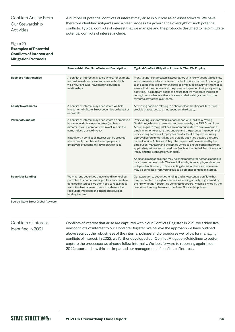## Conflicts Arising From Our Stewardship Activities

A number of potential conflicts of interest may arise in our role as an asset steward. We have therefore identified mitigants and a clear process for governance oversight of such potential conflicts. Typical conflicts of interest that we manage and the protocols designed to help mitigate potential conflicts of interest include:

### Figure 29 **Examples of Potential Conflicts of Interest and Mitigation Protocols**

|                               | <b>Stewardship Conflict of Interest Description</b>                                                                                                                                                                                                                                                                                  | <b>Typical Conflict Mitigation Protocols That We Employ</b>                                                                                                                                                                                                                                                                                                                                                                                                                                                                                                                                                                                                                                                                                                                                                                                                                                                                                                                                        |
|-------------------------------|--------------------------------------------------------------------------------------------------------------------------------------------------------------------------------------------------------------------------------------------------------------------------------------------------------------------------------------|----------------------------------------------------------------------------------------------------------------------------------------------------------------------------------------------------------------------------------------------------------------------------------------------------------------------------------------------------------------------------------------------------------------------------------------------------------------------------------------------------------------------------------------------------------------------------------------------------------------------------------------------------------------------------------------------------------------------------------------------------------------------------------------------------------------------------------------------------------------------------------------------------------------------------------------------------------------------------------------------------|
| <b>Business Relationships</b> | A conflict of interest may arise where, for example,<br>we hold investments in companies with which<br>we, or our affiliates, have material business<br>relationships.                                                                                                                                                               | Proxy voting is undertaken in accordance with Proxy Voting Guidelines,<br>which are reviewed and overseen by the ESG Committee. Any changes<br>to the guidelines are communicated to employees in a timely manner to<br>ensure that they understand the potential impact on their proxy voting<br>activities. This mitigant seeks to ensure that we moderate the risk of<br>voting in accordance with our business relationship, rather than the<br>favoured stewardship outcome.                                                                                                                                                                                                                                                                                                                                                                                                                                                                                                                  |
| <b>Equity Investments</b>     | A conflict of interest may arise where we hold<br>investments in State Street securities on behalf of<br>our clients.                                                                                                                                                                                                                | Any voting decision relating to a shareholder meeting of State Street<br>stock is outsourced to an independent third party.                                                                                                                                                                                                                                                                                                                                                                                                                                                                                                                                                                                                                                                                                                                                                                                                                                                                        |
| <b>Personal Conflicts</b>     | A conflict of interest may arise where an employee<br>has an outside business interest (such as a<br>director role in a company we invest in, or in the<br>same industry as we invest).<br>In addition, a conflict of interest can be created<br>where family members of an employee are<br>employed by a company in which we invest | Proxy voting is undertaken in accordance with the Proxy Voting<br>Guidelines, which are reviewed and overseen by the ESG Committee.<br>Any changes to the guidelines are communicated to employees in a<br>timely manner to ensure they understand the potential impact on their<br>proxy voting activities. Employees must submit a request requiring<br>approval before undertaking any outside activities that are captured<br>by the Outside Activities Policy. The request will be reviewed by the<br>employees' manager and the Ethics Office to ensure compliance with<br>applicable policies and procedures (such as the Global Anti-Corruption<br>Policy and the Standard of Conduct).<br>Additional mitigation steps may be implemented for personal conflicts<br>on a case-by-case basis. This would include, for example, retaining an<br>independent fiduciary to take a voting decision where we believe we<br>may be conflicted from voting due to a personal conflict of interest. |
| <b>Securities Lending</b>     | We may lend securities that we hold in one of our<br>portfolios to another manager. This may create a<br>conflict of interest if we then need to recall those<br>securities to enable us to vote in a shareholder<br>resolution, impacting the intended securities<br>lending income.                                                | Our approach to securities lending, and any potential conflicts that<br>may be created through our securities lending activity, is governed by<br>the Proxy Voting / Securities Lending Procedure, which is owned by the<br>Securities Lending Team and the Asset Stewardship Team.                                                                                                                                                                                                                                                                                                                                                                                                                                                                                                                                                                                                                                                                                                                |

Source: State Street Global Advisors.

### Conflicts of Interest Identified in 2021

Conflicts of interest that arise are captured within our Conflicts Register. In 2021 we added five new conflicts of interest to our Conflicts Register. We believe the approach we have outlined above sets out the robustness of the internal policies and procedures we follow for managing conflicts of interest. In 2022, we further developed our Conflict Mitigation Guidelines to better capture the processes we already follow internally. We look forward to reporting again in our 2022 report on how this has impacted our management of conflicts of interest.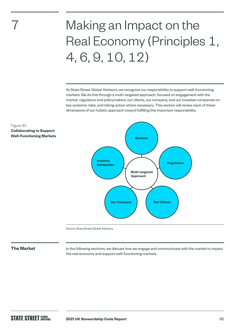# Making an Impact on the Real Economy (Principles 1, 4, 6, 9, 10, 12)

At State Street Global Advisors, we recognize our responsibility to support well-functioning markets. We do this through a multi-targeted approach, focused on engagement with the market, regulators and policymakers, our clients, our company, and our investee companies on key systemic risks, and taking action where necessary. This section will review each of these dimensions of our holistic approach toward fulfilling this important responsibility.



Figure 30 **Collaborating to Support Well-Functioning Markets**

7

Source: State Street Global Advisors.

**The Market** In the following sections, we discuss how we engage and communicate with the market to impact the real economy and support well-functioning markets.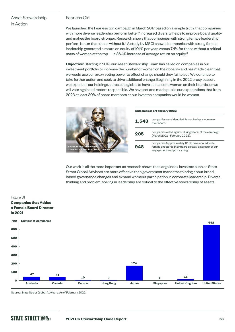## Asset Stewardship in Action

### Fearless Girl

We launched the Fearless Girl campaign in March 2017 based on a simple truth: that companies with more diverse leadership perform better. $^6$  Increased diversity helps to improve board quality and makes the board stronger. Research shows that companies with strong female leadership perform better than those without it.<sup>7</sup> A study by MSCI showed companies with strong female leadership generated a return on equity of 10.1% per year, versus 7.4% for those without a critical mass of women at the top  $-$  a 36.4% increase of average return on equity.<sup>8</sup>

**Objective:** Starting in 2017, our Asset Stewardship Team has called on companies in our investment portfolio to increase the number of women on their boards and has made clear that we would use our proxy voting power to effect change should they fail to act. We continue to take further action and seek to drive additional change. Beginning in the 2022 proxy season, we expect all our holdings, across the globe, to have at least one woman on their boards, or we will vote against directors responsible. We have set and made public our expectations that from 2023 at least 30% of board members at our investee companies would be women.

|                                                                               | Outcomes as of February 2022 |                                                                                                                                              |  |
|-------------------------------------------------------------------------------|------------------------------|----------------------------------------------------------------------------------------------------------------------------------------------|--|
|                                                                               | 1,548                        | companies were identified for not having a woman on<br>their board.                                                                          |  |
|                                                                               | 205                          | companies voted against during year 5 of the campaign<br>(March 2021-February 2022).                                                         |  |
| Sculpture by Kristen Visbal.<br>Commissioned by State Street Global Advisors. | 948                          | companies (approximately 61%) have now added a<br>female director to their board globally as a result of our<br>engagement and proxy voting. |  |

Our work is all the more important as research shows that large index investors such as State Street Global Advisors are more effective than government mandates to bring about broadbased governance changes and expand women's participation in corporate leadership. Diverse thinking and problem-solving in leadership are critical to the effective stewardship of assets.



Source: State Street Global Advisors. As of February 2022.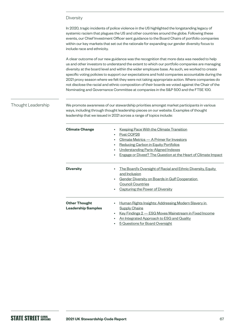### **Diversity**

In 2020, tragic incidents of police violence in the US highlighted the longstanding legacy of systemic racism that plagues the US and other countries around the globe. Following these events, our Chief Investment Officer sent guidance to the Board Chairs of portfolio companies within our key markets that set out the rationale for expanding our gender diversity focus to include race and ethnicity.

A clear outcome of our new guidance was the recognition that more data was needed to help us and other investors to understand the extent to which our portfolio companies are managing diversity at the board level and within the wider employee base. As such, we worked to create specific voting policies to support our expectations and hold companies accountable during the 2021 proxy season where we felt they were not taking appropriate action. Where companies do not disclose the racial and ethnic composition of their boards we voted against the Chair of the Nominating and Governance Committee at companies in the S&P 500 and the FTSE 100.

### Thought Leadership

We promote awareness of our stewardship priorities amongst market participants in various ways, including through thought leadership pieces on our website. Examples of thought leadership that we issued in 2021 across a range of topics include:

| <b>Climate Change</b>                             | <b>Keeping Pace With the Climate Transition</b><br>٠<br>Post COP26<br>٠<br>Climate Metrics - A Primer for Investors<br>$\bullet$<br><b>Reducing Carbon in Equity Portfolios</b><br>٠<br>Understanding Paris-Aligned Indexes<br>$\bullet$<br>Engage or Divest? The Question at the Heart of Climate Impact<br>٠ |
|---------------------------------------------------|----------------------------------------------------------------------------------------------------------------------------------------------------------------------------------------------------------------------------------------------------------------------------------------------------------------|
| <b>Diversity</b>                                  | The Board's Oversight of Racial and Ethnic Diversity, Equity<br>٠<br>and Inclusion<br>Gender Diversity on Boards in Gulf Cooperation<br>$\bullet$<br><b>Council Countries</b><br>Capturing the Power of Diversity<br>$\bullet$                                                                                 |
| <b>Other Thought</b><br><b>Leadership Samples</b> | <u>Human Rights Insights: Addressing Modern Slavery in</u><br>$\bullet$<br><b>Supply Chains</b><br><u>Key Findings 2 – ESG Moves Mainstream in Fixed Income</u><br>$\bullet$<br><u>An Integrated Approach to ESG and Quality</u><br>٠<br><b>5 Questions for Board Oversight</b>                                |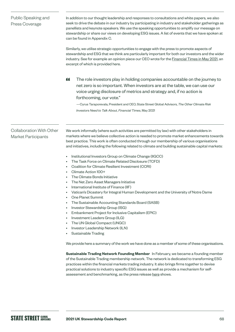| Public Speaking and<br>Press Coverage                         | In addition to our thought leadership and responses to consultations and white papers, we also<br>seek to drive the debate in our industry by participating in industry and stakeholder gatherings as<br>panellists and keynote speakers. We use the speaking opportunities to amplify our message on<br>stewardship or share our views on developing ESG issues. A list of events that we have spoken at<br>can be found in Appendix C.<br>Similarly, we utilise strategic opportunities to engage with the press to promote aspects of<br>stewardship and ESG that we think are particularly important for both our investors and the wider<br>industry. See for example an opinion piece our CEO wrote for the <b>Financial Times in May 2021</b> , an<br>excerpt of which is provided here.                                                                                                                                                                                                                                                                                                                                                                                                                                                                                                                                                                                                                                                                                                                                                                                                                                                                                                         |
|---------------------------------------------------------------|---------------------------------------------------------------------------------------------------------------------------------------------------------------------------------------------------------------------------------------------------------------------------------------------------------------------------------------------------------------------------------------------------------------------------------------------------------------------------------------------------------------------------------------------------------------------------------------------------------------------------------------------------------------------------------------------------------------------------------------------------------------------------------------------------------------------------------------------------------------------------------------------------------------------------------------------------------------------------------------------------------------------------------------------------------------------------------------------------------------------------------------------------------------------------------------------------------------------------------------------------------------------------------------------------------------------------------------------------------------------------------------------------------------------------------------------------------------------------------------------------------------------------------------------------------------------------------------------------------------------------------------------------------------------------------------------------------|
|                                                               | The role investors play in holding companies accountable on the journey to<br>"<br>net zero is so important. When investors are at the table, we can use our<br>voice urging disclosure of metrics and strategy and, if no action is<br>forthcoming, our vote."<br>- Cyrus Taraporevala, President and CEO, State Street Global Advisors, The Other Climate Risk<br>Investors Need to Talk About, Financial Times, May 2021                                                                                                                                                                                                                                                                                                                                                                                                                                                                                                                                                                                                                                                                                                                                                                                                                                                                                                                                                                                                                                                                                                                                                                                                                                                                             |
| <b>Collaboration With Other</b><br><b>Market Participants</b> | We work informally (where such activities are permitted by law) with other stakeholders in<br>markets where we believe collective action is needed to promote market enhancements towards<br>best practice. This work is often conducted through our membership of various organisations<br>and initiatives, including the following related to climate and building sustainable capital markets:<br>Institutional Investors Group on Climate Change (IIGCC)<br>The Task Force on Climate Related Disclosure (TCFD)<br>Coalition for Climate Resilient Investment (CCRI)<br>Climate Action 100+<br>The Climate Bonds Initiative<br>The Net Zero Asset Managers Initiative<br>International Institute of Finance (IIF)<br>Vatican's Dicastery for Integral Human Development and the University of Notre Dame<br><b>One Planet Summit</b><br>The Sustainable Accounting Standards Board (SASB)<br>Investor Stewardship Group (ISG)<br>Embankment Project for Inclusive Capitalism (EPIC)<br>$\bullet$<br>Investment Leaders Group (ILG)<br>The UN Global Compact (UNGC)<br>Investor Leadership Network (ILN)<br><b>Sustainable Trading</b><br>We provide here a summary of the work we have done as a member of some of these organisations.<br>Sustainable Trading Network Founding Member In February, we became a founding member<br>of the Sustainable Trading membership network. The network is dedicated to transforming ESG<br>practices within the financial markets trading industry. It also brings firms together to devise<br>practical solutions to industry specific ESG issues as well as provide a mechanism for self-<br>assessment and benchmarking, as the press release here shows. |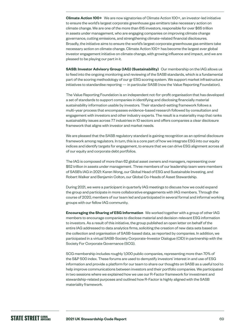**Climate Action 100+** We are now signatories of Climate Action 100+, an investor-led initiative to ensure the world's largest corporate greenhouse gas emitters take necessary action on climate change. We are one of the more than 615 investors, responsible for over \$65 trillion in assets under management, who are engaging companies on improving climate change governance, cutting emissions, and strengthening climate-related financial disclosures. Broadly, the initiative aims to ensure the world's largest corporate greenhouse gas emitters take necessary action on climate change. Climate Action 100+ has become the largest ever global investor engagement initiative on climate change, with growing influence and impact, and we are pleased to be playing our part in it.

**SASB: Investor Advisory Group (IAG) (Sustainability)** Our membership on the IAG allows us to feed into the ongoing monitoring and reviewing of the SASB standards, which is a fundamental part of the scoring methodology of our gr ESG scoring system. We support market infrastructure initiatives to standardise reporting — in particular SASB (now the Value Reporting Foundation).

The Value Reporting Foundation is an independent not-for-profit organisation that has developed a set of standards to support companies in identifying and disclosing financially material sustainability information usable by investors. Their standard-setting framework follows a multi-year process that encompasses evidence-based research followed by consultation and engagement with investors and other industry experts. The result is a materiality map that ranks sustainability issues across 77 industries in 10 sectors and offers companies a clear disclosure framework that aligns with investor and market needs.

We are pleased that the SASB regulatory standard is gaining recognition as an optimal disclosure framework among regulators. In turn, this is a core part of how we integrate ESG into our equity indices and identify targets for engagement, to ensure that we can drive ESG alignment across all of our equity and corporate debt portfolios.

The IAG is composed of more than 62 global asset owners and managers, representing over \$52 trillion in assets under management. Three members of our leadership team were members of SASB's IAG in 2021: Karen Wong, our Global Head of ESG and Sustainable Investing, and Robert Walker and Benjamin Colton, our Global Co-Heads of Asset Stewardship.

During 2021, we were a participant in quarterly IAG meetings to discuss how we could expand the group and participate in more collaborative engagements with IAG members. Through the course of 2020, members of our team led and participated in several formal and informal working groups with our fellow IAG community.

**Encouraging the Sharing of ESG Information** We worked together with a group of other IAG members to encourage companies to disclose material and decision-relevant ESG information to investors. As a result of this initiative, the group published an open letter on behalf of the entire IAG addressed to data analytics firms, soliciting the creation of new data sets based on the collection and organisation of SASB-based data, as reported by companies. In addition, we participated in a virtual SASB-Society Corporate-Investor Dialogue (CID) in partnership with the Society For Corporate Governance (SCG).

SCG membership includes roughly 1,000 public companies, representing more than 70% of the S&P 500 index. These forums are used to demystify investors' interest in and use of ESG information and provide a platform for our team to share our thoughts on SASB as a useful tool to help improve communications between investors and their portfolio companies. We participated in two sessions where we explained how we use our R-Factor framework for investment and stewardship-related purposes and outlined how R-Factor is highly aligned with the SASB materiality framework.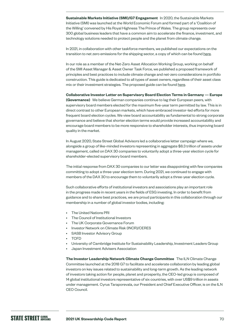**Sustainable Markets Initiative (SMI)/G7 Engagement** In 2020, the Sustainable Markets Initiative (SMI) was launched at the World Economic Forum and formed part of a 'Coalition of the Willing' convened by His Royal Highness The Prince of Wales. The group represents over 300 global business leaders that have a common aim to accelerate the finance, investment, and technology solutions needed to protect people and the planet from climate change.

In 2021, in collaboration with other taskforce members, we published our expectations on the transition to net zero emissions for the shipping sector, a copy of which can be found [here](https://www.sustainable-markets.org/taskforces/asset-manager-and-asset-owner-taskforce/).

In our role as a member of the Net-Zero Asset Allocation Working Group, working on behalf of the SMI Asset Manager & Asset Owner Task Force, we published a proposed framework of principles and best practices to include climate change and net-zero considerations in portfolio construction. This guide is dedicated to all types of asset owners, regardless of their asset class mix or their investment strategies. The proposed guide can be found [here](https://a.storyblok.com/f/109506/x/6fc6e71e0a/portfolio-construction-in-a-net-zero-world.pdf).

**Collaborative Investor Letter on Supervisory Board Election Terms in Germany — Europe (Governance)** We believe German companies continue to lag their European peers, with supervisory board members elected for the maximum five-year term permitted by law. This is in direct contrast to other European markets, which have embraced investor-led efforts for more frequent board election cycles. We view board accountability as fundamental to strong corporate governance and believe that shorter election terms would provide increased accountability and encourage board members to be more responsive to shareholder interests, thus improving board quality in the market.

In August 2020, State Street Global Advisors led a collaborative letter campaign where we, alongside a group of like-minded investors representing in aggregate \$8.3 trillion of assets under management, called on DAX 30 companies to voluntarily adopt a three-year election cycle for shareholder-elected supervisory board members.

The initial response from DAX 30 companies to our letter was disappointing with few companies committing to adopt a three-year election term. During 2021, we continued to engage with members of the DAX 30 to encourage them to voluntarily adopt a three-year election cycle.

Such collaborative efforts of institutional investors and associations play an important role in the progress made in recent years in the fields of ESG investing. In order to benefit from guidance and to share best practices, we are proud participants in this collaboration through our membership in a number of global investor bodies, including:

- The United Nations PRI
- The Council of Institutional Investors
- The UK Corporate Governance Forum
- Investor Network on Climate Risk (INCR)/CERES
- SASB Investor Advisory Group
- TCFD
- University of Cambridge Institute for Sustainability Leadership, Investment Leaders Group
- Japan Investment Advisers Association

**The Investor Leadership Network Climate Change Committee** The ILN Climate Change Committee launched at the 2018 G7 to facilitate and accelerate collaboration by leading global investors on key issues related to sustainability and long-term growth. As the leading network of investors taking action for people, planet and prosperity, the CEO-led group is composed of 14 global institutional investors representative of six countries, with over US\$9 trillion in assets under management. Cyrus Taraporevala, our President and Chief Executive Officer, is on the ILN CEO Council.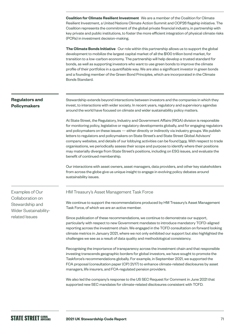**Coalition for Climate Resilient Investment** We are a member of the Coalition for Climate Resilient Investment, a United Nations Climate Action Summit and COP26 flagship initiative. The Coalition represents the commitment of the global private financial industry, in partnership with key private and public institutions, to foster the more efficient integration of physical climate risks (PCRs) in investment decision-making.

**The Climate Bonds Initiative** Our role within this partnership allows us to support the global development to mobilize the largest capital market of all the \$100 trillion bond market, for transition to a low-carbon economy. The partnership will help develop a trusted standard for bonds, as well as supporting investors who want to use green bonds to improve the climate profile of their portfolios in a quantifiable way. We are also a significant investor in green bonds and a founding member of the Green Bond Principles, which are incorporated in the Climate Bonds Standard.

## **Regulators and Policymakers**

Stewardship extends beyond interactions between investors and the companies in which they invest, to interactions with wider society. In recent years, regulatory and supervisory agendas around the world have focused on climate and wider sustainability policy matters.

At State Street, the Regulatory, Industry and Government Affairs (RIGA) division is responsible for monitoring policy, legislative or regulatory developments globally, and for engaging regulators and policymakers on these issues — either directly or indirectly via industry groups. We publish letters to regulators and policymakers on State Street's and State Street Global Advisors' company websites, and details of our lobbying activities can be found [here](https://investors.statestreet.com/corporate-governance/lobbying-activities/default.aspx). With respect to trade organisations, we periodically assess their scope and purpose to identify where their positions may materially diverge from State Street's positions, including on ESG issues, and evaluate the benefit of continued membership.

Our interactions with asset owners, asset managers, data providers, and other key stakeholders from across the globe give us unique insight to engage in evolving policy debates around sustainability issues.

Examples of Our Collaboration on Stewardship and Wider Sustainabilityrelated Issues

### HM Treasury's Asset Management Task Force

We continue to support the recommendations produced by HM Treasury's Asset Management Task Force, of which we are an active member.

Since publication of these recommendations, we continue to demonstrate our support, particularly with respect to new Government mandates to introduce mandatory TCFD-aligned reporting across the investment chain. We engaged in the TCFD consultation on forward looking climate metrics in January 2021, where we not only exhibited our support but also highlighted the challenges we see as a result of data quality and methodological consistency.

Recognising the importance of transparency across the investment chain and that responsible investing transcends geographic borders for global investors, we have sought to promote the Taskforce's recommendations globally. For example, in September 2021, we supported the FCA proposal (consultation paper (CP) 21/17) to enhance climate-related disclosures by asset managers, life insurers, and FCA-regulated pension providers.

We also led the company's response to the US SEC Request for Comment in June 2021 that supported new SEC mandates for climate-related disclosures consistent with TCFD.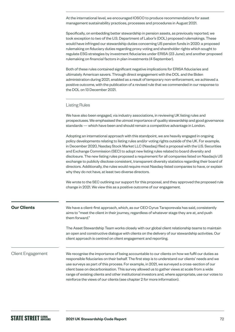At the international level, we encouraged IOSCO to produce recommendations for asset management sustainability practices, processes and procedures in August 2021.

Specifically, on embedding better stewardship in pension assets, as previously reported, we took exception to two of the U.S. Department of Labor's (DOL) proposed rulemakings. These would have infringed our stewardship duties concerning US pension funds in 2020: a proposed rulemaking on fiduciary duties regarding proxy voting and shareholder rights which sought to regulate ESG strategies by investment fiduciaries under ERISA (23 June); and another proposed rulemaking on financial factors in plan investments (4 September).

Both of these rules contained significant negative implications for ERISA fiduciaries and ultimately American savers. Through direct engagement with the DOL and the Biden administration during 2021, enabled as a result of temporary non-enforcement, we achieved a positive outcome, with the publication of a revised rule that we commended in our response to the DOL on 13 December 2021.

### Listing Rules

We have also been engaged, via industry associations, in reviewing UK listing rules and prospectuses. We emphasised the utmost importance of quality stewardship and good governance standards — which have been and should remain a competitive advantage in London.

Adopting an international approach with this standpoint, we are heavily engaged in ongoing policy developments relating to listing rules and/or voting rights outside of the UK. For example, in December 2020, Nasdaq Stock Market LLC (Nasdaq) filed a proposal with the U.S. Securities and Exchange Commission (SEC) to adopt new listing rules related to board diversity and disclosure. The new listing rules proposed a requirement for all companies listed on Nasdaq's US exchange to publicly disclose consistent, transparent diversity statistics regarding their board of directors. Additionally, the rules would require most Nasdaq-listed companies to have, or explain why they do not have, at least two diverse directors.

We wrote to the SEC outlining our support for this proposal, and they approved the proposed rule change in 2021. We view this as a positive outcome of our engagement.

| <b>Our Clients</b>       | We have a client-first approach, which, as our CEO Cyrus Taraporevala has said, consistently<br>aims to "meet the client in their journey, regardless of whatever stage they are at, and push<br>them forward."                                                                                       |  |  |
|--------------------------|-------------------------------------------------------------------------------------------------------------------------------------------------------------------------------------------------------------------------------------------------------------------------------------------------------|--|--|
|                          | The Asset Stewardship Team works closely with our global client relationship teams to maintain<br>an open and constructive dialogue with clients on the delivery of our stewardship activities. Our<br>client approach is centred on client engagement and reporting.                                 |  |  |
| <b>Client Engagement</b> | We recognise the importance of being accountable to our clients on how we fulfil our duties as<br>responsible fiduciaries on their behalf. The first step is to understand our clients' needs and we<br>use surveys as part of this process. For example, in 2021, we surveyed a cross-section of our |  |  |

buntable to our clients on how we fulfil our duties as first step is to understand our clients' needs and we umple, in 2021, we surveyed a cross-section of our client base on decarbonisation. This survey allowed us to gather views at scale from a wide range of existing clients and other institutional investors and, where appropriate, use our votes to reinforce the views of our clients (see chapter 2 for more information).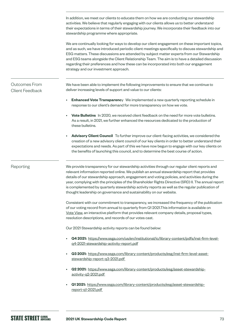In addition, we meet our clients to educate them on how we are conducting our stewardship activities. We believe that regularly engaging with our clients allows us to better understand their expectations in terms of their stewardship journey. We incorporate their feedback into our stewardship programme where appropriate. We are continually looking for ways to develop our client engagement on these important topics, and as such, we have introduced periodic client meetings specifically to discuss stewardship and ESG matters. These discussions are attended by subject matter experts from our Stewardship and ESG teams alongside the Client Relationship Team. The aim is to have a detailed discussion regarding their preferences and how these can be incorporated into both our engagement strategy and our investment approach. We have been able to implement the following improvements to ensure that we continue to deliver increasing levels of support and value to our clients: **Enhanced Vote Transparenc**y We implemented a new quarterly reporting schedule in response to our client's demand for more transparency on how we vote. • **Vote Bulletins** In 2020, we received client feedback on the need for more vote bulletins. As a result, in 2021, we further enhanced the resources dedicated to the production of these bulletins. • **Advisory Client Council** To further improve our client-facing activities, we considered the creation of a new advisory client council of our key clients in order to better understand their expectations and needs. As part of this we have now begun to engage with our key clients on the benefits of launching this council, and to determine the best course of action. We provide transparency for our stewardship activities through our regular client reports and relevant information reported online. We publish an annual stewardship report that provides details of our stewardship approach, engagement and voting policies, and activities during the year, complying with the principles of the Shareholder Rights Directive (SRD) II. The annual report is complemented by quarterly stewardship activity reports as well as the regular publication of thought leadership on governance and sustainability on our website. Consistent with our commitment to transparency, we increased the frequency of the publication of our voting record from annual to quarterly from Q1 2021.This information is available on Vote [View,](https://vds.issgovernance.com/vds/#/MTA1/) an interactive platform that provides relevant company details, proposal types, resolution descriptions, and records of our votes cast. Our 2021 Stewardship activity reports can be found below: • **Q4 2021:** [https://www.ssga.com/us/en/institutional/ic/library-content/pdfs/inst-firm-level](https://www.ssga.com/us/en/institutional/ic/library-content/pdfs/inst-firm-level-q4-2021-stewardship-activity-report.pdf)[q4-2021-stewardship-activity-report.pdf](https://www.ssga.com/us/en/institutional/ic/library-content/pdfs/inst-firm-level-q4-2021-stewardship-activity-report.pdf) • **Q3 2021:** [https://www.ssga.com/library-content/products/esg/inst-firm-level-asset](https://www.ssga.com/library-content/products/esg/inst-firm-level-asset-stewardship-report-q3-2021.pdf)[stewardship-report-q3-2021.pdf](https://www.ssga.com/library-content/products/esg/inst-firm-level-asset-stewardship-report-q3-2021.pdf)  • **Q2 2021:** [https://www.ssga.com/library-content/products/esg/asset-stewardship](https://www.ssga.com/library-content/products/esg/asset-stewardship-activity-q2-2021.pdf)[activity-q2-2021.pdf](https://www.ssga.com/library-content/products/esg/asset-stewardship-activity-q2-2021.pdf)  • **Q1 2021:** [https://www.ssga.com/library-content/products/esg/asset-stewardship](https://www.ssga.com/library-content/products/esg/asset-stewardship-report-q1-2021.pdf)[report-q1-2021.pdf](https://www.ssga.com/library-content/products/esg/asset-stewardship-report-q1-2021.pdf)  Outcomes From Client Feedback Reporting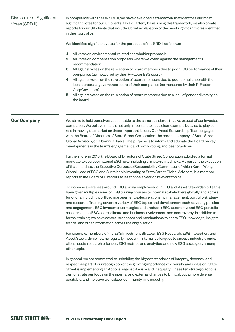# Disclosure of Significant Votes (SRD II)

In compliance with the UK SRD II, we have developed a framework that identifies our most significant votes for our UK clients. On a quarterly basis, using this framework, we also create reports for our UK clients that include a brief explanation of the most significant votes identified in their portfolios.

We identified significant votes for the purposes of the SRD II as follows:

- **1** All votes on environmental-related shareholder proposals
- **2** All votes on compensation proposals where we voted against the management's recommendation
- **3** All against votes on the re-election of board members due to poor ESG performance of their companies (as measured by their R-Factor ESG score)
- **4** All against votes on the re-election of board members due to poor compliance with the local corporate governance score of their companies (as measured by their R-Factor CorpGov score)
- **5** All against votes on the re-election of board members due to a lack of gender diversity on the board

# **Our Company**

We strive to hold ourselves accountable to the same standards that we expect of our investee companies. We believe that it is not only important to set a clear example but also to play our role in moving the market on these important issues. Our Asset Stewardship Team engages with the Board of Directors of State Street Corporation, the parent company of State Street Global Advisors, on a biannual basis. The purpose is to inform and educate the Board on key developments in the team's engagement and proxy voting, and best practices.

Furthermore, in 2018, the Board of Directors of State Street Corporation adopted a formal mandate to oversee material ESG risks, including climate-related risks. As part of the execution of that mandate, the Executive Corporate Responsibility Committee, of which Karen Wong, Global Head of ESG and Sustainable Investing at State Street Global Advisors, is a member, reports to the Board of Directors at least once a year on relevant topics.

To increase awareness around ESG among employees, our ESG and Asset Stewardship Teams have given multiple series of ESG training courses to internal stakeholders globally and across functions, including portfolio management, sales, relationship management, portfolio strategy, and research. Training covers a variety of ESG topics and development such as voting policies and engagement; ESG investment strategies and products; ESG taxonomy; and ESG portfolio assessment on ESG score, climate and business involvement, and controversy. In addition to formal training, we have several processes and mechanisms to share ESG knowledge, insights, trends, and other information across the organisation.

For example, members of the ESG Investment Strategy, ESG Research, ESG Integration, and Asset Stewardship Teams regularly meet with internal colleagues to discuss industry trends, client needs, research priorities, ESG metrics and analytics, and new ESG strategies, among other topics.

In general, we are committed to upholding the highest standards of integrity, decency, and respect. As part of our recognition of the growing importance of diversity and inclusion, State Street is implementing [10 Actions Against Racism and Inequality](https://www.statestreet.com/values/inclusion-diversity/10-actions-to-address-racism-and-inequality.html). These ten strategic actions demonstrate our focus on the internal and external changes to bring about a more diverse, equitable, and inclusive workplace, community, and industry.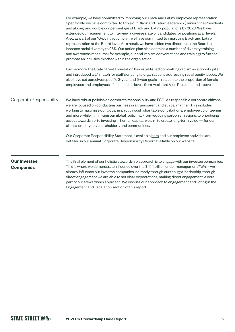|                                         | For example, we have committed to improving our Black and Latinx employee representation.<br>Specifically, we have committed to triple our Black and Latinx leadership (Senior Vice Presidents<br>and above) and double our percentage of Black and Latinx populations by 2023. We have<br>extended our requirement to interview a diverse slate of candidates for positions at all levels.<br>Also, as part of our 10-point action plan, we have committed to improving Black and Latinx<br>representation at the Board level. As a result, we have added two directors to the Board to<br>increase racial diversity to 25%. Our action plan also contains a number of diversity training<br>and awareness measures (for example, our anti-racism conversations and training) to further<br>promote an inclusive mindset within the organisation. |
|-----------------------------------------|----------------------------------------------------------------------------------------------------------------------------------------------------------------------------------------------------------------------------------------------------------------------------------------------------------------------------------------------------------------------------------------------------------------------------------------------------------------------------------------------------------------------------------------------------------------------------------------------------------------------------------------------------------------------------------------------------------------------------------------------------------------------------------------------------------------------------------------------------|
|                                         | Furthermore, the State Street Foundation has established combatting racism as a priority pillar,<br>and introduced a 2:1 match for staff donating to organisations addressing racial equity issues. We<br>also have set ourselves specific 3-year and 5-year goals in relation to the proportion of female<br>employees and employees of colour at all levels from Assistant Vice President and above.                                                                                                                                                                                                                                                                                                                                                                                                                                             |
| Corporate Responsibility                | We have robust policies on corporate responsibility and ESG. As responsible corporate citizens,<br>we are focused on conducting business in a transparent and ethical manner. This includes<br>working to maximise our global impact through charitable contributions, employee volunteering<br>and more while minimising our global footprint. From reducing carbon emissions, to prioritising<br>asset stewardship, to investing in human capital, we aim to create long-term value - for our<br>clients, employees, shareholders, and communities.                                                                                                                                                                                                                                                                                              |
|                                         | Our Corporate Responsibility Statement is available here and our employee activities are<br>detailed in our annual Corporate Responsibility Report available on our website.                                                                                                                                                                                                                                                                                                                                                                                                                                                                                                                                                                                                                                                                       |
| <b>Our Investee</b><br><b>Companies</b> | The final element of our holistic stewardship approach is to engage with our investee companies.<br>This is where we demonstrate influence over the \$4.14 trillion under management. <sup>2</sup> While we<br>already influence our investee companies indirectly through our thought leadership, through<br>direct engagement we are able to est elegr expectations making direct engagement a este                                                                                                                                                                                                                                                                                                                                                                                                                                              |

direct engagement we are able to set clear expectations, making direct engagement a core part of our stewardship approach. We discuss our approach to engagement and voting in the Engagement and Escalation section of this report.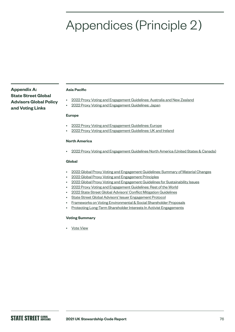# Appendices (Principle 2)

**Appendix A: State Street Global Advisors Global Policy and Voting Links**

#### **Asia Pacific**

- [2022 Proxy Voting and Engagement Guidelines: Australia and New Zealand](https://www.ssga.com/us/en/institutional/ic/library-content/pdfs/ic/proxy-Voting-and-engagement-guidelines-anz.pdf)
- [2022 Proxy Voting and Engagement Guidelines: Japan](https://www.ssga.com/us/en/institutional/ic/library-content/pdfs/ic/proxy-Voting-and-engagement-guidelines-ja.pdf)

#### **Europe**

- [2022 Proxy Voting and Engagement Guidelines: Europe](https://www.ssga.com/us/en/institutional/ic/library-content/pdfs/ic/proxy-Voting-and-engagement-guidelines-europe.pdf)
- [2022 Proxy Voting and Engagement Guidelines: UK and Ireland](https://www.ssga.com/us/en/institutional/ic/library-content/pdfs/ic/proxy-Voting-and-engagement-guidelines-uk-ie.pdf)

## **North America**

• [2022 Proxy Voting and Engagement Guidelines North America \(United States & Canada\)](https://www.ssga.com/us/en/institutional/ic/library-content/pdfs/ic/proxy-voting-and-engagement-guidelines-us-canada.pdf)

### **Global**

- [2022 Global Proxy Voting and Engagement Guidelines: Summary of Material Changes](https://www.ssga.com/us/en/institutional/ic/library-content/pdfs/ic/proxy-voting-and-engagement-summary-of-material-changes.pdf)
- [2022 Global Proxy Voting and Engagement Principles](https://www.ssga.com/us/en/institutional/ic/library-content/pdfs/ic/proxy-voting-and-engagement-guidelines-principle.pdf)
- [2022 Global Proxy Voting and Engagement Guidelines for Sustainability Issues](https://www.ssga.com/us/en/institutional/ic/library-content/pdfs/ic/proxy-voting-and-engagement-sustainability-issues.pdf)
- [2022 Proxy Voting and Engagement Guidelines: Rest of the World](https://www.ssga.com/us/en/institutional/ic/library-content/pdfs/ic/proxy-voting-and-engagement-guidelines-rest-of-the-world.pdf)
- [2022 State Street Global Advisors' Conflict Mitigation Guidelines](https://www.ssga.com/us/en/institutional/ic/library-content/pdfs/ic/ssga-conflict-mitigation-guidelines.pdf)
- [State Street Global Advisors' Issuer Engagement Protocol](https://www.ssga.com/us/en/institutional/ic/library-content/pdfs/ic/state-street-global-advisors-issuer-engagement-protocol.pdf)
- [Frameworks on Voting Environmental & Social Shareholder Proposals](https://www.ssga.com/us/en/institutional/ic/library-content/pdfs/ic/frameworks-voting-social-shareholder-proposals.pdf)
- [Protecting Long-Term Shareholder Interests In Activist Engagements](https://www.ssga.com/us/en/institutional/ic/library-content/pdfs/ic/protecting-long-term-shareholder-interests-03.31.20.pdf)

### **Voting Summary**

• [Vote View](https://vds.issgovernance.com/vds/#/MTA1/)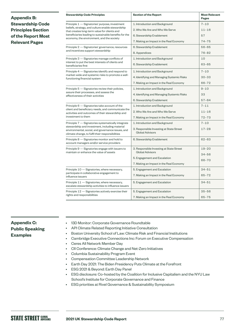| <b>Appendix B:</b>                          | <b>Stewardship Code Principles</b>                                                                                                                                                                                                                        | <b>Section of the Report</b>                                       | <b>Most Relevant</b><br><b>Pages</b> |
|---------------------------------------------|-----------------------------------------------------------------------------------------------------------------------------------------------------------------------------------------------------------------------------------------------------------|--------------------------------------------------------------------|--------------------------------------|
| <b>Stewardship Code</b>                     | Principle 1 - Signatories' purpose, investment<br>beliefs, strategy, and culture enable stewardship<br>that creates long-term value for clients and<br>beneficiaries leading to sustainable benefits for the<br>economy, the environment, and the society | 1. Introduction and Background                                     | $7 - 10$                             |
| <b>Principles Section</b>                   |                                                                                                                                                                                                                                                           | 2. Who We Are and Who We Serve                                     | $11 - 16$                            |
| of the Report Most<br><b>Relevant Pages</b> |                                                                                                                                                                                                                                                           | 6. Stewardship Enablement                                          | 57                                   |
|                                             |                                                                                                                                                                                                                                                           | 7. Making an Impact in the Real Economy                            | $74 - 75$                            |
|                                             | Principle 2 - Signatories' governance, resources<br>and incentives support stewardship                                                                                                                                                                    | 6. Stewardship Enablement                                          | $56 - 65$                            |
|                                             |                                                                                                                                                                                                                                                           | 8. Appendices                                                      | $76 - 82$                            |
|                                             | Principle 3 – Signatories manage conflicts of<br>interest to put the best interests of clients and<br>beneficiaries first                                                                                                                                 | 1. Introduction and Background                                     | 10                                   |
|                                             |                                                                                                                                                                                                                                                           | 6. Stewardship Enablement                                          | $63 - 65$                            |
|                                             | Principle 4 – Signatories identify and respond to<br>market-wide and systemic risks to promote a well-<br>functioning financial system                                                                                                                    | 1. Introduction and Background                                     | $7 - 10$                             |
|                                             |                                                                                                                                                                                                                                                           | 4. Identifying and Managing Systemic Risks                         | $30 - 33$                            |
|                                             |                                                                                                                                                                                                                                                           | 7. Making an Impact in the Real Economy                            | $66 - 72$                            |
|                                             | Principle 5 – Signatories review their policies,<br>assure their processes, and assess the<br>effectiveness of their activities                                                                                                                           | 1. Introduction and Background                                     | $9 - 10$                             |
|                                             |                                                                                                                                                                                                                                                           | 4. Identifying and Managing Systemic Risks                         | 33                                   |
|                                             |                                                                                                                                                                                                                                                           | 6. Stewardship Enablement                                          | $57 - 64$                            |
|                                             | Principle 6 - Signatories take account of the<br>client and beneficiary needs, and communicate the<br>activities and outcomes of their stewardship and<br>investment to them                                                                              | 1. Introduction and Background                                     | $7 - 11$                             |
|                                             |                                                                                                                                                                                                                                                           | 2. Who We Are and Who We Serve                                     | $11 - 16$                            |
|                                             |                                                                                                                                                                                                                                                           | 7. Making an Impact in the Real Economy                            | $72 - 73$                            |
|                                             | Principle 7 - Signatories systematically integrate<br>stewardship and investment, including material<br>environmental, social, and governance issues, and<br>climate change, to fulfil their responsibilities                                             | 1. Introduction and Background                                     | $7 - 10$                             |
|                                             |                                                                                                                                                                                                                                                           | 3. Responsible Investing at State Street<br><b>Global Advisors</b> | $17 - 28$                            |
|                                             | Principle 8 - Signatories monitor and hold to<br>account managers and/or service providers                                                                                                                                                                | 6. Stewardship Enablement                                          | $62 - 63$                            |
|                                             | Principle 9 - Signatories engage with issuers to<br>maintain or enhance the value of assets                                                                                                                                                               | 3. Responsible Investing at State Street<br><b>Global Advisors</b> | $19 - 20$                            |
|                                             |                                                                                                                                                                                                                                                           | 5. Engagement and Escalation                                       | $34 - 56$                            |
|                                             |                                                                                                                                                                                                                                                           | 7. Making an Impact in the Real Economy                            | $66 - 70$                            |
|                                             | Principle 10 - Signatories, where necessary,<br>participate in collaborative engagement to<br>influence issuers                                                                                                                                           | 5. Engagement and Escalation                                       | $34 - 51$                            |
|                                             |                                                                                                                                                                                                                                                           | 7. Making an Impact in the Real Economy                            | $65 - 72$                            |
|                                             | Principle 11 - Signatories, where necessary,<br>escalate stewardship activities to influence issuers                                                                                                                                                      | 5. Engagement and Escalation                                       | $34 - 51$                            |
|                                             | Principle 12 - Signatories actively exercise their<br>rights and responsibilities                                                                                                                                                                         | 5. Engagement and Escalation                                       | $35 - 56$                            |
|                                             |                                                                                                                                                                                                                                                           | 7. Making an Impact in the Real Economy                            | $65 - 75$                            |

# **Appendix C: Public Speaking Examples**

- 13D Monitor: Corporate Governance Roundtable
- API Climate Related Reporting Initiative Consultation
- Boston University School of Law: Climate Risk and Financial Institutions
- Cambridge Executive Connections Inc: Forum on Executive Compensation
- Ceres All Network Member Day
- CII Conference: Climate Change and Net-Zero Initiatives
- Columbia Sustainability Program Event
- Compensation Committee Leadership Network
- Earth Day 2021: The Biden Presidency Puts Climate at the Forefront
- ESG 2021 & Beyond: Earth Day Panel
- ESG disclosure: Co-hosted by the Coalition for Inclusive Capitalism and the NYU Law School's Institute for Corporate Governance and Finance
- ESG priorities at Rivel Governance & Sustainability Symposium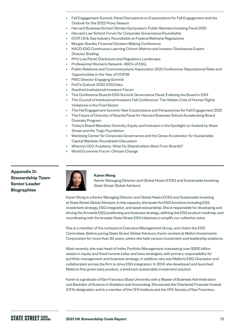- Fall Engagement Summit: Panel Discussions on Expectations for Fall Engagement and the Outlook for the 2022 Proxy Season
- Harvard Business School Climate Symposium: Public Markets Investing Panel 2021
- Harvard Law School: Forum for Corporate Governance Roundtable
- ICCR Oil & Gas Industry Roundtable on Federal Methane Regulations
	- Morgan Stanley Financial Decision Making Conference
	- NACD ESG Continuous Learning Cohort: Metrics and Investor Disclosures Expert Director Briefing
	- NYU Law Panel: Disclosure and Regulatory Landscape
	- Professional Women's Network: ABC's of ESG,
	- Public Relations and Communications Association 2021 Conference: Reputational Risks and Opportunities in the Year of COP26
	- PWC Director Engaging Summit
	- PwC's Outlook 2022: ESG Data
	- Stanford Institutional Investors' Forum
	- The Conference Board's ESG Summit Governance Panel: Enlisting the Board in ESG
	- The Council of Institutional Investors Fall Conference: The Hidden Cost of Human Rights Violations in the Food Sector
	- The Fall Engagement Summit: New Expectations and Perspectives for Fall Engagement 2021
	- The Future of Diversity of Boards Panel for Harvard Business School Accelerating Board Diversity Program
	- Today's Board Mandate: Diversity, Equity and Inclusion in the Spotlight co-hosted by State Street and the Toigo Foundation
	- Weinberg Center for Corporate Governance and the Ceres Accelerator for Sustainable Capital Markets: Roundtable Discussion
	- Wharton CEO Academy: What Do Shareholders Want From Boards?
	- World Economic Forum: Climate Change

**Appendix D: Stewardship Team Senior Leader Biographies**



#### **Karen Wong**

Senior Managing Director and Global Head of ESG and Sustainable Investing State Street Global Advisors

Karen Wong is a Senior Managing Director and Global Head of ESG and Sustainable Investing at State Street Global Advisors. In this capacity, she leads the ESG functions including ESG investment strategy, ESG integration, and asset stewardship. She is responsible for developing and driving the firmwide ESG positioning and business strategy, defining the ESG product roadmap, and coordinating with the broader State Street ESG initiatives to amplify our collective voice.

She is a member of the company's Executive Management Group, and chairs the ESG Committee. Before joining State Street Global Advisors, Karen worked at Mellon Investments Corporation for more than 20 years, where she held various investment and leadership positions.

Most recently, she was Head of Index Portfolio Management overseeing over \$300 billion assets in equity and fixed income index and beta strategies, with primary responsibility for portfolio management and business strategy. In addition, she was Mellon's ESG Champion and collaborated across the firm to drive ESG integration. In 2014, she developed and launched Mellon's first green beta product, a landmark sustainable investment solution.

Karen is a graduate of San Francisco State University with a Master of Business Administration and Bachelor of Science in Statistics and Accounting. She earned the Chartered Financial Analyst (CFA) designation and is a member of the CFA Institute and the CFA Society of San Francisco.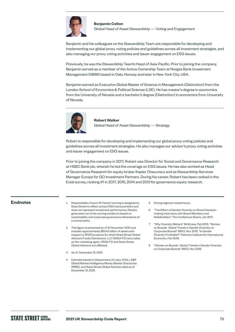

# **Benjamin Colton**  Global Head of Asset Stewardship — Voting and Engagement

Benjamin and his colleagues on the Stewardship Team are responsible for developing and implementing our global proxy voting policies and guidelines across all investment strategies, and also managing our proxy voting activities and issuer engagement on ESG issues.

Previously, he was the Stewardship Team's Head of Asia-Pacific. Prior to joining the company, Benjamin served as a member of the Active Ownership Team at Norges Bank Investment Management (NBIM) based in Oslo, Norway and later in New York City, USA.

Benjamin earned an Executive Global Master of Science in Management (Distinction) from the London School of Economics & Political Science (LSE). He has master's degree in economics from the University of Nevada and a bachelor's degree (Distinction) in economics from University of Nevada.



# **Robert Walker**  Global Head of Asset Stewardship — Strategy

Robert is responsible for developing and implementing our global proxy voting policies and guidelines across all investment strategies. He also manages our advisor's proxy voting activities and issuer engagement on ESG issues.

Prior to joining the company in 2017, Robert was Director for Social and Governance Research at HSBC Bank plc, wherein he led the coverage on ESG issues. He has also worked as Head of Governance Research for equity broker Kepler Cheuvreux and as Stewardship Services Manager Europe for GO Investment Partners. During his career, Robert has been ranked in the Extel survey, ranking #1 in 2017, 2015, 2014 and 2013 for governance equity research.

- **Endnotes** 1 Responsibility-Factor (R-Factor) scoring is designed by State Street to reflect certain ESG characteristics and does not represent investment performance. Results generated out of the scoring model are based on sustainability and corporate governance dimensions of a scored entity.
	- 2 This figure is presented as of 31 December 2021 and includes approximately \$61.43 billion of assets with respect to SPDR products for which State Street Global Advisors Funds Distributors, LLC (SSGA FD) acts solely as the marketing agent. SSGA FD and State Street Global Advisors are affiliated.
	- 3 As of December 31, 2021.
	- 4 Estimate based on Department of Labor (DOL), S&P Global Market Intelligence Money Market Directories (MMD), and State Street Global Advisors data as of December 31, 2021.
- 5 During regional market hours.
- 6 "The Effect of Gender Diversity on Board Decisionmaking: Interviews with Board Members and Stakeholders" The Conference Board, Jan 2017.
- 7 "Why Diversity Matters" McKinsey, Feb 2015. "Women on Boards: Global Trends in Gender Diversity on Corporate Boards" MSCI, Nov 2015. "Is Gender Diversity Profitable?" Peterson Institute for International Economic, Feb 2016.
- 8 "Women on Boards: Global Trends in Gender Diversity on Corporate Boards" MSCI, Nov 2015.